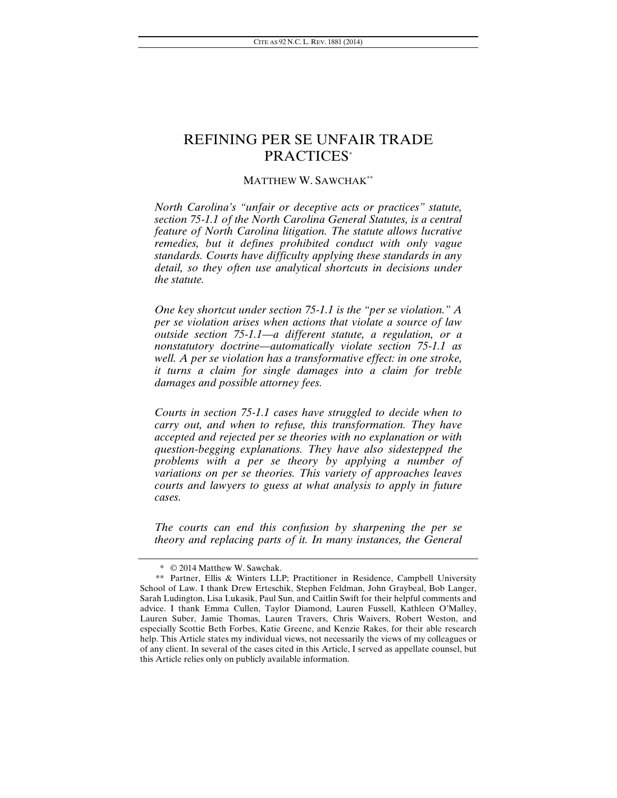# REFINING PER SE UNFAIR TRADE PRACTICES\*

#### MATTHEW W. SAWCHAK\*\*

*North Carolina's "unfair or deceptive acts or practices" statute, section 75-1.1 of the North Carolina General Statutes, is a central feature of North Carolina litigation. The statute allows lucrative remedies, but it defines prohibited conduct with only vague standards. Courts have difficulty applying these standards in any*  detail, so they often use analytical shortcuts in decisions under *the statute.* 

*One key shortcut under section 75-1.1 is the "per se violation." A per se violation arises when actions that violate a source of law outside section 75-1.1—a different statute, a regulation, or a nonstatutory doctrine—automatically violate section 75-1.1 as well. A per se violation has a transformative effect: in one stroke, it turns a claim for single damages into a claim for treble damages and possible attorney fees.* 

*Courts in section 75-1.1 cases have struggled to decide when to carry out, and when to refuse, this transformation. They have accepted and rejected per se theories with no explanation or with question-begging explanations. They have also sidestepped the problems with a per se theory by applying a number of variations on per se theories. This variety of approaches leaves courts and lawyers to guess at what analysis to apply in future cases.* 

*The courts can end this confusion by sharpening the per se theory and replacing parts of it. In many instances, the General* 

 <sup>\* © 2014</sup> Matthew W. Sawchak.

 <sup>\*\*</sup> Partner, Ellis & Winters LLP; Practitioner in Residence, Campbell University School of Law. I thank Drew Erteschik, Stephen Feldman, John Graybeal, Bob Langer, Sarah Ludington, Lisa Lukasik, Paul Sun, and Caitlin Swift for their helpful comments and advice. I thank Emma Cullen, Taylor Diamond, Lauren Fussell, Kathleen O'Malley, Lauren Suber, Jamie Thomas, Lauren Travers, Chris Waivers, Robert Weston, and especially Scottie Beth Forbes, Katie Greene, and Kenzie Rakes, for their able research help. This Article states my individual views, not necessarily the views of my colleagues or of any client. In several of the cases cited in this Article, I served as appellate counsel, but this Article relies only on publicly available information.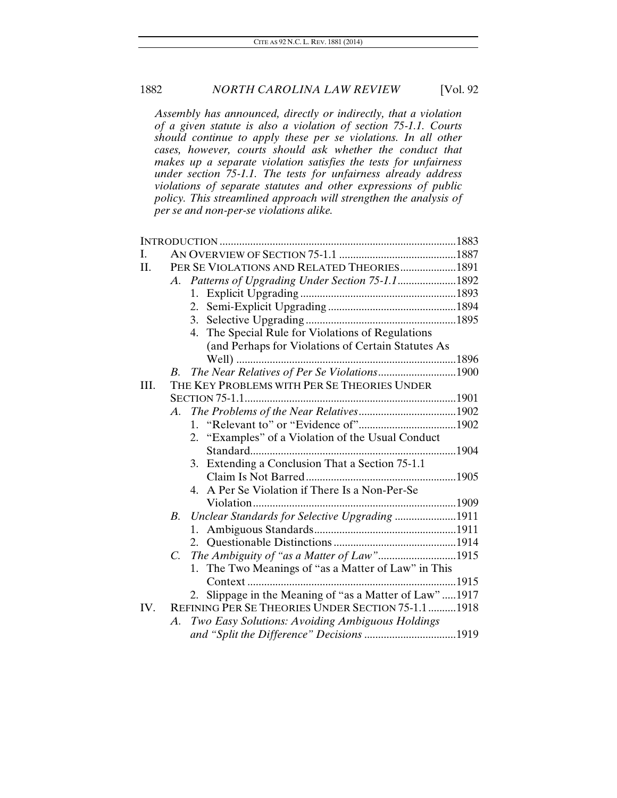*Assembly has announced, directly or indirectly, that a violation of a given statute is also a violation of section 75-1.1. Courts should continue to apply these per se violations. In all other cases, however, courts should ask whether the conduct that makes up a separate violation satisfies the tests for unfairness under section 75-1.1. The tests for unfairness already address violations of separate statutes and other expressions of public policy. This streamlined approach will strengthen the analysis of per se and non-per-se violations alike.* 

| I.   |                                                              |  |
|------|--------------------------------------------------------------|--|
| II.  | PER SE VIOLATIONS AND RELATED THEORIES1891                   |  |
|      |                                                              |  |
|      |                                                              |  |
|      | 2.                                                           |  |
|      | 3.                                                           |  |
|      | The Special Rule for Violations of Regulations<br>4.         |  |
|      | (and Perhaps for Violations of Certain Statutes As           |  |
|      |                                                              |  |
|      | The Near Relatives of Per Se Violations1900<br><i>B</i> .    |  |
| III. | THE KEY PROBLEMS WITH PER SE THEORIES UNDER                  |  |
|      |                                                              |  |
|      | A.                                                           |  |
|      |                                                              |  |
|      | "Examples" of a Violation of the Usual Conduct<br>2.         |  |
|      |                                                              |  |
|      | 3. Extending a Conclusion That a Section 75-1.1              |  |
|      |                                                              |  |
|      | A Per Se Violation if There Is a Non-Per-Se                  |  |
|      |                                                              |  |
|      | Unclear Standards for Selective Upgrading 1911<br><i>B</i> . |  |
|      |                                                              |  |
|      |                                                              |  |
|      | The Ambiguity of "as a Matter of Law"1915<br>C.              |  |
|      | The Two Meanings of "as a Matter of Law" in This<br>1.       |  |
|      |                                                              |  |
|      | 2. Slippage in the Meaning of "as a Matter of Law" 1917      |  |
| IV.  | REFINING PER SE THEORIES UNDER SECTION 75-1.1  1918          |  |
|      | Two Easy Solutions: Avoiding Ambiguous Holdings<br>А.        |  |
|      | and "Split the Difference" Decisions 1919                    |  |
|      |                                                              |  |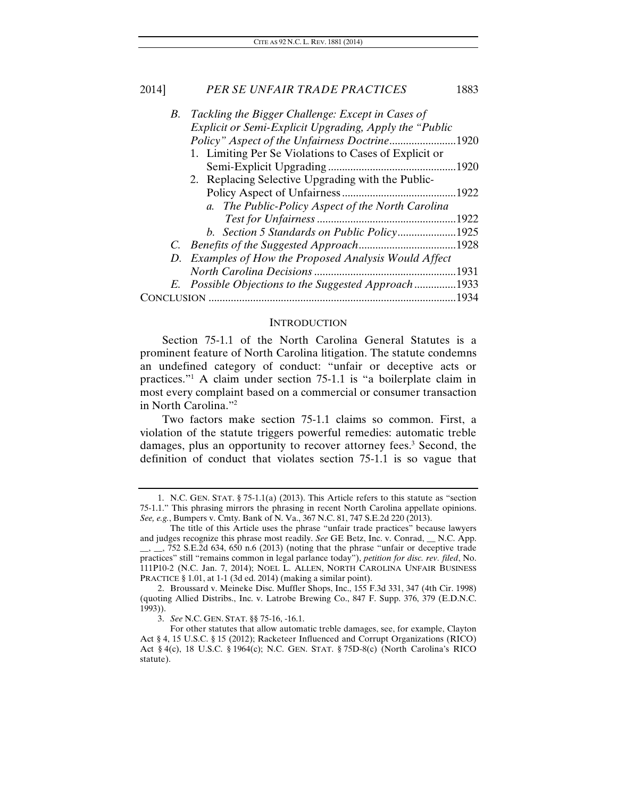| B. | Tackling the Bigger Challenge: Except in Cases of      |       |
|----|--------------------------------------------------------|-------|
|    | Explicit or Semi-Explicit Upgrading, Apply the "Public |       |
|    |                                                        | .1920 |
|    | 1. Limiting Per Se Violations to Cases of Explicit or  |       |
|    |                                                        | .1920 |
|    | 2. Replacing Selective Upgrading with the Public-      |       |
|    |                                                        | .1922 |
|    | a. The Public-Policy Aspect of the North Carolina      |       |
|    |                                                        | .1922 |
|    | b. Section 5 Standards on Public Policy1925            |       |
|    |                                                        | .1928 |
|    | D. Examples of How the Proposed Analysis Would Affect  |       |
|    |                                                        | .1931 |
|    | E. Possible Objections to the Suggested Approach1933   |       |
|    |                                                        | 1934. |
|    |                                                        |       |

#### **INTRODUCTION**

Section 75-1.1 of the North Carolina General Statutes is a prominent feature of North Carolina litigation. The statute condemns an undefined category of conduct: "unfair or deceptive acts or practices."1 A claim under section 75-1.1 is "a boilerplate claim in most every complaint based on a commercial or consumer transaction in North Carolina."2

Two factors make section 75-1.1 claims so common. First, a violation of the statute triggers powerful remedies: automatic treble damages, plus an opportunity to recover attorney fees.<sup>3</sup> Second, the definition of conduct that violates section 75-1.1 is so vague that

 <sup>1.</sup> N.C. GEN. STAT. § 75-1.1(a) (2013). This Article refers to this statute as "section 75-1.1." This phrasing mirrors the phrasing in recent North Carolina appellate opinions. *See, e.g.*, Bumpers v. Cmty. Bank of N. Va., 367 N.C. 81, 747 S.E.2d 220 (2013).

The title of this Article uses the phrase "unfair trade practices" because lawyers and judges recognize this phrase most readily. *See* GE Betz, Inc. v. Conrad, \_\_ N.C. App.  $\frac{1}{2}$ ,  $\frac{1}{2}$ , 752 S.E.2d 634, 650 n.6 (2013) (noting that the phrase "unfair or deceptive trade practices" still "remains common in legal parlance today"), *petition for disc. rev. filed*, No. 111P10-2 (N.C. Jan. 7, 2014); NOEL L. ALLEN, NORTH CAROLINA UNFAIR BUSINESS PRACTICE § 1.01, at 1-1 (3d ed. 2014) (making a similar point).

 <sup>2.</sup> Broussard v. Meineke Disc. Muffler Shops, Inc., 155 F.3d 331, 347 (4th Cir. 1998) (quoting Allied Distribs., Inc. v. Latrobe Brewing Co., 847 F. Supp. 376, 379 (E.D.N.C. 1993)).

<sup>3.</sup> *See* N.C. GEN. STAT. §§ 75-16, -16.1.

For other statutes that allow automatic treble damages, see, for example, Clayton Act § 4, 15 U.S.C. § 15 (2012); Racketeer Influenced and Corrupt Organizations (RICO) Act § 4(c), 18 U.S.C. § 1964(c); N.C. GEN. STAT. § 75D-8(c) (North Carolina's RICO statute).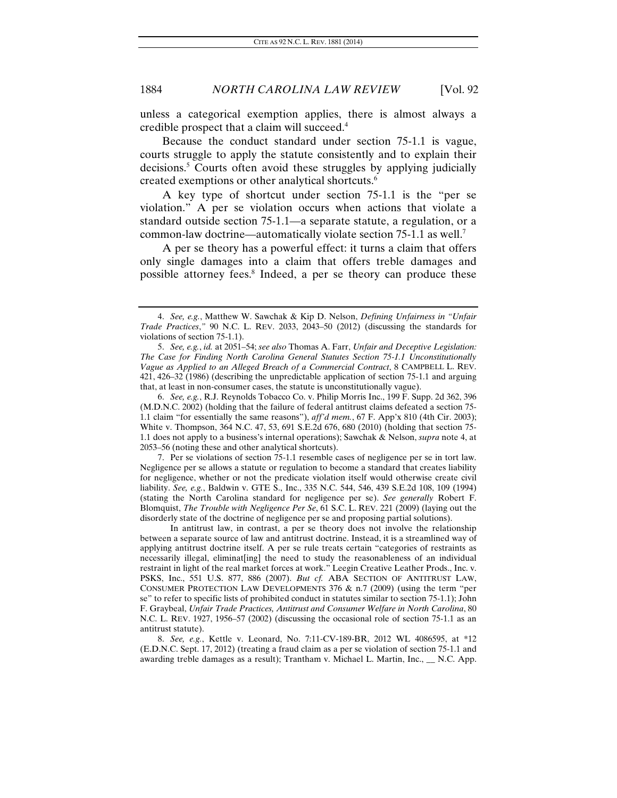unless a categorical exemption applies, there is almost always a credible prospect that a claim will succeed.4

Because the conduct standard under section 75-1.1 is vague, courts struggle to apply the statute consistently and to explain their decisions.5 Courts often avoid these struggles by applying judicially created exemptions or other analytical shortcuts.6

A key type of shortcut under section 75-1.1 is the "per se violation." A per se violation occurs when actions that violate a standard outside section 75-1.1—a separate statute, a regulation, or a common-law doctrine—automatically violate section 75-1.1 as well.7

A per se theory has a powerful effect: it turns a claim that offers only single damages into a claim that offers treble damages and possible attorney fees.8 Indeed, a per se theory can produce these

6. *See, e.g.*, R.J. Reynolds Tobacco Co. v. Philip Morris Inc., 199 F. Supp. 2d 362, 396 (M.D.N.C. 2002) (holding that the failure of federal antitrust claims defeated a section 75- 1.1 claim "for essentially the same reasons"), *aff'd mem.*, 67 F. App'x 810 (4th Cir. 2003); White v. Thompson, 364 N.C. 47, 53, 691 S.E.2d 676, 680 (2010) (holding that section 75- 1.1 does not apply to a business's internal operations); Sawchak & Nelson, *supra* note 4, at 2053–56 (noting these and other analytical shortcuts).

 7. Per se violations of section 75-1.1 resemble cases of negligence per se in tort law. Negligence per se allows a statute or regulation to become a standard that creates liability for negligence, whether or not the predicate violation itself would otherwise create civil liability. *See, e.g.*, Baldwin v. GTE S., Inc., 335 N.C. 544, 546, 439 S.E.2d 108, 109 (1994) (stating the North Carolina standard for negligence per se). *See generally* Robert F. Blomquist, *The Trouble with Negligence Per Se*, 61 S.C. L. REV. 221 (2009) (laying out the disorderly state of the doctrine of negligence per se and proposing partial solutions).

 In antitrust law, in contrast, a per se theory does not involve the relationship between a separate source of law and antitrust doctrine. Instead, it is a streamlined way of applying antitrust doctrine itself. A per se rule treats certain "categories of restraints as necessarily illegal, eliminat[ing] the need to study the reasonableness of an individual restraint in light of the real market forces at work." Leegin Creative Leather Prods., Inc. v. PSKS, Inc., 551 U.S. 877, 886 (2007). *But cf.* ABA SECTION OF ANTITRUST LAW, CONSUMER PROTECTION LAW DEVELOPMENTS 376  $&$  n.7 (2009) (using the term "per se" to refer to specific lists of prohibited conduct in statutes similar to section 75-1.1); John F. Graybeal, *Unfair Trade Practices, Antitrust and Consumer Welfare in North Carolina*, 80 N.C. L. REV. 1927, 1956–57 (2002) (discussing the occasional role of section 75-1.1 as an antitrust statute).

8. *See, e.g.*, Kettle v. Leonard, No. 7:11-CV-189-BR, 2012 WL 4086595, at \*12 (E.D.N.C. Sept. 17, 2012) (treating a fraud claim as a per se violation of section 75-1.1 and awarding treble damages as a result); Trantham v. Michael L. Martin, Inc.,  $\_\_$  N.C. App.

<sup>4.</sup> *See, e.g.*, Matthew W. Sawchak & Kip D. Nelson, *Defining Unfairness in "Unfair Trade Practices*,*"* 90 N.C. L. REV. 2033, 2043–50 (2012) (discussing the standards for violations of section 75-1.1).

<sup>5.</sup> *See, e.g.*, *id.* at 2051–54; *see also* Thomas A. Farr, *Unfair and Deceptive Legislation: The Case for Finding North Carolina General Statutes Section 75-1.1 Unconstitutionally Vague as Applied to an Alleged Breach of a Commercial Contract*, 8 CAMPBELL L. REV. 421, 426–32 (1986) (describing the unpredictable application of section 75-1.1 and arguing that, at least in non-consumer cases, the statute is unconstitutionally vague).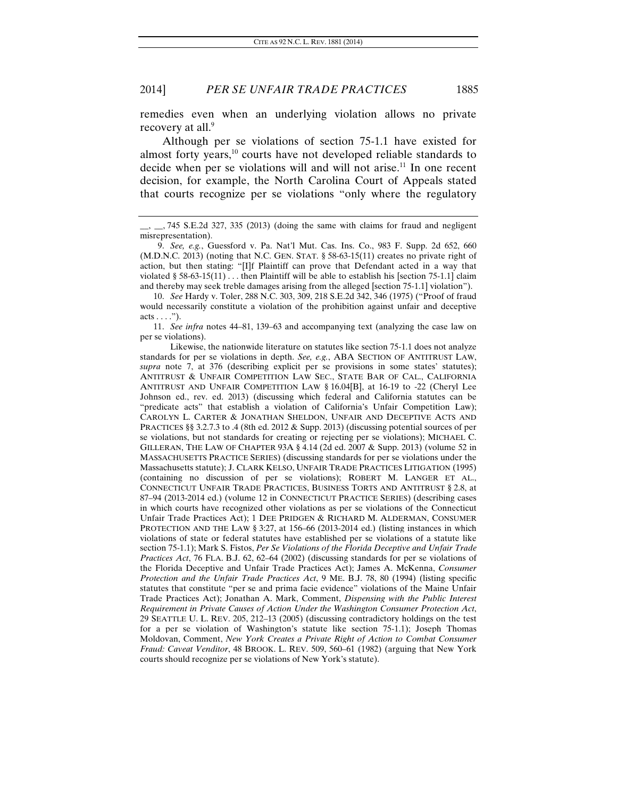remedies even when an underlying violation allows no private recovery at all.<sup>9</sup>

Although per se violations of section 75-1.1 have existed for almost forty years,<sup>10</sup> courts have not developed reliable standards to decide when per se violations will and will not arise.<sup>11</sup> In one recent decision, for example, the North Carolina Court of Appeals stated that courts recognize per se violations "only where the regulatory

11. *See infra* notes 44–81, 139–63 and accompanying text (analyzing the case law on per se violations).

 Likewise, the nationwide literature on statutes like section 75-1.1 does not analyze standards for per se violations in depth. *See, e.g.*, ABA SECTION OF ANTITRUST LAW, *supra* note 7, at 376 (describing explicit per se provisions in some states' statutes); ANTITRUST & UNFAIR COMPETITION LAW SEC., STATE BAR OF CAL., CALIFORNIA ANTITRUST AND UNFAIR COMPETITION LAW § 16.04[B], at 16-19 to -22 (Cheryl Lee Johnson ed., rev. ed. 2013) (discussing which federal and California statutes can be "predicate acts" that establish a violation of California's Unfair Competition Law); CAROLYN L. CARTER & JONATHAN SHELDON, UNFAIR AND DECEPTIVE ACTS AND PRACTICES §§ 3.2.7.3 to .4 (8th ed. 2012 & Supp. 2013) (discussing potential sources of per se violations, but not standards for creating or rejecting per se violations); MICHAEL C. GILLERAN, THE LAW OF CHAPTER 93A § 4.14 (2d ed. 2007 & Supp. 2013) (volume 52 in MASSACHUSETTS PRACTICE SERIES) (discussing standards for per se violations under the Massachusetts statute); J. CLARK KELSO, UNFAIR TRADE PRACTICES LITIGATION (1995) (containing no discussion of per se violations); ROBERT M. LANGER ET AL., CONNECTICUT UNFAIR TRADE PRACTICES, BUSINESS TORTS AND ANTITRUST § 2.8, at 87–94 (2013-2014 ed.) (volume 12 in CONNECTICUT PRACTICE SERIES) (describing cases in which courts have recognized other violations as per se violations of the Connecticut Unfair Trade Practices Act); 1 DEE PRIDGEN & RICHARD M. ALDERMAN, CONSUMER PROTECTION AND THE LAW § 3:27, at 156–66 (2013-2014 ed.) (listing instances in which violations of state or federal statutes have established per se violations of a statute like section 75-1.1); Mark S. Fistos, *Per Se Violations of the Florida Deceptive and Unfair Trade Practices Act*, 76 FLA. B.J. 62, 62–64 (2002) (discussing standards for per se violations of the Florida Deceptive and Unfair Trade Practices Act); James A. McKenna, *Consumer Protection and the Unfair Trade Practices Act*, 9 ME. B.J. 78, 80 (1994) (listing specific statutes that constitute "per se and prima facie evidence" violations of the Maine Unfair Trade Practices Act); Jonathan A. Mark, Comment, *Dispensing with the Public Interest Requirement in Private Causes of Action Under the Washington Consumer Protection Act*, 29 SEATTLE U. L. REV. 205, 212–13 (2005) (discussing contradictory holdings on the test for a per se violation of Washington's statute like section 75-1.1); Joseph Thomas Moldovan, Comment, *New York Creates a Private Right of Action to Combat Consumer Fraud: Caveat Venditor*, 48 BROOK. L. REV. 509, 560–61 (1982) (arguing that New York courts should recognize per se violations of New York's statute).

 $\_$ , 745 S.E.2d 327, 335 (2013) (doing the same with claims for fraud and negligent misrepresentation).

<sup>9.</sup> *See, e.g.*, Guessford v. Pa. Nat'l Mut. Cas. Ins. Co., 983 F. Supp. 2d 652, 660 (M.D.N.C. 2013) (noting that N.C. GEN. STAT. § 58-63-15(11) creates no private right of action, but then stating: "[I]f Plaintiff can prove that Defendant acted in a way that violated § 58-63-15(11)  $\dots$  then Plaintiff will be able to establish his [section 75-1.1] claim and thereby may seek treble damages arising from the alleged [section 75-1.1] violation").

<sup>10.</sup> *See* Hardy v. Toler, 288 N.C. 303, 309, 218 S.E.2d 342, 346 (1975) ("Proof of fraud would necessarily constitute a violation of the prohibition against unfair and deceptive  $acts \ldots$ ").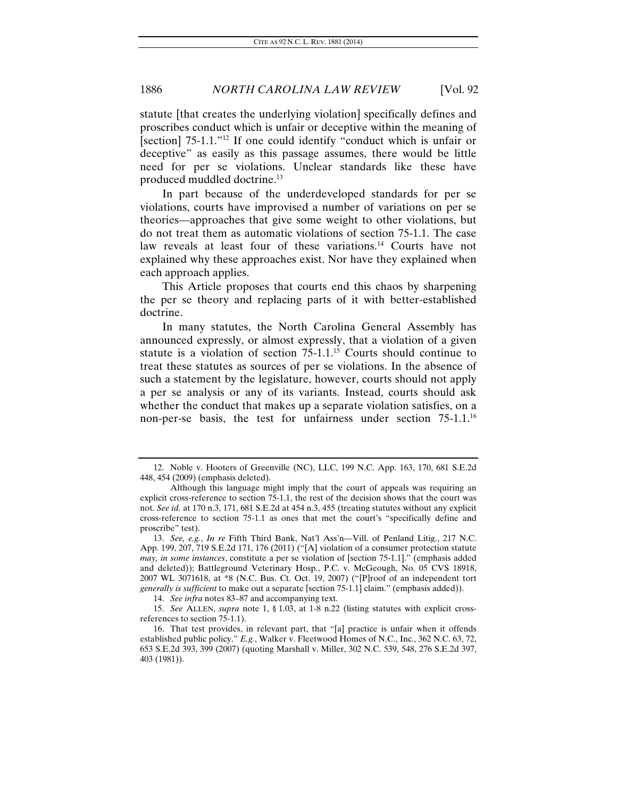statute [that creates the underlying violation] specifically defines and proscribes conduct which is unfair or deceptive within the meaning of [section] 75-1.1."<sup>12</sup> If one could identify "conduct which is unfair or deceptive" as easily as this passage assumes, there would be little need for per se violations. Unclear standards like these have produced muddled doctrine.<sup>13</sup>

In part because of the underdeveloped standards for per se violations, courts have improvised a number of variations on per se theories—approaches that give some weight to other violations, but do not treat them as automatic violations of section 75-1.1. The case law reveals at least four of these variations.<sup>14</sup> Courts have not explained why these approaches exist. Nor have they explained when each approach applies.

This Article proposes that courts end this chaos by sharpening the per se theory and replacing parts of it with better-established doctrine.

In many statutes, the North Carolina General Assembly has announced expressly, or almost expressly, that a violation of a given statute is a violation of section  $75{\text -}1.1^{15}$  Courts should continue to treat these statutes as sources of per se violations. In the absence of such a statement by the legislature, however, courts should not apply a per se analysis or any of its variants. Instead, courts should ask whether the conduct that makes up a separate violation satisfies, on a non-per-se basis, the test for unfairness under section 75-1.1.<sup>16</sup>

 <sup>12.</sup> Noble v. Hooters of Greenville (NC), LLC, 199 N.C. App. 163, 170, 681 S.E.2d 448, 454 (2009) (emphasis deleted).

Although this language might imply that the court of appeals was requiring an explicit cross-reference to section 75-1.1, the rest of the decision shows that the court was not. *See id.* at 170 n.3, 171, 681 S.E.2d at 454 n.3, 455 (treating statutes without any explicit cross-reference to section 75-1.1 as ones that met the court's "specifically define and proscribe" test).

<sup>13.</sup> *See, e.g.*, *In re* Fifth Third Bank, Nat'l Ass'n—Vill. of Penland Litig., 217 N.C. App. 199, 207, 719 S.E.2d 171, 176 (2011) ("[A] violation of a consumer protection statute *may, in some instances*, constitute a per se violation of [section 75-1.1]." (emphasis added and deleted)); Battleground Veterinary Hosp., P.C. v. McGeough, No. 05 CVS 18918, 2007 WL 3071618, at \*8 (N.C. Bus. Ct. Oct. 19, 2007) ("[P]roof of an independent tort *generally is sufficient* to make out a separate [section 75-1.1] claim." (emphasis added)).

<sup>14.</sup> *See infra* notes 83–87 and accompanying text.

<sup>15.</sup> *See* ALLEN, *supra* note 1, § 1.03, at 1-8 n.22 (listing statutes with explicit crossreferences to section 75-1.1).

 <sup>16.</sup> That test provides, in relevant part, that "[a] practice is unfair when it offends established public policy." *E.g.*, Walker v. Fleetwood Homes of N.C., Inc., 362 N.C. 63, 72, 653 S.E.2d 393, 399 (2007) (quoting Marshall v. Miller, 302 N.C. 539, 548, 276 S.E.2d 397, 403 (1981)).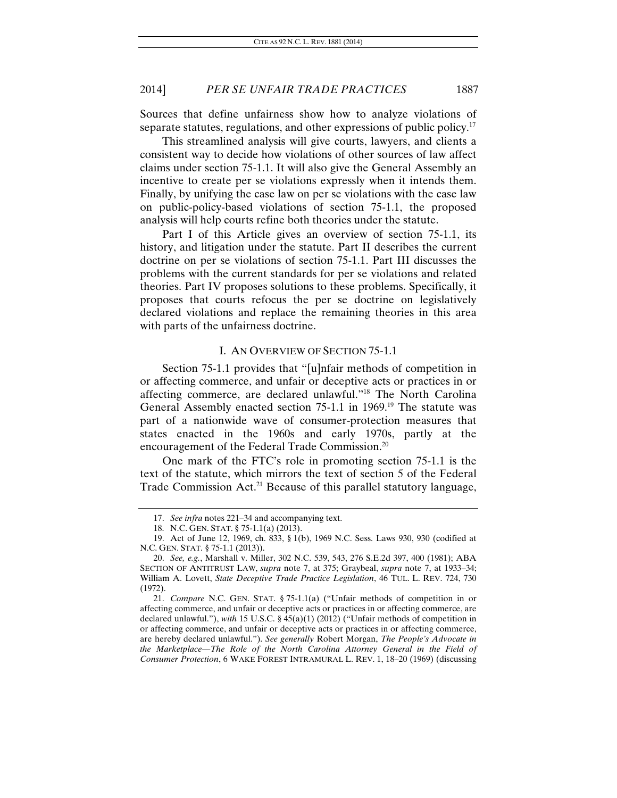Sources that define unfairness show how to analyze violations of separate statutes, regulations, and other expressions of public policy.<sup>17</sup>

This streamlined analysis will give courts, lawyers, and clients a consistent way to decide how violations of other sources of law affect claims under section 75-1.1. It will also give the General Assembly an incentive to create per se violations expressly when it intends them. Finally, by unifying the case law on per se violations with the case law on public-policy-based violations of section 75-1.1, the proposed analysis will help courts refine both theories under the statute.

Part I of this Article gives an overview of section 75-1.1, its history, and litigation under the statute. Part II describes the current doctrine on per se violations of section 75-1.1. Part III discusses the problems with the current standards for per se violations and related theories. Part IV proposes solutions to these problems. Specifically, it proposes that courts refocus the per se doctrine on legislatively declared violations and replace the remaining theories in this area with parts of the unfairness doctrine.

#### I. AN OVERVIEW OF SECTION 75-1.1

Section 75-1.1 provides that "[u]nfair methods of competition in or affecting commerce, and unfair or deceptive acts or practices in or affecting commerce, are declared unlawful."18 The North Carolina General Assembly enacted section 75-1.1 in 1969.19 The statute was part of a nationwide wave of consumer-protection measures that states enacted in the 1960s and early 1970s, partly at the encouragement of the Federal Trade Commission.20

One mark of the FTC's role in promoting section 75-1.1 is the text of the statute, which mirrors the text of section 5 of the Federal Trade Commission Act.<sup>21</sup> Because of this parallel statutory language,

<sup>17.</sup> *See infra* notes 221–34 and accompanying text.

 <sup>18.</sup> N.C. GEN. STAT. § 75-1.1(a) (2013).

 <sup>19.</sup> Act of June 12, 1969, ch. 833, § 1(b), 1969 N.C. Sess. Laws 930, 930 (codified at N.C. GEN. STAT. § 75-1.1 (2013)).

<sup>20.</sup> *See, e.g.*, Marshall v. Miller, 302 N.C. 539, 543, 276 S.E.2d 397, 400 (1981); ABA SECTION OF ANTITRUST LAW, *supra* note 7, at 375; Graybeal, *supra* note 7, at 1933–34; William A. Lovett, *State Deceptive Trade Practice Legislation*, 46 TUL. L. REV. 724, 730 (1972).

<sup>21.</sup> *Compare* N.C. GEN. STAT. § 75-1.1(a) ("Unfair methods of competition in or affecting commerce, and unfair or deceptive acts or practices in or affecting commerce, are declared unlawful."), *with* 15 U.S.C. § 45(a)(1) (2012) ("Unfair methods of competition in or affecting commerce, and unfair or deceptive acts or practices in or affecting commerce, are hereby declared unlawful."). *See generally* Robert Morgan, *The People's Advocate in the Marketplace—The Role of the North Carolina Attorney General in the Field of Consumer Protection*, 6 WAKE FOREST INTRAMURAL L. REV. 1, 18–20 (1969) (discussing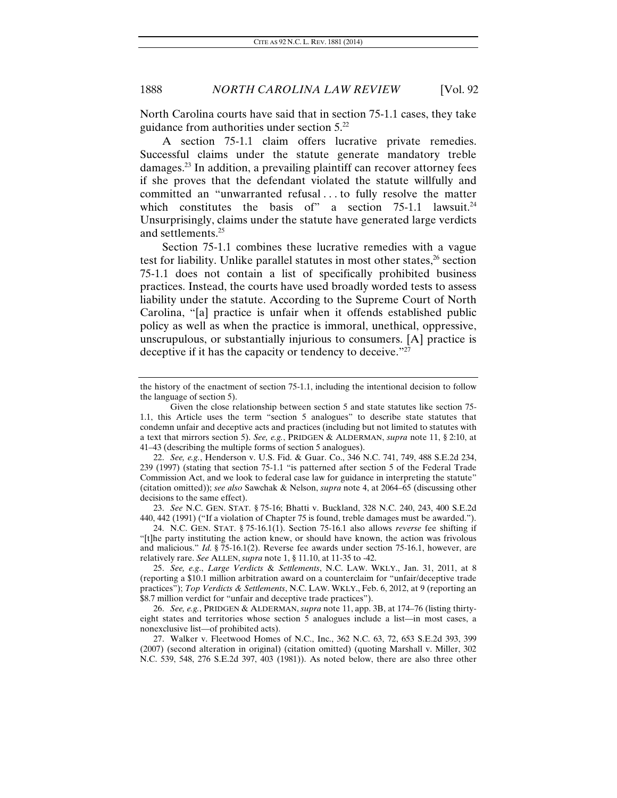North Carolina courts have said that in section 75-1.1 cases, they take guidance from authorities under section 5.22

A section 75-1.1 claim offers lucrative private remedies. Successful claims under the statute generate mandatory treble damages.23 In addition, a prevailing plaintiff can recover attorney fees if she proves that the defendant violated the statute willfully and committed an "unwarranted refusal . . . to fully resolve the matter which constitutes the basis of" a section  $75{\text -}1.1$  lawsuit.<sup>24</sup> Unsurprisingly, claims under the statute have generated large verdicts and settlements.25

Section 75-1.1 combines these lucrative remedies with a vague test for liability. Unlike parallel statutes in most other states, $26$  section 75-1.1 does not contain a list of specifically prohibited business practices. Instead, the courts have used broadly worded tests to assess liability under the statute. According to the Supreme Court of North Carolina, "[a] practice is unfair when it offends established public policy as well as when the practice is immoral, unethical, oppressive, unscrupulous, or substantially injurious to consumers. [A] practice is deceptive if it has the capacity or tendency to deceive."27

23. *See* N.C. GEN. STAT. § 75-16; Bhatti v. Buckland, 328 N.C. 240, 243, 400 S.E.2d 440, 442 (1991) ("If a violation of Chapter 75 is found, treble damages must be awarded.").

 24. N.C. GEN. STAT. § 75-16.1(1). Section 75-16.1 also allows *reverse* fee shifting if "[t]he party instituting the action knew, or should have known, the action was frivolous and malicious." *Id.* § 75-16.1(2). Reverse fee awards under section 75-16.1, however, are relatively rare. *See* ALLEN, *supra* note 1, § 11.10, at 11-35 to -42.

25. *See, e.g*., *Large Verdicts* & *Settlements*, N.C. LAW. WKLY., Jan. 31, 2011, at 8 (reporting a \$10.1 million arbitration award on a counterclaim for "unfair/deceptive trade practices"); *Top Verdicts & Settlements*, N.C. LAW. WKLY., Feb. 6, 2012, at 9 (reporting an \$8.7 million verdict for "unfair and deceptive trade practices").

26. *See, e.g.*, PRIDGEN & ALDERMAN, *supra* note 11, app. 3B, at 174–76 (listing thirtyeight states and territories whose section 5 analogues include a list—in most cases, a nonexclusive list—of prohibited acts).

 27. Walker v. Fleetwood Homes of N.C., Inc., 362 N.C. 63, 72, 653 S.E.2d 393, 399 (2007) (second alteration in original) (citation omitted) (quoting Marshall v. Miller, 302 N.C. 539, 548, 276 S.E.2d 397, 403 (1981)). As noted below, there are also three other

the history of the enactment of section 75-1.1, including the intentional decision to follow the language of section 5).

Given the close relationship between section 5 and state statutes like section 75- 1.1, this Article uses the term "section 5 analogues" to describe state statutes that condemn unfair and deceptive acts and practices (including but not limited to statutes with a text that mirrors section 5). *See, e.g.*, PRIDGEN & ALDERMAN, *supra* note 11, § 2:10, at 41–43 (describing the multiple forms of section 5 analogues).

<sup>22.</sup> *See, e.g.*, Henderson v. U.S. Fid. & Guar. Co., 346 N.C. 741, 749, 488 S.E.2d 234, 239 (1997) (stating that section 75-1.1 "is patterned after section 5 of the Federal Trade Commission Act, and we look to federal case law for guidance in interpreting the statute" (citation omitted)); *see also* Sawchak & Nelson, *supra* note 4, at 2064–65 (discussing other decisions to the same effect).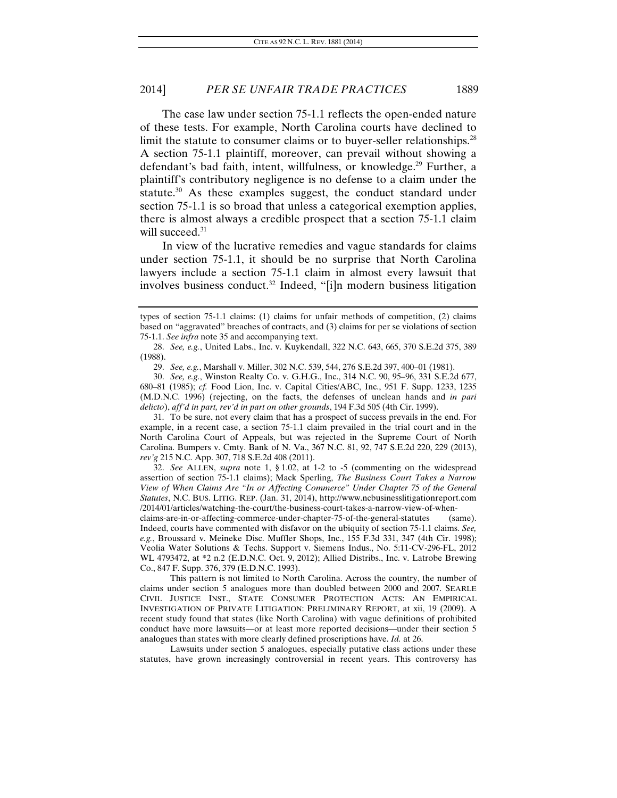The case law under section 75-1.1 reflects the open-ended nature of these tests. For example, North Carolina courts have declined to limit the statute to consumer claims or to buyer-seller relationships.<sup>28</sup> A section 75-1.1 plaintiff, moreover, can prevail without showing a defendant's bad faith, intent, willfulness, or knowledge.<sup>29</sup> Further, a plaintiff's contributory negligence is no defense to a claim under the statute.<sup>30</sup> As these examples suggest, the conduct standard under section 75-1.1 is so broad that unless a categorical exemption applies, there is almost always a credible prospect that a section 75-1.1 claim will succeed.<sup>31</sup>

In view of the lucrative remedies and vague standards for claims under section 75-1.1, it should be no surprise that North Carolina lawyers include a section 75-1.1 claim in almost every lawsuit that involves business conduct.<sup>32</sup> Indeed, "[i]n modern business litigation

 31. To be sure, not every claim that has a prospect of success prevails in the end. For example, in a recent case, a section 75-1.1 claim prevailed in the trial court and in the North Carolina Court of Appeals, but was rejected in the Supreme Court of North Carolina. Bumpers v. Cmty. Bank of N. Va., 367 N.C. 81, 92, 747 S.E.2d 220, 229 (2013), *rev'g* 215 N.C. App. 307, 718 S.E.2d 408 (2011).

32. *See* ALLEN, *supra* note 1, § 1.02, at 1-2 to -5 (commenting on the widespread assertion of section 75-1.1 claims); Mack Sperling, *The Business Court Takes a Narrow View of When Claims Are "In or Affecting Commerce" Under Chapter 75 of the General Statutes*, N.C. BUS. LITIG. REP. (Jan. 31, 2014), http://www.ncbusinesslitigationreport.com /2014/01/articles/watching-the-court/the-business-court-takes-a-narrow-view-of-when-

claims-are-in-or-affecting-commerce-under-chapter-75-of-the-general-statutes (same). Indeed, courts have commented with disfavor on the ubiquity of section 75-1.1 claims. *See, e.g.*, Broussard v. Meineke Disc. Muffler Shops, Inc., 155 F.3d 331, 347 (4th Cir. 1998); Veolia Water Solutions & Techs. Support v. Siemens Indus., No. 5:11-CV-296-FL, 2012 WL 4793472, at \*2 n.2 (E.D.N.C. Oct. 9, 2012); Allied Distribs., Inc. v. Latrobe Brewing Co., 847 F. Supp. 376, 379 (E.D.N.C. 1993).

 This pattern is not limited to North Carolina. Across the country, the number of claims under section 5 analogues more than doubled between 2000 and 2007. SEARLE CIVIL JUSTICE INST., STATE CONSUMER PROTECTION ACTS: AN EMPIRICAL INVESTIGATION OF PRIVATE LITIGATION: PRELIMINARY REPORT, at xii, 19 (2009). A recent study found that states (like North Carolina) with vague definitions of prohibited conduct have more lawsuits—or at least more reported decisions—under their section 5 analogues than states with more clearly defined proscriptions have. *Id.* at 26.

 Lawsuits under section 5 analogues, especially putative class actions under these statutes, have grown increasingly controversial in recent years. This controversy has

types of section 75-1.1 claims: (1) claims for unfair methods of competition, (2) claims based on "aggravated" breaches of contracts, and (3) claims for per se violations of section 75-1.1. *See infra* note 35 and accompanying text.

<sup>28.</sup> *See, e.g.*, United Labs., Inc. v. Kuykendall, 322 N.C. 643, 665, 370 S.E.2d 375, 389 (1988).

<sup>29.</sup> *See, e.g.*, Marshall v. Miller, 302 N.C. 539, 544, 276 S.E.2d 397, 400–01 (1981).

<sup>30.</sup> *See, e.g.*, Winston Realty Co. v. G.H.G., Inc., 314 N.C. 90, 95–96, 331 S.E.2d 677, 680–81 (1985); *cf.* Food Lion, Inc. v. Capital Cities/ABC, Inc., 951 F. Supp. 1233, 1235 (M.D.N.C. 1996) (rejecting, on the facts, the defenses of unclean hands and *in pari delicto*), *aff'd in part, rev'd in part on other grounds*, 194 F.3d 505 (4th Cir. 1999).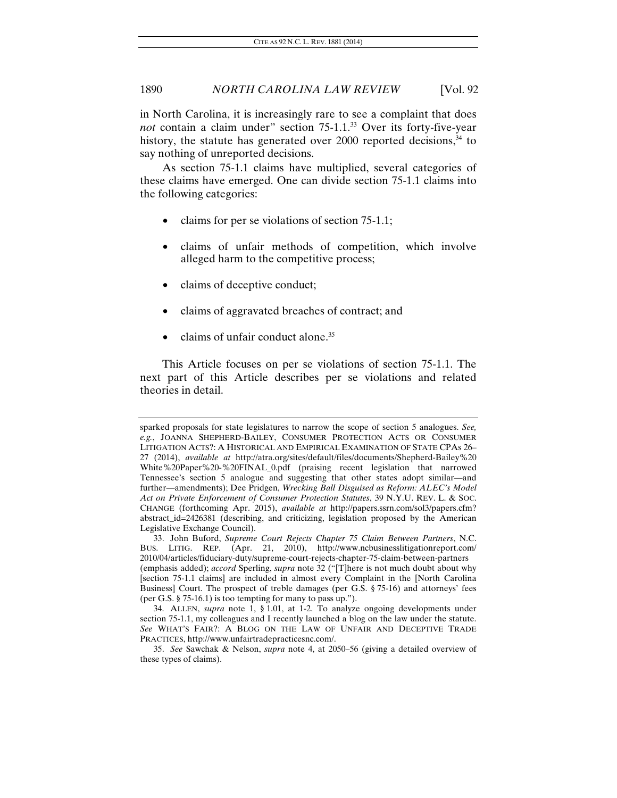in North Carolina, it is increasingly rare to see a complaint that does *not* contain a claim under" section 75-1.1.<sup>33</sup> Over its forty-five-year history, the statute has generated over  $2000$  reported decisions,  $34$  to say nothing of unreported decisions.

As section 75-1.1 claims have multiplied, several categories of these claims have emerged. One can divide section 75-1.1 claims into the following categories:

- claims for per se violations of section 75-1.1;
- claims of unfair methods of competition, which involve alleged harm to the competitive process;
- claims of deceptive conduct;
- claims of aggravated breaches of contract; and
- claims of unfair conduct alone.<sup>35</sup>

This Article focuses on per se violations of section 75-1.1. The next part of this Article describes per se violations and related theories in detail.

sparked proposals for state legislatures to narrow the scope of section 5 analogues. *See, e.g.*, JOANNA SHEPHERD-BAILEY, CONSUMER PROTECTION ACTS OR CONSUMER LITIGATION ACTS?: A HISTORICAL AND EMPIRICAL EXAMINATION OF STATE CPAs 26– 27 (2014), *available at* http://atra.org/sites/default/files/documents/Shepherd-Bailey%20 White%20Paper%20-%20FINAL\_0.pdf (praising recent legislation that narrowed Tennessee's section 5 analogue and suggesting that other states adopt similar—and further—amendments); Dee Pridgen, *Wrecking Ball Disguised as Reform: ALEC's Model Act on Private Enforcement of Consumer Protection Statutes*, 39 N.Y.U. REV. L. & SOC. CHANGE (forthcoming Apr. 2015), *available at* http://papers.ssrn.com/sol3/papers.cfm? abstract\_id=2426381 (describing, and criticizing, legislation proposed by the American Legislative Exchange Council).

 <sup>33.</sup> John Buford, *Supreme Court Rejects Chapter 75 Claim Between Partners*, N.C. BUS. LITIG. REP. (Apr. 21, 2010), http://www.ncbusinesslitigationreport.com/ 2010/04/articles/fiduciary-duty/supreme-court-rejects-chapter-75-claim-between-partners (emphasis added); *accord* Sperling, *supra* note 32 ("[T]here is not much doubt about why [section 75-1.1 claims] are included in almost every Complaint in the [North Carolina Business] Court. The prospect of treble damages (per G.S. § 75-16) and attorneys' fees (per G.S. § 75-16.1) is too tempting for many to pass up.").

 <sup>34.</sup> ALLEN, *supra* note 1, § 1.01, at 1-2. To analyze ongoing developments under section 75-1.1, my colleagues and I recently launched a blog on the law under the statute. *See* WHAT'S FAIR?: A BLOG ON THE LAW OF UNFAIR AND DECEPTIVE TRADE PRACTICES, http://www.unfairtradepracticesnc.com/.

<sup>35.</sup> *See* Sawchak & Nelson, *supra* note 4, at 2050–56 (giving a detailed overview of these types of claims).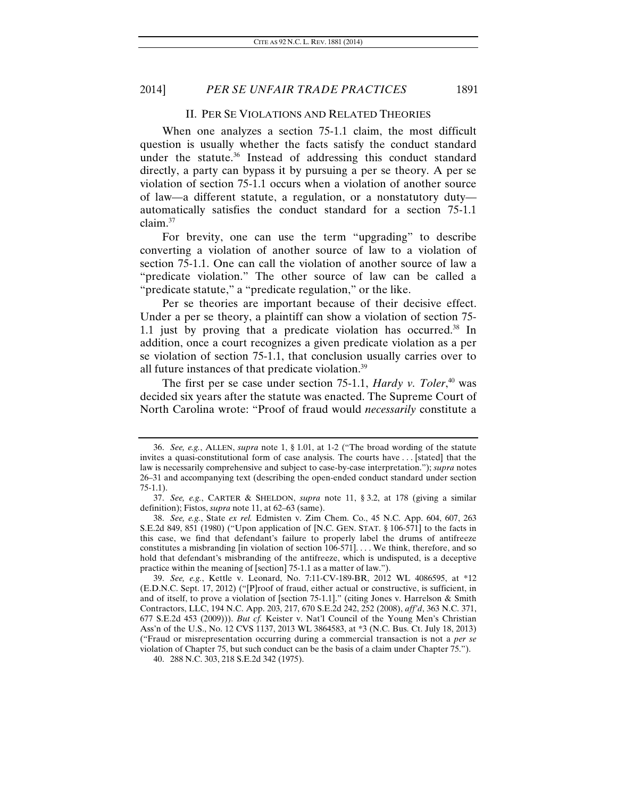#### II. PER SE VIOLATIONS AND RELATED THEORIES

When one analyzes a section 75-1.1 claim, the most difficult question is usually whether the facts satisfy the conduct standard under the statute.<sup>36</sup> Instead of addressing this conduct standard directly, a party can bypass it by pursuing a per se theory. A per se violation of section 75-1.1 occurs when a violation of another source of law—a different statute, a regulation, or a nonstatutory duty automatically satisfies the conduct standard for a section 75-1.1 claim.37

For brevity, one can use the term "upgrading" to describe converting a violation of another source of law to a violation of section 75-1.1. One can call the violation of another source of law a "predicate violation." The other source of law can be called a "predicate statute," a "predicate regulation," or the like.

Per se theories are important because of their decisive effect. Under a per se theory, a plaintiff can show a violation of section 75- 1.1 just by proving that a predicate violation has occurred.<sup>38</sup> In addition, once a court recognizes a given predicate violation as a per se violation of section 75-1.1, that conclusion usually carries over to all future instances of that predicate violation.39

The first per se case under section 75-1.1, *Hardy v. Toler*, 40 was decided six years after the statute was enacted. The Supreme Court of North Carolina wrote: "Proof of fraud would *necessarily* constitute a

40. 288 N.C. 303, 218 S.E.2d 342 (1975).

<sup>36.</sup> *See, e.g.*, ALLEN, *supra* note 1, § 1.01, at 1-2 ("The broad wording of the statute invites a quasi-constitutional form of case analysis. The courts have . . . [stated] that the law is necessarily comprehensive and subject to case-by-case interpretation."); *supra* notes 26–31 and accompanying text (describing the open-ended conduct standard under section 75-1.1).

<sup>37.</sup> *See, e.g.*, CARTER & SHELDON, *supra* note 11, § 3.2, at 178 (giving a similar definition); Fistos, *supra* note 11, at 62–63 (same).

<sup>38.</sup> *See, e.g.*, State *ex rel.* Edmisten v. Zim Chem. Co., 45 N.C. App. 604, 607, 263 S.E.2d 849, 851 (1980) ("Upon application of [N.C. GEN. STAT. § 106-571] to the facts in this case, we find that defendant's failure to properly label the drums of antifreeze constitutes a misbranding [in violation of section 106-571]. . . . We think, therefore, and so hold that defendant's misbranding of the antifreeze, which is undisputed, is a deceptive practice within the meaning of [section] 75-1.1 as a matter of law.").

<sup>39.</sup> *See, e.g.*, Kettle v. Leonard, No. 7:11-CV-189-BR, 2012 WL 4086595, at \*12 (E.D.N.C. Sept. 17, 2012) ("[P]roof of fraud, either actual or constructive, is sufficient, in and of itself, to prove a violation of [section 75-1.1]." (citing Jones v. Harrelson & Smith Contractors, LLC, 194 N.C. App. 203, 217, 670 S.E.2d 242, 252 (2008), *aff'd*, 363 N.C. 371, 677 S.E.2d 453 (2009))). *But cf.* Keister v. Nat'l Council of the Young Men's Christian Ass'n of the U.S., No. 12 CVS 1137, 2013 WL 3864583, at \*3 (N.C. Bus. Ct. July 18, 2013) ("Fraud or misrepresentation occurring during a commercial transaction is not a *per se* violation of Chapter 75, but such conduct can be the basis of a claim under Chapter 75.").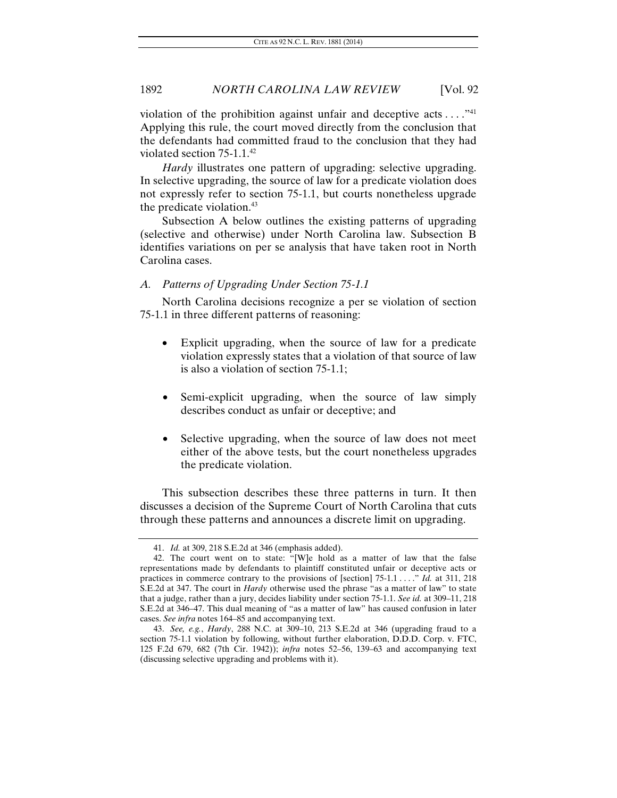violation of the prohibition against unfair and deceptive acts  $\dots$ ."<sup>41</sup> Applying this rule, the court moved directly from the conclusion that the defendants had committed fraud to the conclusion that they had violated section 75-1.1.42

*Hardy* illustrates one pattern of upgrading: selective upgrading. In selective upgrading, the source of law for a predicate violation does not expressly refer to section 75-1.1, but courts nonetheless upgrade the predicate violation.<sup>43</sup>

Subsection A below outlines the existing patterns of upgrading (selective and otherwise) under North Carolina law. Subsection B identifies variations on per se analysis that have taken root in North Carolina cases.

#### *A. Patterns of Upgrading Under Section 75-1.1*

North Carolina decisions recognize a per se violation of section 75-1.1 in three different patterns of reasoning:

- Explicit upgrading, when the source of law for a predicate violation expressly states that a violation of that source of law is also a violation of section 75-1.1;
- Semi-explicit upgrading, when the source of law simply describes conduct as unfair or deceptive; and
- Selective upgrading, when the source of law does not meet either of the above tests, but the court nonetheless upgrades the predicate violation.

This subsection describes these three patterns in turn. It then discusses a decision of the Supreme Court of North Carolina that cuts through these patterns and announces a discrete limit on upgrading.

<sup>41.</sup> *Id.* at 309, 218 S.E.2d at 346 (emphasis added).

 <sup>42.</sup> The court went on to state: "[W]e hold as a matter of law that the false representations made by defendants to plaintiff constituted unfair or deceptive acts or practices in commerce contrary to the provisions of [section] 75-1.1 . . . ." *Id.* at 311, 218 S.E.2d at 347. The court in *Hardy* otherwise used the phrase "as a matter of law" to state that a judge, rather than a jury, decides liability under section 75-1.1. *See id.* at 309–11, 218 S.E.2d at 346–47. This dual meaning of "as a matter of law" has caused confusion in later cases. *See infra* notes 164–85 and accompanying text.

<sup>43.</sup> *See, e.g.*, *Hardy*, 288 N.C. at 309–10, 213 S.E.2d at 346 (upgrading fraud to a section 75-1.1 violation by following, without further elaboration, D.D.D. Corp. v. FTC, 125 F.2d 679, 682 (7th Cir. 1942)); *infra* notes 52–56, 139–63 and accompanying text (discussing selective upgrading and problems with it).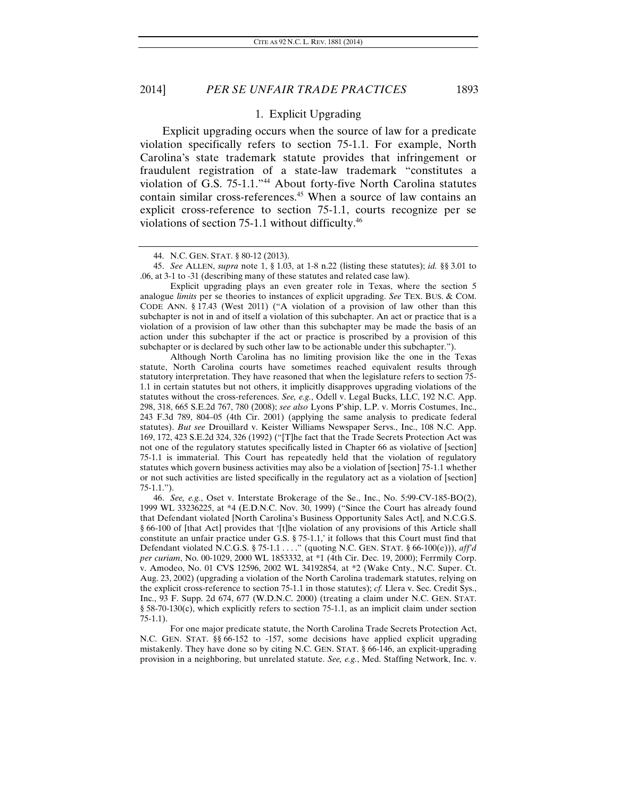1. Explicit Upgrading

Explicit upgrading occurs when the source of law for a predicate violation specifically refers to section 75-1.1. For example, North Carolina's state trademark statute provides that infringement or fraudulent registration of a state-law trademark "constitutes a violation of G.S. 75-1.1."44 About forty-five North Carolina statutes contain similar cross-references.<sup>45</sup> When a source of law contains an explicit cross-reference to section 75-1.1, courts recognize per se violations of section 75-1.1 without difficulty.46

 Explicit upgrading plays an even greater role in Texas, where the section 5 analogue *limits* per se theories to instances of explicit upgrading. *See* TEX. BUS. & COM. CODE ANN. § 17.43 (West 2011) ("A violation of a provision of law other than this subchapter is not in and of itself a violation of this subchapter. An act or practice that is a violation of a provision of law other than this subchapter may be made the basis of an action under this subchapter if the act or practice is proscribed by a provision of this subchapter or is declared by such other law to be actionable under this subchapter.").

 Although North Carolina has no limiting provision like the one in the Texas statute, North Carolina courts have sometimes reached equivalent results through statutory interpretation. They have reasoned that when the legislature refers to section 75- 1.1 in certain statutes but not others, it implicitly disapproves upgrading violations of the statutes without the cross-references. *See, e.g.*, Odell v. Legal Bucks, LLC, 192 N.C. App. 298, 318, 665 S.E.2d 767, 780 (2008); *see also* Lyons P'ship, L.P. v. Morris Costumes, Inc., 243 F.3d 789, 804–05 (4th Cir. 2001) (applying the same analysis to predicate federal statutes). *But see* Drouillard v. Keister Williams Newspaper Servs., Inc., 108 N.C. App. 169, 172, 423 S.E.2d 324, 326 (1992) ("[T]he fact that the Trade Secrets Protection Act was not one of the regulatory statutes specifically listed in Chapter 66 as violative of [section] 75-1.1 is immaterial. This Court has repeatedly held that the violation of regulatory statutes which govern business activities may also be a violation of [section] 75-1.1 whether or not such activities are listed specifically in the regulatory act as a violation of [section] 75-1.1.").

46. *See, e.g.*, Oset v. Interstate Brokerage of the Se., Inc., No. 5:99-CV-185-BO(2), 1999 WL 33236225, at \*4 (E.D.N.C. Nov. 30, 1999) ("Since the Court has already found that Defendant violated [North Carolina's Business Opportunity Sales Act], and N.C.G.S. § 66-100 of [that Act] provides that '[t]he violation of any provisions of this Article shall constitute an unfair practice under G.S. § 75-1.1,' it follows that this Court must find that Defendant violated N.C.G.S. § 75-1.1 . . . ." (quoting N.C. GEN. STAT. § 66-100(e))), *aff'd per curiam*, No. 00-1029, 2000 WL 1853332, at \*1 (4th Cir. Dec. 19, 2000); Ferrmily Corp. v. Amodeo, No. 01 CVS 12596, 2002 WL 34192854, at \*2 (Wake Cnty., N.C. Super. Ct. Aug. 23, 2002) (upgrading a violation of the North Carolina trademark statutes, relying on the explicit cross-reference to section 75-1.1 in those statutes); *cf.* Llera v. Sec. Credit Sys., Inc., 93 F. Supp. 2d 674, 677 (W.D.N.C. 2000) (treating a claim under N.C. GEN. STAT. § 58-70-130(c), which explicitly refers to section 75-1.1, as an implicit claim under section 75-1.1).

 For one major predicate statute, the North Carolina Trade Secrets Protection Act, N.C. GEN. STAT. §§ 66-152 to -157, some decisions have applied explicit upgrading mistakenly. They have done so by citing N.C. GEN. STAT. § 66-146, an explicit-upgrading provision in a neighboring, but unrelated statute. *See, e.g.*, Med. Staffing Network, Inc. v.

 <sup>44.</sup> N.C. GEN. STAT. § 80-12 (2013).

<sup>45.</sup> *See* ALLEN, *supra* note 1, § 1.03, at 1-8 n.22 (listing these statutes); *id.* §§ 3.01 to .06, at 3-1 to -31 (describing many of these statutes and related case law).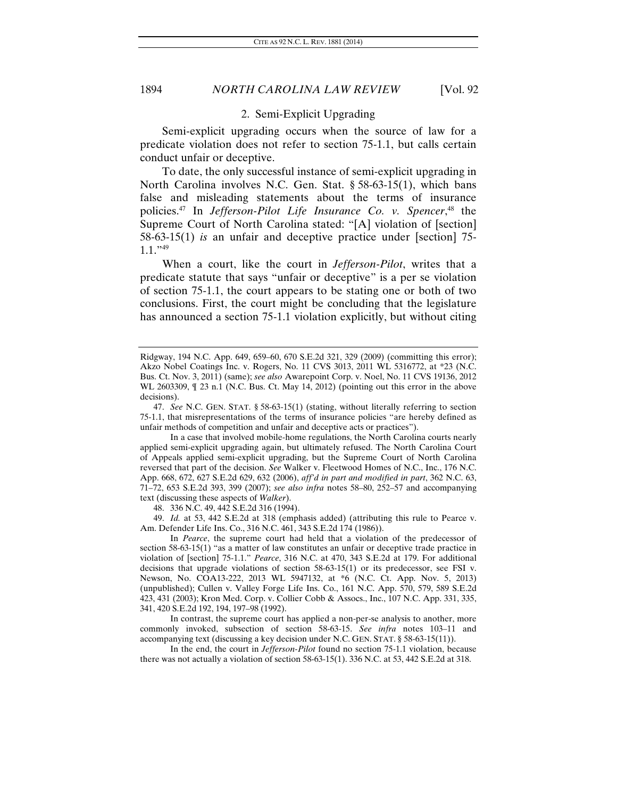#### 2. Semi-Explicit Upgrading

Semi-explicit upgrading occurs when the source of law for a predicate violation does not refer to section 75-1.1, but calls certain conduct unfair or deceptive.

To date, the only successful instance of semi-explicit upgrading in North Carolina involves N.C. Gen. Stat. § 58-63-15(1), which bans false and misleading statements about the terms of insurance policies.47 In *Jefferson-Pilot Life Insurance Co. v. Spencer*, 48 the Supreme Court of North Carolina stated: "[A] violation of [section] 58-63-15(1) *is* an unfair and deceptive practice under [section] 75-  $1.1$ ."49

When a court, like the court in *Jefferson-Pilot*, writes that a predicate statute that says "unfair or deceptive" is a per se violation of section 75-1.1, the court appears to be stating one or both of two conclusions. First, the court might be concluding that the legislature has announced a section 75-1.1 violation explicitly, but without citing

48. 336 N.C. 49, 442 S.E.2d 316 (1994).

49. *Id.* at 53, 442 S.E.2d at 318 (emphasis added) (attributing this rule to Pearce v. Am. Defender Life Ins. Co., 316 N.C. 461, 343 S.E.2d 174 (1986)).

 In *Pearce*, the supreme court had held that a violation of the predecessor of section 58-63-15(1) "as a matter of law constitutes an unfair or deceptive trade practice in violation of [section] 75-1.1." *Pearce*, 316 N.C. at 470, 343 S.E.2d at 179. For additional decisions that upgrade violations of section 58-63-15(1) or its predecessor, see FSI v. Newson, No. COA13-222, 2013 WL 5947132, at \*6 (N.C. Ct. App. Nov. 5, 2013) (unpublished); Cullen v. Valley Forge Life Ins. Co., 161 N.C. App. 570, 579, 589 S.E.2d 423, 431 (2003); Kron Med. Corp. v. Collier Cobb & Assocs., Inc., 107 N.C. App. 331, 335, 341, 420 S.E.2d 192, 194, 197–98 (1992).

 In contrast, the supreme court has applied a non-per-se analysis to another, more commonly invoked, subsection of section 58-63-15. *See infra* notes 103–11 and accompanying text (discussing a key decision under N.C. GEN. STAT. § 58-63-15(11)).

 In the end, the court in *Jefferson-Pilot* found no section 75-1.1 violation, because there was not actually a violation of section 58-63-15(1). 336 N.C. at 53, 442 S.E.2d at 318.

Ridgway, 194 N.C. App. 649, 659–60, 670 S.E.2d 321, 329 (2009) (committing this error); Akzo Nobel Coatings Inc. v. Rogers, No. 11 CVS 3013, 2011 WL 5316772, at \*23 (N.C. Bus. Ct. Nov. 3, 2011) (same); *see also* Awarepoint Corp. v. Noel, No. 11 CVS 19136, 2012 WL 2603309, ¶ 23 n.1 (N.C. Bus. Ct. May 14, 2012) (pointing out this error in the above decisions).

<sup>47.</sup> *See* N.C. GEN. STAT. § 58-63-15(1) (stating, without literally referring to section 75-1.1, that misrepresentations of the terms of insurance policies "are hereby defined as unfair methods of competition and unfair and deceptive acts or practices").

In a case that involved mobile-home regulations, the North Carolina courts nearly applied semi-explicit upgrading again, but ultimately refused. The North Carolina Court of Appeals applied semi-explicit upgrading, but the Supreme Court of North Carolina reversed that part of the decision. *See* Walker v. Fleetwood Homes of N.C., Inc., 176 N.C. App. 668, 672, 627 S.E.2d 629, 632 (2006), *aff'd in part and modified in part*, 362 N.C. 63, 71–72, 653 S.E.2d 393, 399 (2007); *see also infra* notes 58–80, 252–57 and accompanying text (discussing these aspects of *Walker*).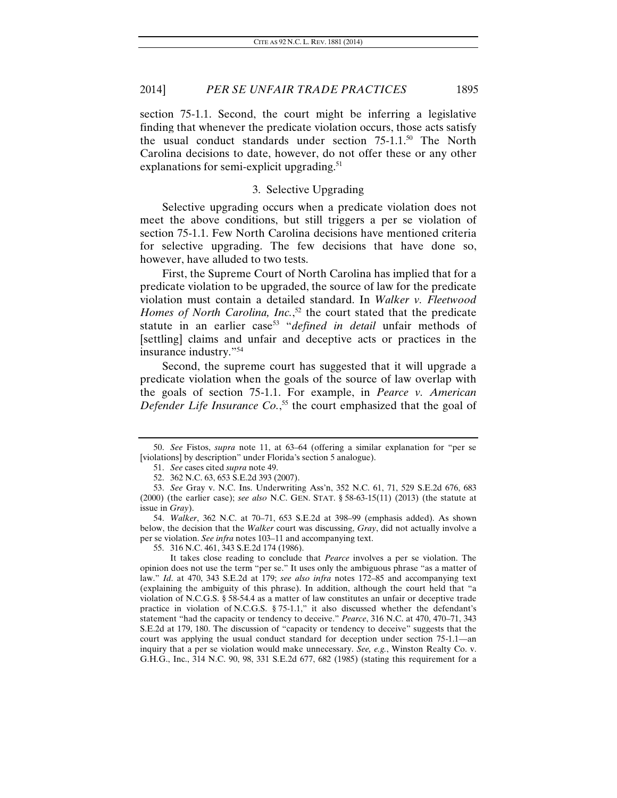section 75-1.1. Second, the court might be inferring a legislative finding that whenever the predicate violation occurs, those acts satisfy the usual conduct standards under section  $75{\text -}1.1^{50}$  The North Carolina decisions to date, however, do not offer these or any other explanations for semi-explicit upgrading.<sup>51</sup>

#### 3. Selective Upgrading

Selective upgrading occurs when a predicate violation does not meet the above conditions, but still triggers a per se violation of section 75-1.1. Few North Carolina decisions have mentioned criteria for selective upgrading. The few decisions that have done so, however, have alluded to two tests.

First, the Supreme Court of North Carolina has implied that for a predicate violation to be upgraded, the source of law for the predicate violation must contain a detailed standard. In *Walker v. Fleetwood Homes of North Carolina, Inc.*, 52 the court stated that the predicate statute in an earlier case<sup>53</sup> "*defined in detail* unfair methods of [settling] claims and unfair and deceptive acts or practices in the insurance industry."54

Second, the supreme court has suggested that it will upgrade a predicate violation when the goals of the source of law overlap with the goals of section 75-1.1. For example, in *Pearce v. American Defender Life Insurance Co.*, 55 the court emphasized that the goal of

55. 316 N.C. 461, 343 S.E.2d 174 (1986).

<sup>50.</sup> *See* Fistos, *supra* note 11, at 63–64 (offering a similar explanation for "per se [violations] by description" under Florida's section 5 analogue).

<sup>51.</sup> *See* cases cited *supra* note 49.

 <sup>52. 362</sup> N.C. 63, 653 S.E.2d 393 (2007).

<sup>53.</sup> *See* Gray v. N.C. Ins. Underwriting Ass'n, 352 N.C. 61, 71, 529 S.E.2d 676, 683 (2000) (the earlier case); *see also* N.C. GEN. STAT. § 58-63-15(11) (2013) (the statute at issue in *Gray*).

<sup>54.</sup> *Walker*, 362 N.C. at 70–71, 653 S.E.2d at 398–99 (emphasis added). As shown below, the decision that the *Walker* court was discussing, *Gray*, did not actually involve a per se violation. *See infra* notes 103–11 and accompanying text.

It takes close reading to conclude that *Pearce* involves a per se violation. The opinion does not use the term "per se." It uses only the ambiguous phrase "as a matter of law." *Id*. at 470, 343 S.E.2d at 179; *see also infra* notes 172–85 and accompanying text (explaining the ambiguity of this phrase). In addition, although the court held that "a violation of N.C.G.S. § 58-54.4 as a matter of law constitutes an unfair or deceptive trade practice in violation of N.C.G.S. § 75-1.1," it also discussed whether the defendant's statement "had the capacity or tendency to deceive." *Pearce*, 316 N.C. at 470, 470–71, 343 S.E.2d at 179, 180. The discussion of "capacity or tendency to deceive" suggests that the court was applying the usual conduct standard for deception under section 75-1.1—an inquiry that a per se violation would make unnecessary. *See, e.g.*, Winston Realty Co. v. G.H.G., Inc., 314 N.C. 90, 98, 331 S.E.2d 677, 682 (1985) (stating this requirement for a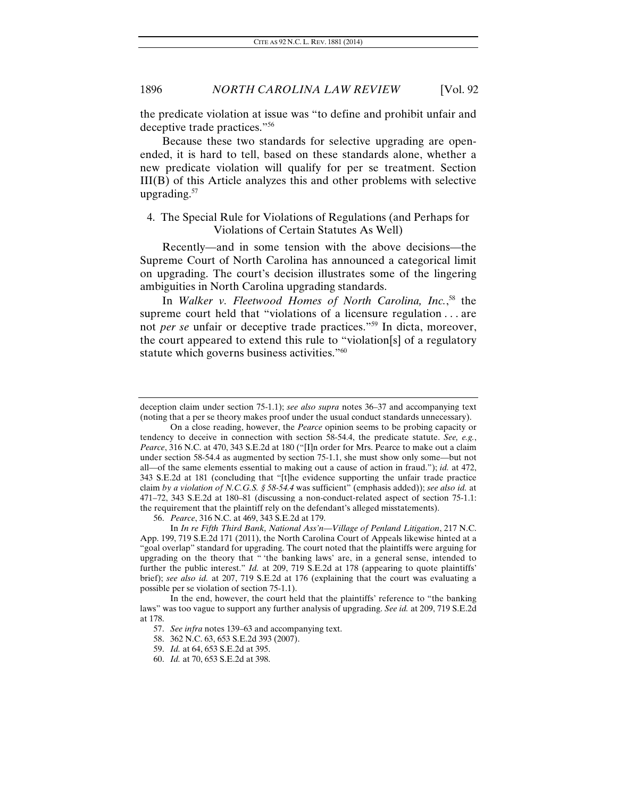the predicate violation at issue was "to define and prohibit unfair and deceptive trade practices."56

Because these two standards for selective upgrading are openended, it is hard to tell, based on these standards alone, whether a new predicate violation will qualify for per se treatment. Section III(B) of this Article analyzes this and other problems with selective upgrading.<sup>57</sup>

#### 4. The Special Rule for Violations of Regulations (and Perhaps for Violations of Certain Statutes As Well)

Recently—and in some tension with the above decisions—the Supreme Court of North Carolina has announced a categorical limit on upgrading. The court's decision illustrates some of the lingering ambiguities in North Carolina upgrading standards.

In *Walker v. Fleetwood Homes of North Carolina, Inc.*, 58 the supreme court held that "violations of a licensure regulation . . . are not *per se* unfair or deceptive trade practices."59 In dicta, moreover, the court appeared to extend this rule to "violation[s] of a regulatory statute which governs business activities."<sup>60</sup>

56. *Pearce*, 316 N.C. at 469, 343 S.E.2d at 179.

 In *In re Fifth Third Bank, National Ass'n—Village of Penland Litigation*, 217 N.C. App. 199, 719 S.E.2d 171 (2011), the North Carolina Court of Appeals likewise hinted at a "goal overlap" standard for upgrading. The court noted that the plaintiffs were arguing for upgrading on the theory that " 'the banking laws' are, in a general sense, intended to further the public interest." *Id.* at 209, 719 S.E.2d at 178 (appearing to quote plaintiffs' brief); *see also id.* at 207, 719 S.E.2d at 176 (explaining that the court was evaluating a possible per se violation of section 75-1.1).

deception claim under section 75-1.1); *see also supra* notes 36–37 and accompanying text (noting that a per se theory makes proof under the usual conduct standards unnecessary).

On a close reading, however, the *Pearce* opinion seems to be probing capacity or tendency to deceive in connection with section 58-54.4, the predicate statute. *See, e.g.*, *Pearce*, 316 N.C. at 470, 343 S.E.2d at 180 ("[I]n order for Mrs. Pearce to make out a claim under section 58-54.4 as augmented by section 75-1.1, she must show only some—but not all—of the same elements essential to making out a cause of action in fraud."); *id.* at 472, 343 S.E.2d at 181 (concluding that "[t]he evidence supporting the unfair trade practice claim *by a violation of N.C.G.S. § 58-54.4* was sufficient" (emphasis added)); *see also id.* at 471–72, 343 S.E.2d at 180–81 (discussing a non-conduct-related aspect of section 75-1.1: the requirement that the plaintiff rely on the defendant's alleged misstatements).

In the end, however, the court held that the plaintiffs' reference to "the banking laws" was too vague to support any further analysis of upgrading. *See id.* at 209, 719 S.E.2d at 178.

<sup>57.</sup> *See infra* notes 139–63 and accompanying text.

 <sup>58. 362</sup> N.C. 63, 653 S.E.2d 393 (2007).

<sup>59.</sup> *Id.* at 64, 653 S.E.2d at 395.

<sup>60.</sup> *Id.* at 70, 653 S.E.2d at 398.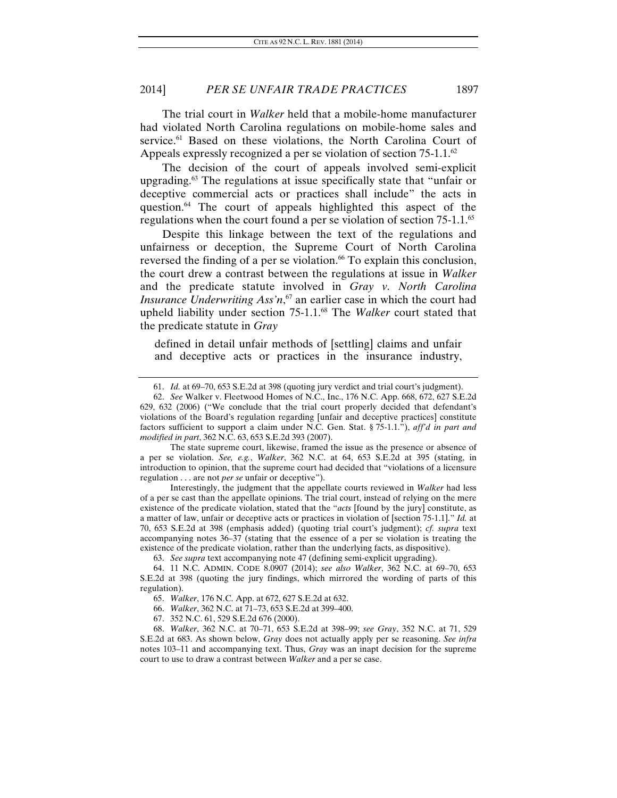The trial court in *Walker* held that a mobile-home manufacturer had violated North Carolina regulations on mobile-home sales and service.<sup>61</sup> Based on these violations, the North Carolina Court of Appeals expressly recognized a per se violation of section 75-1.1.<sup>62</sup>

The decision of the court of appeals involved semi-explicit upgrading.63 The regulations at issue specifically state that "unfair or deceptive commercial acts or practices shall include" the acts in question.64 The court of appeals highlighted this aspect of the regulations when the court found a per se violation of section 75-1.1.65

Despite this linkage between the text of the regulations and unfairness or deception, the Supreme Court of North Carolina reversed the finding of a per se violation.<sup>66</sup> To explain this conclusion, the court drew a contrast between the regulations at issue in *Walker* and the predicate statute involved in *Gray v. North Carolina Insurance Underwriting Ass'n*, 67 an earlier case in which the court had upheld liability under section 75-1.1.68 The *Walker* court stated that the predicate statute in *Gray*

defined in detail unfair methods of [settling] claims and unfair and deceptive acts or practices in the insurance industry,

 The state supreme court, likewise, framed the issue as the presence or absence of a per se violation. *See, e.g.*, *Walker*, 362 N.C. at 64, 653 S.E.2d at 395 (stating, in introduction to opinion, that the supreme court had decided that "violations of a licensure regulation . . . are not *per se* unfair or deceptive").

 Interestingly, the judgment that the appellate courts reviewed in *Walker* had less of a per se cast than the appellate opinions. The trial court, instead of relying on the mere existence of the predicate violation, stated that the "*acts* [found by the jury] constitute, as a matter of law, unfair or deceptive acts or practices in violation of [section 75-1.1]." *Id.* at 70, 653 S.E.2d at 398 (emphasis added) (quoting trial court's judgment); *cf. supra* text accompanying notes 36–37 (stating that the essence of a per se violation is treating the existence of the predicate violation, rather than the underlying facts, as dispositive).

63. *See supra* text accompanying note 47 (defining semi-explicit upgrading).

<sup>61.</sup> *Id.* at 69–70, 653 S.E.2d at 398 (quoting jury verdict and trial court's judgment).

<sup>62.</sup> *See* Walker v. Fleetwood Homes of N.C., Inc., 176 N.C. App. 668, 672, 627 S.E.2d 629, 632 (2006) ("We conclude that the trial court properly decided that defendant's violations of the Board's regulation regarding [unfair and deceptive practices] constitute factors sufficient to support a claim under N.C. Gen. Stat. § 75-1.1."), *aff'd in part and modified in part*, 362 N.C. 63, 653 S.E.2d 393 (2007).

 <sup>64. 11</sup> N.C. ADMIN. CODE 8.0907 (2014); *see also Walker*, 362 N.C. at 69–70, 653 S.E.2d at 398 (quoting the jury findings, which mirrored the wording of parts of this regulation).

<sup>65.</sup> *Walker*, 176 N.C. App. at 672, 627 S.E.2d at 632.

<sup>66.</sup> *Walker*, 362 N.C. at 71–73, 653 S.E.2d at 399–400.

 <sup>67. 352</sup> N.C. 61, 529 S.E.2d 676 (2000).

<sup>68.</sup> *Walker*, 362 N.C. at 70–71, 653 S.E.2d at 398–99; *see Gray*, 352 N.C. at 71, 529 S.E.2d at 683. As shown below, *Gray* does not actually apply per se reasoning. *See infra* notes 103–11 and accompanying text. Thus, *Gray* was an inapt decision for the supreme court to use to draw a contrast between *Walker* and a per se case.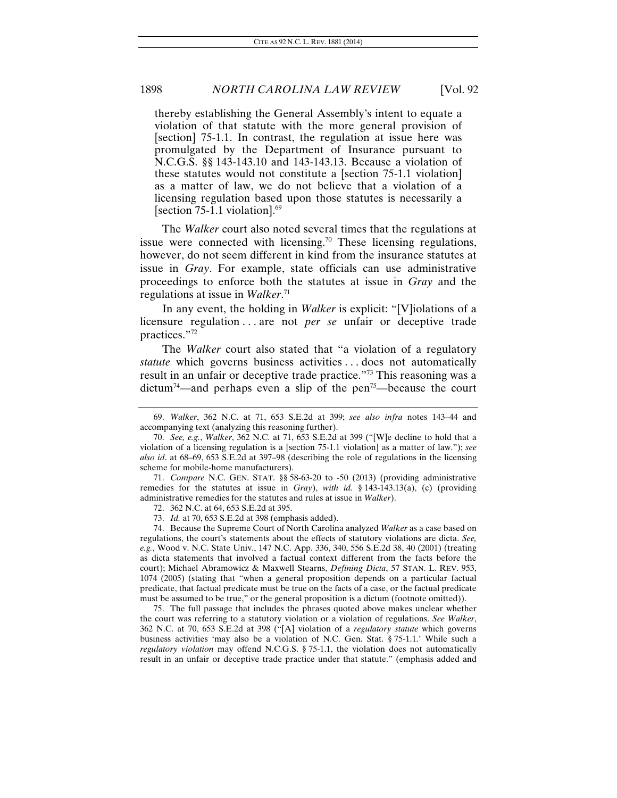thereby establishing the General Assembly's intent to equate a violation of that statute with the more general provision of [section] 75-1.1. In contrast, the regulation at issue here was promulgated by the Department of Insurance pursuant to N.C.G.S. §§ 143-143.10 and 143-143.13. Because a violation of these statutes would not constitute a [section 75-1.1 violation] as a matter of law, we do not believe that a violation of a licensing regulation based upon those statutes is necessarily a [section 75-1.1 violation].<sup>69</sup>

The *Walker* court also noted several times that the regulations at issue were connected with licensing.<sup>70</sup> These licensing regulations, however, do not seem different in kind from the insurance statutes at issue in *Gray*. For example, state officials can use administrative proceedings to enforce both the statutes at issue in *Gray* and the regulations at issue in *Walker*. 71

In any event, the holding in *Walker* is explicit: "[V]iolations of a licensure regulation . . . are not *per se* unfair or deceptive trade practices."72

The *Walker* court also stated that "a violation of a regulatory *statute* which governs business activities ... does not automatically result in an unfair or deceptive trade practice."73 This reasoning was a dictum<sup>74</sup>—and perhaps even a slip of the pen<sup>75</sup>—because the court

 75. The full passage that includes the phrases quoted above makes unclear whether the court was referring to a statutory violation or a violation of regulations. *See Walker*, 362 N.C. at 70, 653 S.E.2d at 398 ("[A] violation of a *regulatory statute* which governs business activities 'may also be a violation of N.C. Gen. Stat. § 75-1.1.' While such a *regulatory violation* may offend N.C.G.S. § 75-1.1, the violation does not automatically result in an unfair or deceptive trade practice under that statute." (emphasis added and

<sup>69.</sup> *Walker*, 362 N.C. at 71, 653 S.E.2d at 399; *see also infra* notes 143–44 and accompanying text (analyzing this reasoning further).

<sup>70.</sup> *See, e.g.*, *Walker*, 362 N.C. at 71, 653 S.E.2d at 399 ("[W]e decline to hold that a violation of a licensing regulation is a [section 75-1.1 violation] as a matter of law."); *see also id*. at 68–69, 653 S.E.2d at 397–98 (describing the role of regulations in the licensing scheme for mobile-home manufacturers).

<sup>71.</sup> *Compare* N.C. GEN. STAT. §§ 58-63-20 to -50 (2013) (providing administrative remedies for the statutes at issue in *Gray*), *with id.* § 143-143.13(a), (c) (providing administrative remedies for the statutes and rules at issue in *Walker*).

<sup>72.</sup> 362 N.C. at 64, 653 S.E.2d at 395.

<sup>73.</sup> *Id.* at 70, 653 S.E.2d at 398 (emphasis added).

 <sup>74.</sup> Because the Supreme Court of North Carolina analyzed *Walker* as a case based on regulations, the court's statements about the effects of statutory violations are dicta. *See, e.g.*, Wood v. N.C. State Univ., 147 N.C. App. 336, 340, 556 S.E.2d 38, 40 (2001) (treating as dicta statements that involved a factual context different from the facts before the court); Michael Abramowicz & Maxwell Stearns, *Defining Dicta*, 57 STAN. L. REV. 953, 1074 (2005) (stating that "when a general proposition depends on a particular factual predicate, that factual predicate must be true on the facts of a case, or the factual predicate must be assumed to be true," or the general proposition is a dictum (footnote omitted)).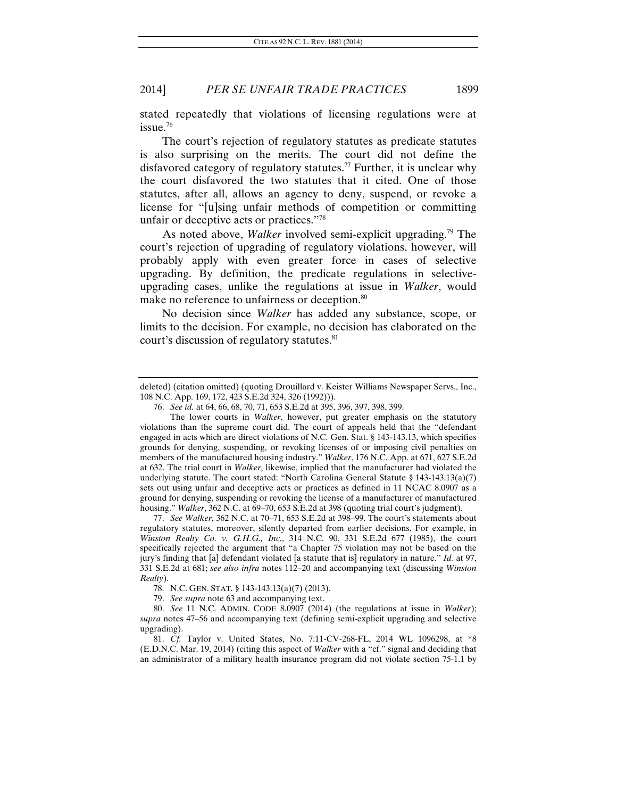stated repeatedly that violations of licensing regulations were at issue.76

The court's rejection of regulatory statutes as predicate statutes is also surprising on the merits. The court did not define the disfavored category of regulatory statutes.<sup>77</sup> Further, it is unclear why the court disfavored the two statutes that it cited. One of those statutes, after all, allows an agency to deny, suspend, or revoke a license for "[u]sing unfair methods of competition or committing unfair or deceptive acts or practices."78

As noted above, *Walker* involved semi-explicit upgrading.<sup>79</sup> The court's rejection of upgrading of regulatory violations, however, will probably apply with even greater force in cases of selective upgrading. By definition, the predicate regulations in selectiveupgrading cases, unlike the regulations at issue in *Walker*, would make no reference to unfairness or deception.<sup>80</sup>

No decision since *Walker* has added any substance, scope, or limits to the decision. For example, no decision has elaborated on the court's discussion of regulatory statutes.<sup>81</sup>

77. *See Walker*, 362 N.C. at 70–71, 653 S.E.2d at 398–99. The court's statements about regulatory statutes, moreover, silently departed from earlier decisions. For example, in *Winston Realty Co. v. G.H.G., Inc.*, 314 N.C. 90, 331 S.E.2d 677 (1985), the court specifically rejected the argument that "a Chapter 75 violation may not be based on the jury's finding that [a] defendant violated [a statute that is] regulatory in nature." *Id.* at 97, 331 S.E.2d at 681; *see also infra* notes 112–20 and accompanying text (discussing *Winston Realty*).

deleted) (citation omitted) (quoting Drouillard v. Keister Williams Newspaper Servs., Inc., 108 N.C. App. 169, 172, 423 S.E.2d 324, 326 (1992))).

<sup>76.</sup> *See id.* at 64, 66, 68, 70, 71, 653 S.E.2d at 395, 396, 397, 398, 399.

The lower courts in *Walker*, however, put greater emphasis on the statutory violations than the supreme court did. The court of appeals held that the "defendant engaged in acts which are direct violations of N.C. Gen. Stat. § 143-143.13, which specifies grounds for denying, suspending, or revoking licenses of or imposing civil penalties on members of the manufactured housing industry." *Walker*, 176 N.C. App. at 671, 627 S.E.2d at 632. The trial court in *Walker*, likewise, implied that the manufacturer had violated the underlying statute. The court stated: "North Carolina General Statute § 143-143.13(a)(7) sets out using unfair and deceptive acts or practices as defined in 11 NCAC 8.0907 as a ground for denying, suspending or revoking the license of a manufacturer of manufactured housing." *Walker*, 362 N.C. at 69–70, 653 S.E.2d at 398 (quoting trial court's judgment).

 <sup>78.</sup> N.C. GEN. STAT. § 143-143.13(a)(7) (2013).

<sup>79.</sup> *See supra* note 63 and accompanying text.

<sup>80.</sup> *See* 11 N.C. ADMIN. CODE 8.0907 (2014) (the regulations at issue in *Walker*); *supra* notes 47–56 and accompanying text (defining semi-explicit upgrading and selective upgrading).

<sup>81.</sup> *Cf.* Taylor v. United States, No. 7:11-CV-268-FL, 2014 WL 1096298, at \*8 (E.D.N.C. Mar. 19, 2014) (citing this aspect of *Walker* with a "cf." signal and deciding that an administrator of a military health insurance program did not violate section 75-1.1 by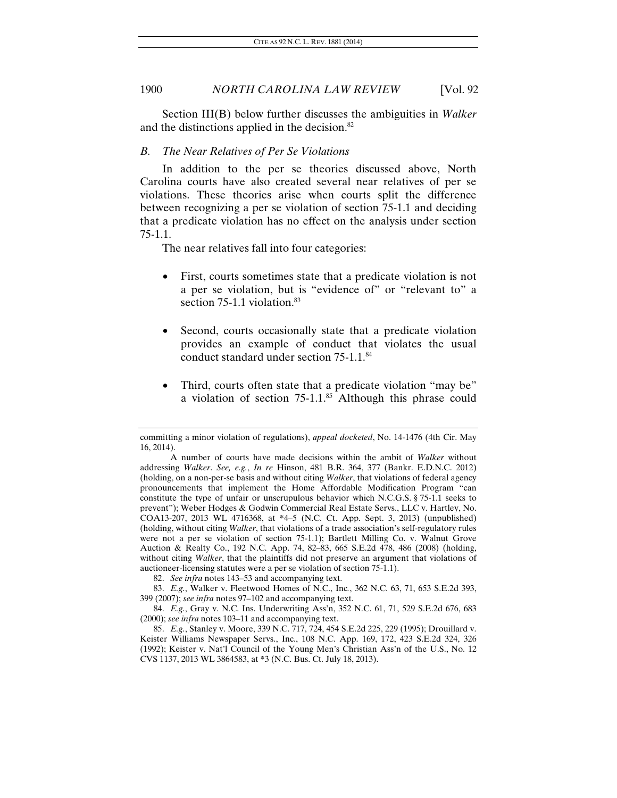Section III(B) below further discusses the ambiguities in *Walker* and the distinctions applied in the decision.<sup>82</sup>

#### *B. The Near Relatives of Per Se Violations*

In addition to the per se theories discussed above, North Carolina courts have also created several near relatives of per se violations. These theories arise when courts split the difference between recognizing a per se violation of section 75-1.1 and deciding that a predicate violation has no effect on the analysis under section 75-1.1.

The near relatives fall into four categories:

- First, courts sometimes state that a predicate violation is not a per se violation, but is "evidence of" or "relevant to" a section 75-1.1 violation.<sup>83</sup>
- Second, courts occasionally state that a predicate violation provides an example of conduct that violates the usual conduct standard under section 75-1.1.84
- Third, courts often state that a predicate violation "may be" a violation of section 75-1.1.<sup>85</sup> Although this phrase could

82. *See infra* notes 143–53 and accompanying text.

83. *E.g.*, Walker v. Fleetwood Homes of N.C., Inc*.*, 362 N.C. 63, 71, 653 S.E.2d 393, 399 (2007); *see infra* notes 97–102 and accompanying text.

84. *E.g.*, Gray v. N.C. Ins. Underwriting Ass'n, 352 N.C. 61, 71, 529 S.E.2d 676, 683 (2000); *see infra* notes 103–11 and accompanying text.

85. *E.g.*, Stanley v. Moore, 339 N.C. 717, 724, 454 S.E.2d 225, 229 (1995); Drouillard v. Keister Williams Newspaper Servs., Inc., 108 N.C. App. 169, 172, 423 S.E.2d 324, 326 (1992); Keister v. Nat'l Council of the Young Men's Christian Ass'n of the U.S., No. 12 CVS 1137, 2013 WL 3864583, at \*3 (N.C. Bus. Ct. July 18, 2013).

committing a minor violation of regulations), *appeal docketed*, No. 14-1476 (4th Cir. May 16, 2014).

A number of courts have made decisions within the ambit of *Walker* without addressing *Walker*. *See, e.g.*, *In re* Hinson, 481 B.R. 364, 377 (Bankr. E.D.N.C. 2012) (holding, on a non-per-se basis and without citing *Walker*, that violations of federal agency pronouncements that implement the Home Affordable Modification Program "can constitute the type of unfair or unscrupulous behavior which N.C.G.S. § 75-1.1 seeks to prevent"); Weber Hodges & Godwin Commercial Real Estate Servs., LLC v. Hartley, No. COA13-207, 2013 WL 4716368, at \*4–5 (N.C. Ct. App. Sept. 3, 2013) (unpublished) (holding, without citing *Walker*, that violations of a trade association's self-regulatory rules were not a per se violation of section 75-1.1); Bartlett Milling Co. v. Walnut Grove Auction & Realty Co., 192 N.C. App. 74, 82–83, 665 S.E.2d 478, 486 (2008) (holding, without citing *Walker*, that the plaintiffs did not preserve an argument that violations of auctioneer-licensing statutes were a per se violation of section 75-1.1).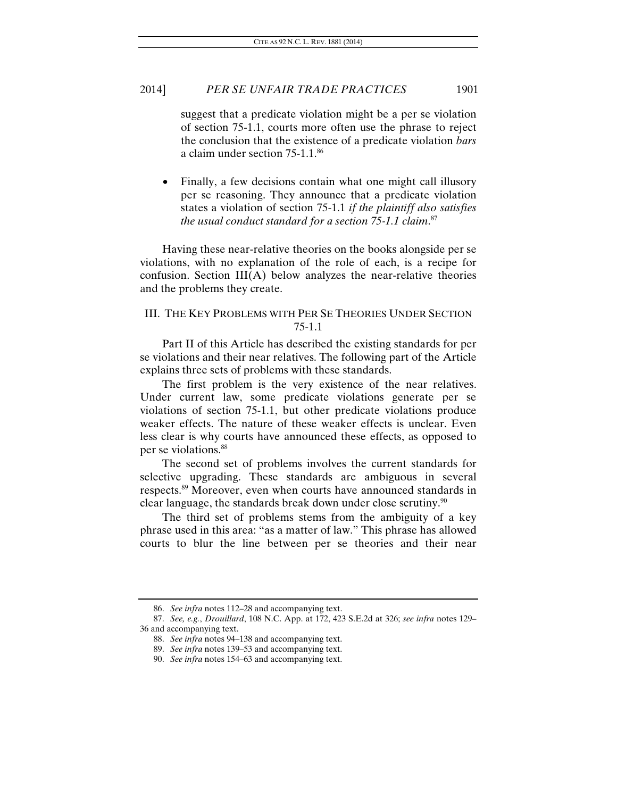suggest that a predicate violation might be a per se violation of section 75-1.1, courts more often use the phrase to reject the conclusion that the existence of a predicate violation *bars* a claim under section 75-1.1.86

• Finally, a few decisions contain what one might call illusory per se reasoning. They announce that a predicate violation states a violation of section 75-1.1 *if the plaintiff also satisfies the usual conduct standard for a section 75-1.1 claim*. 87

Having these near-relative theories on the books alongside per se violations, with no explanation of the role of each, is a recipe for confusion. Section  $III(A)$  below analyzes the near-relative theories and the problems they create.

#### III. THE KEY PROBLEMS WITH PER SE THEORIES UNDER SECTION 75-1.1

Part II of this Article has described the existing standards for per se violations and their near relatives. The following part of the Article explains three sets of problems with these standards.

The first problem is the very existence of the near relatives. Under current law, some predicate violations generate per se violations of section 75-1.1, but other predicate violations produce weaker effects. The nature of these weaker effects is unclear. Even less clear is why courts have announced these effects, as opposed to per se violations.88

The second set of problems involves the current standards for selective upgrading. These standards are ambiguous in several respects.89 Moreover, even when courts have announced standards in clear language, the standards break down under close scrutiny.<sup>90</sup>

The third set of problems stems from the ambiguity of a key phrase used in this area: "as a matter of law." This phrase has allowed courts to blur the line between per se theories and their near

<sup>86.</sup> *See infra* notes 112–28 and accompanying text.

<sup>87.</sup> *See, e.g.*, *Drouillard*, 108 N.C. App. at 172, 423 S.E.2d at 326; *see infra* notes 129– 36 and accompanying text.

<sup>88.</sup> *See infra* notes 94–138 and accompanying text.

<sup>89.</sup> *See infra* notes 139–53 and accompanying text.

<sup>90.</sup> *See infra* notes 154–63 and accompanying text.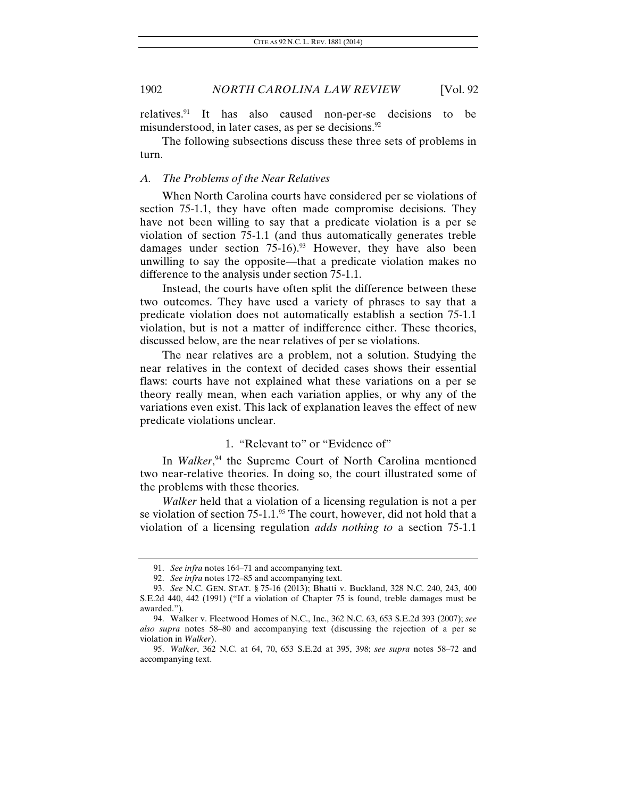relatives.91 It has also caused non-per-se decisions to be misunderstood, in later cases, as per se decisions. $92$ 

The following subsections discuss these three sets of problems in turn.

#### *A. The Problems of the Near Relatives*

When North Carolina courts have considered per se violations of section 75-1.1, they have often made compromise decisions. They have not been willing to say that a predicate violation is a per se violation of section 75-1.1 (and thus automatically generates treble damages under section  $75{\text -}16$ .<sup>93</sup> However, they have also been unwilling to say the opposite—that a predicate violation makes no difference to the analysis under section 75-1.1.

Instead, the courts have often split the difference between these two outcomes. They have used a variety of phrases to say that a predicate violation does not automatically establish a section 75-1.1 violation, but is not a matter of indifference either. These theories, discussed below, are the near relatives of per se violations.

The near relatives are a problem, not a solution. Studying the near relatives in the context of decided cases shows their essential flaws: courts have not explained what these variations on a per se theory really mean, when each variation applies, or why any of the variations even exist. This lack of explanation leaves the effect of new predicate violations unclear.

# 1. "Relevant to" or "Evidence of"

In *Walker*,<sup>94</sup> the Supreme Court of North Carolina mentioned two near-relative theories. In doing so, the court illustrated some of the problems with these theories.

*Walker* held that a violation of a licensing regulation is not a per se violation of section 75-1.1.<sup>95</sup> The court, however, did not hold that a violation of a licensing regulation *adds nothing to* a section 75-1.1

<sup>91.</sup> *See infra* notes 164–71 and accompanying text.

<sup>92.</sup> *See infra* notes 172–85 and accompanying text.

<sup>93.</sup> *See* N.C. GEN. STAT. § 75-16 (2013); Bhatti v. Buckland, 328 N.C. 240, 243, 400 S.E.2d 440, 442 (1991) ("If a violation of Chapter 75 is found, treble damages must be awarded.").

 <sup>94.</sup> Walker v. Fleetwood Homes of N.C., Inc., 362 N.C. 63, 653 S.E.2d 393 (2007); *see also supra* notes 58–80 and accompanying text (discussing the rejection of a per se violation in *Walker*).

<sup>95.</sup> *Walker*, 362 N.C. at 64, 70, 653 S.E.2d at 395, 398; *see supra* notes 58–72 and accompanying text.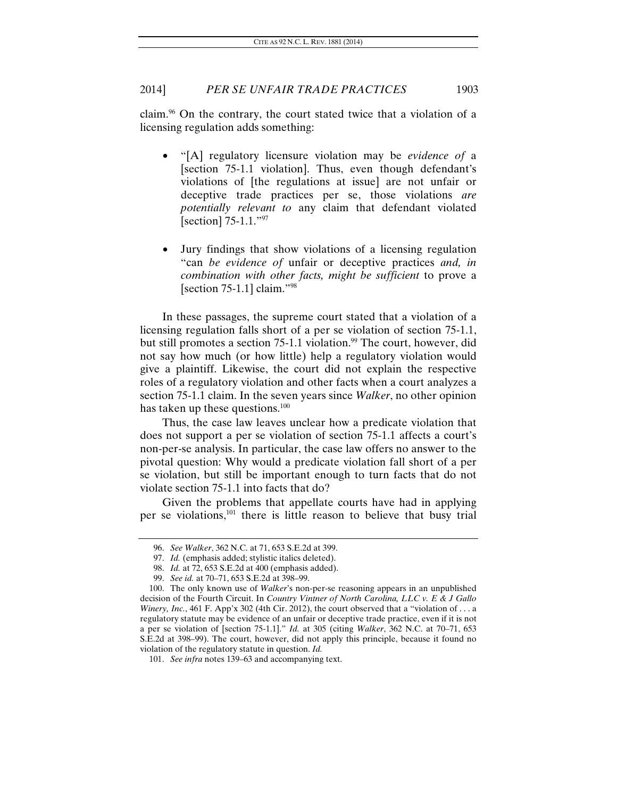claim.96 On the contrary, the court stated twice that a violation of a licensing regulation adds something:

- "[A] regulatory licensure violation may be *evidence of* a [section 75-1.1 violation]. Thus, even though defendant's violations of [the regulations at issue] are not unfair or deceptive trade practices per se, those violations *are potentially relevant to* any claim that defendant violated [section] 75-1.1."<sup>97</sup>
- Jury findings that show violations of a licensing regulation "can *be evidence of* unfair or deceptive practices *and, in combination with other facts, might be sufficient* to prove a [section 75-1.1] claim."98

In these passages, the supreme court stated that a violation of a licensing regulation falls short of a per se violation of section 75-1.1, but still promotes a section 75-1.1 violation.<sup>99</sup> The court, however, did not say how much (or how little) help a regulatory violation would give a plaintiff. Likewise, the court did not explain the respective roles of a regulatory violation and other facts when a court analyzes a section 75-1.1 claim. In the seven years since *Walker*, no other opinion has taken up these questions.<sup>100</sup>

Thus, the case law leaves unclear how a predicate violation that does not support a per se violation of section 75-1.1 affects a court's non-per-se analysis. In particular, the case law offers no answer to the pivotal question: Why would a predicate violation fall short of a per se violation, but still be important enough to turn facts that do not violate section 75-1.1 into facts that do?

Given the problems that appellate courts have had in applying per se violations,101 there is little reason to believe that busy trial

<sup>96.</sup> *See Walker*, 362 N.C. at 71, 653 S.E.2d at 399.

<sup>97.</sup> *Id.* (emphasis added; stylistic italics deleted).

<sup>98.</sup> *Id.* at 72, 653 S.E.2d at 400 (emphasis added).

<sup>99.</sup> *See id.* at 70–71, 653 S.E.2d at 398–99.

 <sup>100.</sup> The only known use of *Walker*'s non-per-se reasoning appears in an unpublished decision of the Fourth Circuit. In *Country Vintner of North Carolina, LLC v. E & J Gallo Winery, Inc.*, 461 F. App'x 302 (4th Cir. 2012), the court observed that a "violation of ... a regulatory statute may be evidence of an unfair or deceptive trade practice, even if it is not a per se violation of [section 75-1.1]." *Id.* at 305 (citing *Walker*, 362 N.C. at 70–71, 653 S.E.2d at 398–99). The court, however, did not apply this principle, because it found no violation of the regulatory statute in question. *Id.*

<sup>101.</sup> *See infra* notes 139–63 and accompanying text.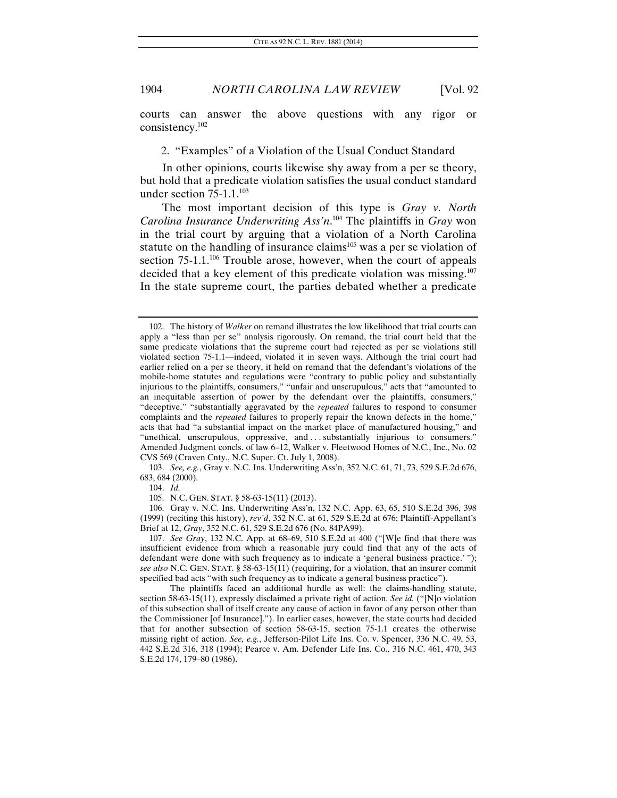courts can answer the above questions with any rigor or consistency.102

2. "Examples" of a Violation of the Usual Conduct Standard

In other opinions, courts likewise shy away from a per se theory, but hold that a predicate violation satisfies the usual conduct standard under section  $75-1.1$ .<sup>103</sup>

The most important decision of this type is *Gray v. North Carolina Insurance Underwriting Ass'n*. 104 The plaintiffs in *Gray* won in the trial court by arguing that a violation of a North Carolina statute on the handling of insurance claims<sup>105</sup> was a per se violation of section  $75{\text -}1.1$ <sup>106</sup> Trouble arose, however, when the court of appeals decided that a key element of this predicate violation was missing.<sup>107</sup> In the state supreme court, the parties debated whether a predicate

103. *See, e.g.*, Gray v. N.C. Ins. Underwriting Ass'n, 352 N.C. 61, 71, 73, 529 S.E.2d 676, 683, 684 (2000).

104. *Id.*

105. N.C. GEN. STAT. § 58-63-15(11) (2013).

 106. Gray v. N.C. Ins. Underwriting Ass'n, 132 N.C. App. 63, 65, 510 S.E.2d 396, 398 (1999) (reciting this history), *rev'd*, 352 N.C. at 61, 529 S.E.2d at 676; Plaintiff-Appellant's Brief at 12, *Gray*, 352 N.C. 61, 529 S.E.2d 676 (No. 84PA99).

107. *See Gray*, 132 N.C. App. at 68–69, 510 S.E.2d at 400 ("[W]e find that there was insufficient evidence from which a reasonable jury could find that any of the acts of defendant were done with such frequency as to indicate a 'general business practice.' "); *see also* N.C. GEN. STAT. § 58-63-15(11) (requiring, for a violation, that an insurer commit specified bad acts "with such frequency as to indicate a general business practice").

 The plaintiffs faced an additional hurdle as well: the claims-handling statute, section 58-63-15(11), expressly disclaimed a private right of action. *See id.* ("[N]o violation of this subsection shall of itself create any cause of action in favor of any person other than the Commissioner [of Insurance]."). In earlier cases, however, the state courts had decided that for another subsection of section 58-63-15, section 75-1.1 creates the otherwise missing right of action. *See, e.g.*, Jefferson-Pilot Life Ins. Co. v. Spencer, 336 N.C. 49, 53, 442 S.E.2d 316, 318 (1994); Pearce v. Am. Defender Life Ins. Co., 316 N.C. 461, 470, 343 S.E.2d 174, 179–80 (1986).

 <sup>102.</sup> The history of *Walker* on remand illustrates the low likelihood that trial courts can apply a "less than per se" analysis rigorously. On remand, the trial court held that the same predicate violations that the supreme court had rejected as per se violations still violated section 75-1.1—indeed, violated it in seven ways. Although the trial court had earlier relied on a per se theory, it held on remand that the defendant's violations of the mobile-home statutes and regulations were "contrary to public policy and substantially injurious to the plaintiffs, consumers," "unfair and unscrupulous," acts that "amounted to an inequitable assertion of power by the defendant over the plaintiffs, consumers," "deceptive," "substantially aggravated by the *repeated* failures to respond to consumer complaints and the *repeated* failures to properly repair the known defects in the home," acts that had "a substantial impact on the market place of manufactured housing," and "unethical, unscrupulous, oppressive, and . . . substantially injurious to consumers." Amended Judgment concls. of law 6–12, Walker v. Fleetwood Homes of N.C., Inc., No. 02 CVS 569 (Craven Cnty., N.C. Super. Ct. July 1, 2008).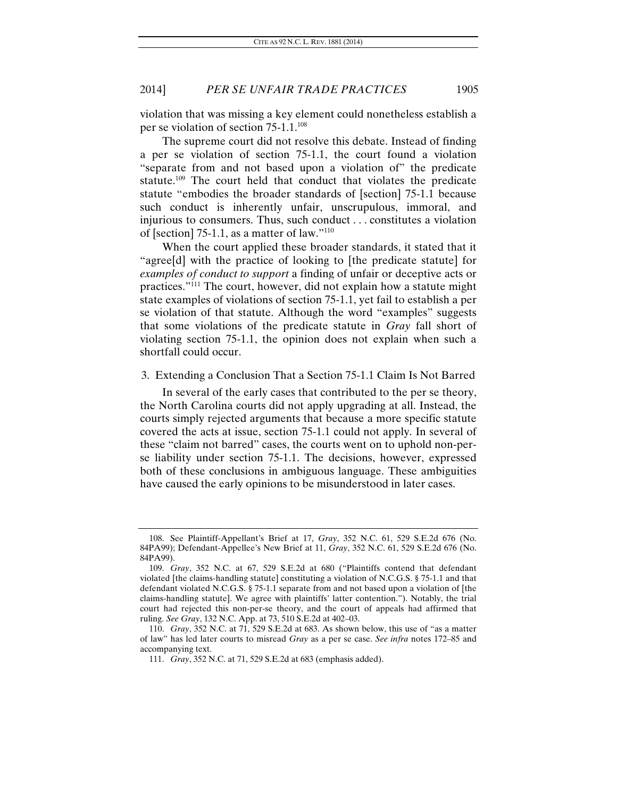violation that was missing a key element could nonetheless establish a per se violation of section 75-1.1.108

The supreme court did not resolve this debate. Instead of finding a per se violation of section 75-1.1, the court found a violation "separate from and not based upon a violation of" the predicate statute.109 The court held that conduct that violates the predicate statute "embodies the broader standards of [section] 75-1.1 because such conduct is inherently unfair, unscrupulous, immoral, and injurious to consumers. Thus, such conduct . . . constitutes a violation of [section] 75-1.1, as a matter of law."110

When the court applied these broader standards, it stated that it "agree[d] with the practice of looking to [the predicate statute] for *examples of conduct to support* a finding of unfair or deceptive acts or practices."111 The court, however, did not explain how a statute might state examples of violations of section 75-1.1, yet fail to establish a per se violation of that statute. Although the word "examples" suggests that some violations of the predicate statute in *Gray* fall short of violating section 75-1.1, the opinion does not explain when such a shortfall could occur.

#### 3. Extending a Conclusion That a Section 75-1.1 Claim Is Not Barred

In several of the early cases that contributed to the per se theory, the North Carolina courts did not apply upgrading at all. Instead, the courts simply rejected arguments that because a more specific statute covered the acts at issue, section 75-1.1 could not apply. In several of these "claim not barred" cases, the courts went on to uphold non-perse liability under section 75-1.1. The decisions, however, expressed both of these conclusions in ambiguous language. These ambiguities have caused the early opinions to be misunderstood in later cases.

 <sup>108.</sup> See Plaintiff-Appellant's Brief at 17, *Gray*, 352 N.C. 61, 529 S.E.2d 676 (No. 84PA99); Defendant-Appellee's New Brief at 11, *Gray*, 352 N.C. 61, 529 S.E.2d 676 (No. 84PA99).

 <sup>109.</sup> *Gray*, 352 N.C. at 67, 529 S.E.2d at 680 ("Plaintiffs contend that defendant violated [the claims-handling statute] constituting a violation of N.C.G.S. § 75-1.1 and that defendant violated N.C.G.S. § 75-1.1 separate from and not based upon a violation of [the claims-handling statute]. We agree with plaintiffs' latter contention."). Notably, the trial court had rejected this non-per-se theory, and the court of appeals had affirmed that ruling. *See Gray*, 132 N.C. App. at 73, 510 S.E.2d at 402–03.

<sup>110.</sup> *Gray*, 352 N.C. at 71, 529 S.E.2d at 683. As shown below, this use of "as a matter of law" has led later courts to misread *Gray* as a per se case. *See infra* notes 172–85 and accompanying text.

<sup>111.</sup> *Gray*, 352 N.C. at 71, 529 S.E.2d at 683 (emphasis added).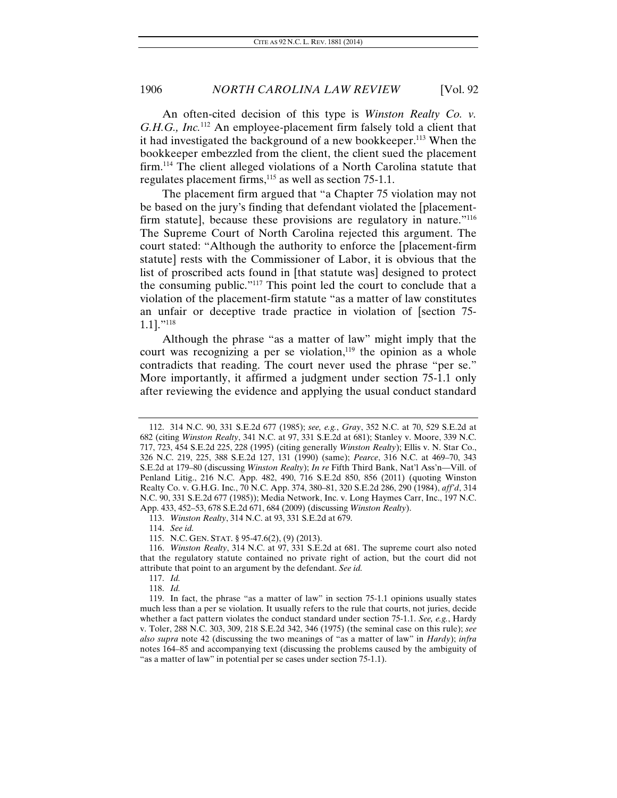An often-cited decision of this type is *Winston Realty Co. v. G.H.G., Inc.*112 An employee-placement firm falsely told a client that it had investigated the background of a new bookkeeper.113 When the bookkeeper embezzled from the client, the client sued the placement firm.<sup>114</sup> The client alleged violations of a North Carolina statute that regulates placement firms, $115$  as well as section 75-1.1.

The placement firm argued that "a Chapter 75 violation may not be based on the jury's finding that defendant violated the [placementfirm statute], because these provisions are regulatory in nature."116 The Supreme Court of North Carolina rejected this argument. The court stated: "Although the authority to enforce the [placement-firm statute] rests with the Commissioner of Labor, it is obvious that the list of proscribed acts found in [that statute was] designed to protect the consuming public."117 This point led the court to conclude that a violation of the placement-firm statute "as a matter of law constitutes an unfair or deceptive trade practice in violation of [section 75- 1.1]."118

Although the phrase "as a matter of law" might imply that the court was recognizing a per se violation, $119$  the opinion as a whole contradicts that reading. The court never used the phrase "per se." More importantly, it affirmed a judgment under section 75-1.1 only after reviewing the evidence and applying the usual conduct standard

113. *Winston Realty*, 314 N.C. at 93, 331 S.E.2d at 679.

115. N.C. GEN. STAT. § 95-47.6(2), (9) (2013).

116. *Winston Realty*, 314 N.C. at 97, 331 S.E.2d at 681. The supreme court also noted that the regulatory statute contained no private right of action, but the court did not attribute that point to an argument by the defendant. *See id.*

117. *Id.*

118. *Id.*

 <sup>112. 314</sup> N.C. 90, 331 S.E.2d 677 (1985); *see, e.g.*, *Gray*, 352 N.C. at 70, 529 S.E.2d at 682 (citing *Winston Realty*, 341 N.C. at 97, 331 S.E.2d at 681); Stanley v. Moore, 339 N.C. 717, 723, 454 S.E.2d 225, 228 (1995) (citing generally *Winston Realty*); Ellis v. N. Star Co., 326 N.C. 219, 225, 388 S.E.2d 127, 131 (1990) (same); *Pearce*, 316 N.C. at 469–70, 343 S.E.2d at 179–80 (discussing *Winston Realty*); *In re* Fifth Third Bank, Nat'l Ass'n—Vill. of Penland Litig., 216 N.C. App. 482, 490, 716 S.E.2d 850, 856 (2011) (quoting Winston Realty Co. v. G.H.G. Inc., 70 N.C. App. 374, 380–81, 320 S.E.2d 286, 290 (1984), *aff'd*, 314 N.C. 90, 331 S.E.2d 677 (1985)); Media Network, Inc. v. Long Haymes Carr, Inc., 197 N.C. App. 433, 452–53, 678 S.E.2d 671, 684 (2009) (discussing *Winston Realty*).

<sup>114.</sup> *See id.*

 <sup>119.</sup> In fact, the phrase "as a matter of law" in section 75-1.1 opinions usually states much less than a per se violation. It usually refers to the rule that courts, not juries, decide whether a fact pattern violates the conduct standard under section 75-1.1. *See, e.g.*, Hardy v. Toler, 288 N.C. 303, 309, 218 S.E.2d 342, 346 (1975) (the seminal case on this rule); *see also supra* note 42 (discussing the two meanings of "as a matter of law" in *Hardy*); *infra* notes 164–85 and accompanying text (discussing the problems caused by the ambiguity of "as a matter of law" in potential per se cases under section 75-1.1).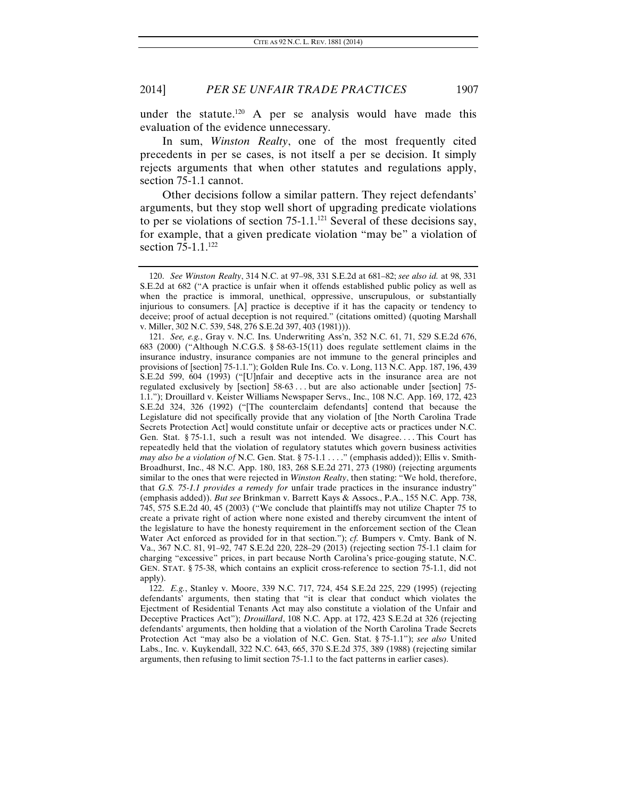under the statute.<sup>120</sup> A per se analysis would have made this evaluation of the evidence unnecessary.

In sum, *Winston Realty*, one of the most frequently cited precedents in per se cases, is not itself a per se decision. It simply rejects arguments that when other statutes and regulations apply, section 75-1.1 cannot.

Other decisions follow a similar pattern. They reject defendants' arguments, but they stop well short of upgrading predicate violations to per se violations of section  $75{\text -}1.1$ <sup>121</sup> Several of these decisions say, for example, that a given predicate violation "may be" a violation of section 75-1.1.<sup>122</sup>

<sup>120.</sup> *See Winston Realty*, 314 N.C. at 97–98, 331 S.E.2d at 681–82; *see also id.* at 98, 331 S.E.2d at 682 ("A practice is unfair when it offends established public policy as well as when the practice is immoral, unethical, oppressive, unscrupulous, or substantially injurious to consumers. [A] practice is deceptive if it has the capacity or tendency to deceive; proof of actual deception is not required." (citations omitted) (quoting Marshall v. Miller, 302 N.C. 539, 548, 276 S.E.2d 397, 403 (1981))).

<sup>121.</sup> *See, e.g.*, Gray v. N.C. Ins. Underwriting Ass'n, 352 N.C. 61, 71, 529 S.E.2d 676, 683 (2000) ("Although N.C.G.S. § 58-63-15(11) does regulate settlement claims in the insurance industry, insurance companies are not immune to the general principles and provisions of [section] 75-1.1."); Golden Rule Ins. Co. v. Long, 113 N.C. App. 187, 196, 439 S.E.2d 599, 604 (1993) ("[U]nfair and deceptive acts in the insurance area are not regulated exclusively by [section] 58-63 . . . but are also actionable under [section] 75- 1.1."); Drouillard v. Keister Williams Newspaper Servs., Inc., 108 N.C. App. 169, 172, 423 S.E.2d 324, 326 (1992) ("[The counterclaim defendants] contend that because the Legislature did not specifically provide that any violation of [the North Carolina Trade Secrets Protection Act] would constitute unfair or deceptive acts or practices under N.C. Gen. Stat. § 75-1.1, such a result was not intended. We disagree. . . . This Court has repeatedly held that the violation of regulatory statutes which govern business activities *may also be a violation of* N.C. Gen. Stat. § 75-1.1 . . . ." (emphasis added)); Ellis v. Smith-Broadhurst, Inc., 48 N.C. App. 180, 183, 268 S.E.2d 271, 273 (1980) (rejecting arguments similar to the ones that were rejected in *Winston Realty*, then stating: "We hold, therefore, that *G.S. 75-1.1 provides a remedy for* unfair trade practices in the insurance industry" (emphasis added)). *But see* Brinkman v. Barrett Kays & Assocs., P.A., 155 N.C. App. 738, 745, 575 S.E.2d 40, 45 (2003) ("We conclude that plaintiffs may not utilize Chapter 75 to create a private right of action where none existed and thereby circumvent the intent of the legislature to have the honesty requirement in the enforcement section of the Clean Water Act enforced as provided for in that section."); *cf.* Bumpers v. Cmty. Bank of N. Va., 367 N.C. 81, 91–92, 747 S.E.2d 220, 228–29 (2013) (rejecting section 75-1.1 claim for charging "excessive" prices, in part because North Carolina's price-gouging statute, N.C. GEN. STAT. § 75-38, which contains an explicit cross-reference to section 75-1.1, did not apply).

<sup>122.</sup> *E.g.*, Stanley v. Moore, 339 N.C. 717, 724, 454 S.E.2d 225, 229 (1995) (rejecting defendants' arguments, then stating that "it is clear that conduct which violates the Ejectment of Residential Tenants Act may also constitute a violation of the Unfair and Deceptive Practices Act"); *Drouillard*, 108 N.C. App. at 172, 423 S.E.2d at 326 (rejecting defendants' arguments, then holding that a violation of the North Carolina Trade Secrets Protection Act "may also be a violation of N.C. Gen. Stat. § 75-1.1"); *see also* United Labs., Inc. v. Kuykendall, 322 N.C. 643, 665, 370 S.E.2d 375, 389 (1988) (rejecting similar arguments, then refusing to limit section 75-1.1 to the fact patterns in earlier cases).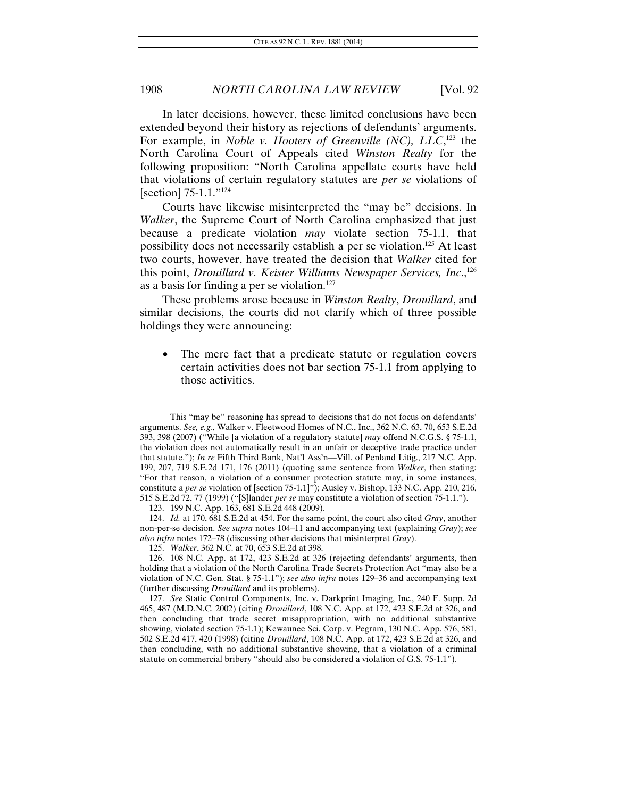In later decisions, however, these limited conclusions have been extended beyond their history as rejections of defendants' arguments. For example, in *Noble v. Hooters of Greenville (NC)*, *LLC*,<sup>123</sup> the North Carolina Court of Appeals cited *Winston Realty* for the following proposition: "North Carolina appellate courts have held that violations of certain regulatory statutes are *per se* violations of [section] 75-1.1."124

Courts have likewise misinterpreted the "may be" decisions. In *Walker*, the Supreme Court of North Carolina emphasized that just because a predicate violation *may* violate section 75-1.1, that possibility does not necessarily establish a per se violation.125 At least two courts, however, have treated the decision that *Walker* cited for this point, *Drouillard v. Keister Williams Newspaper Services, Inc.*,<sup>126</sup> as a basis for finding a per se violation.<sup>127</sup>

These problems arose because in *Winston Realty*, *Drouillard*, and similar decisions, the courts did not clarify which of three possible holdings they were announcing:

The mere fact that a predicate statute or regulation covers certain activities does not bar section 75-1.1 from applying to those activities.

124. *Id.* at 170, 681 S.E.2d at 454. For the same point, the court also cited *Gray*, another non-per-se decision. *See supra* notes 104–11 and accompanying text (explaining *Gray*); *see also infra* notes 172–78 (discussing other decisions that misinterpret *Gray*).

This "may be" reasoning has spread to decisions that do not focus on defendants' arguments. *See, e.g.*, Walker v. Fleetwood Homes of N.C., Inc., 362 N.C. 63, 70, 653 S.E.2d 393, 398 (2007) ("While [a violation of a regulatory statute] *may* offend N.C.G.S. § 75-1.1, the violation does not automatically result in an unfair or deceptive trade practice under that statute."); *In re* Fifth Third Bank, Nat'l Ass'n—Vill. of Penland Litig., 217 N.C. App. 199, 207, 719 S.E.2d 171, 176 (2011) (quoting same sentence from *Walker*, then stating: "For that reason, a violation of a consumer protection statute may, in some instances, constitute a *per se* violation of [section 75-1.1]"); Ausley v. Bishop, 133 N.C. App. 210, 216, 515 S.E.2d 72, 77 (1999) ("[S]lander *per se* may constitute a violation of section 75-1.1.").

 <sup>123. 199</sup> N.C. App. 163, 681 S.E.2d 448 (2009).

<sup>125.</sup> *Walker*, 362 N.C. at 70, 653 S.E.2d at 398.

 <sup>126. 108</sup> N.C. App. at 172, 423 S.E.2d at 326 (rejecting defendants' arguments, then holding that a violation of the North Carolina Trade Secrets Protection Act "may also be a violation of N.C. Gen. Stat. § 75-1.1"); *see also infra* notes 129–36 and accompanying text (further discussing *Drouillard* and its problems).

<sup>127.</sup> *See* Static Control Components, Inc. v. Darkprint Imaging, Inc., 240 F. Supp. 2d 465, 487 (M.D.N.C. 2002) (citing *Drouillard*, 108 N.C. App. at 172, 423 S.E.2d at 326, and then concluding that trade secret misappropriation, with no additional substantive showing, violated section 75-1.1); Kewaunee Sci. Corp. v. Pegram, 130 N.C. App. 576, 581, 502 S.E.2d 417, 420 (1998) (citing *Drouillard*, 108 N.C. App. at 172, 423 S.E.2d at 326, and then concluding, with no additional substantive showing, that a violation of a criminal statute on commercial bribery "should also be considered a violation of G.S. 75-1.1").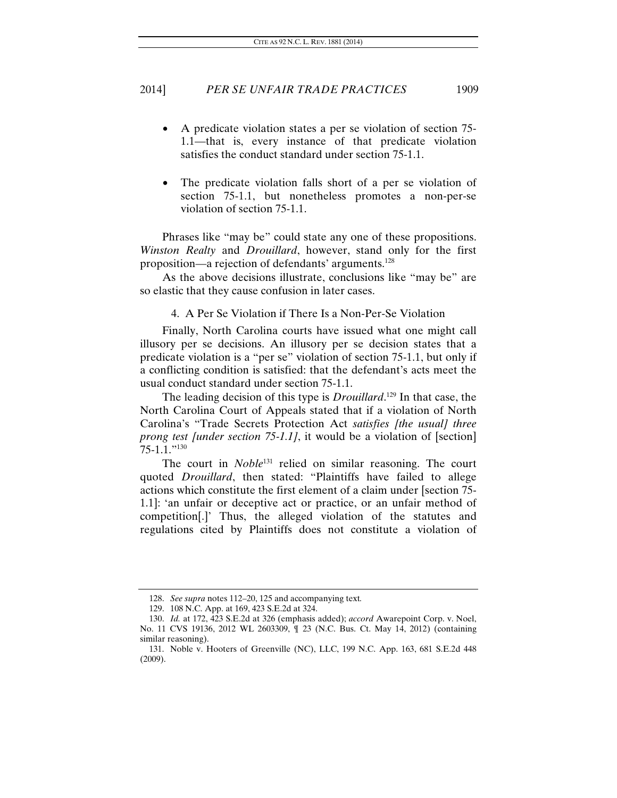- A predicate violation states a per se violation of section 75- 1.1—that is, every instance of that predicate violation satisfies the conduct standard under section 75-1.1.
- The predicate violation falls short of a per se violation of section 75-1.1, but nonetheless promotes a non-per-se violation of section 75-1.1.

Phrases like "may be" could state any one of these propositions. *Winston Realty* and *Drouillard*, however, stand only for the first proposition—a rejection of defendants' arguments.128

As the above decisions illustrate, conclusions like "may be" are so elastic that they cause confusion in later cases.

#### 4. A Per Se Violation if There Is a Non-Per-Se Violation

Finally, North Carolina courts have issued what one might call illusory per se decisions. An illusory per se decision states that a predicate violation is a "per se" violation of section 75-1.1, but only if a conflicting condition is satisfied: that the defendant's acts meet the usual conduct standard under section 75-1.1.

The leading decision of this type is *Drouillard*. 129 In that case, the North Carolina Court of Appeals stated that if a violation of North Carolina's "Trade Secrets Protection Act *satisfies [the usual] three prong test [under section 75-1.1]*, it would be a violation of [section] 75-1.1."130

The court in *Noble*<sup>131</sup> relied on similar reasoning. The court quoted *Drouillard*, then stated: "Plaintiffs have failed to allege actions which constitute the first element of a claim under [section 75- 1.1]: 'an unfair or deceptive act or practice, or an unfair method of competition[.]' Thus, the alleged violation of the statutes and regulations cited by Plaintiffs does not constitute a violation of

<sup>128.</sup> *See supra* notes 112–20, 125 and accompanying text*.* 

 <sup>129. 108</sup> N.C. App. at 169, 423 S.E.2d at 324.

<sup>130.</sup> *Id.* at 172, 423 S.E.2d at 326 (emphasis added); *accord* Awarepoint Corp. v. Noel, No. 11 CVS 19136, 2012 WL 2603309, ¶ 23 (N.C. Bus. Ct. May 14, 2012) (containing similar reasoning).

 <sup>131.</sup> Noble v. Hooters of Greenville (NC), LLC, 199 N.C. App. 163, 681 S.E.2d 448 (2009).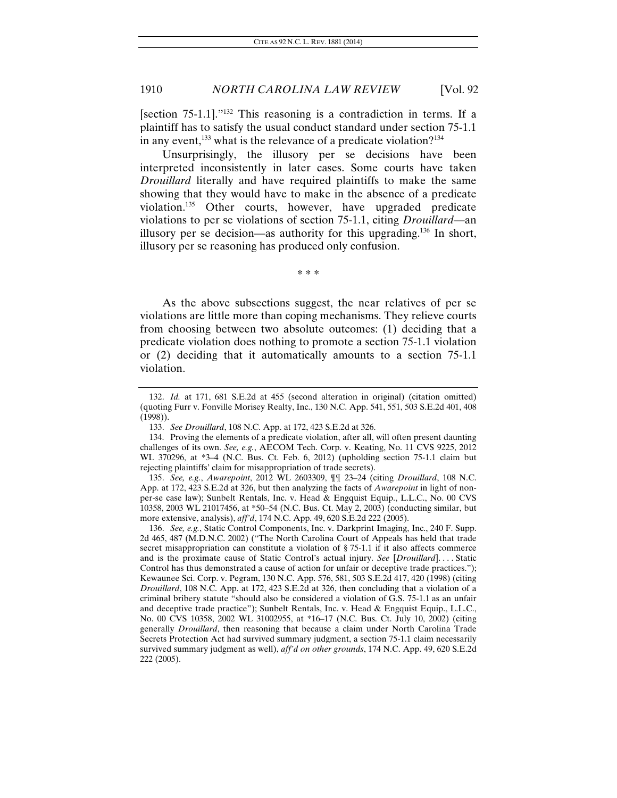[section 75-1.1]."132 This reasoning is a contradiction in terms. If a plaintiff has to satisfy the usual conduct standard under section 75-1.1 in any event,<sup>133</sup> what is the relevance of a predicate violation?<sup>134</sup>

Unsurprisingly, the illusory per se decisions have been interpreted inconsistently in later cases. Some courts have taken *Drouillard* literally and have required plaintiffs to make the same showing that they would have to make in the absence of a predicate violation.135 Other courts, however, have upgraded predicate violations to per se violations of section 75-1.1, citing *Drouillard*—an illusory per se decision—as authority for this upgrading.<sup>136</sup> In short, illusory per se reasoning has produced only confusion.

\* \* \*

As the above subsections suggest, the near relatives of per se violations are little more than coping mechanisms. They relieve courts from choosing between two absolute outcomes: (1) deciding that a predicate violation does nothing to promote a section 75-1.1 violation or (2) deciding that it automatically amounts to a section 75-1.1 violation.

<sup>132.</sup> *Id.* at 171, 681 S.E.2d at 455 (second alteration in original) (citation omitted) (quoting Furr v. Fonville Morisey Realty, Inc., 130 N.C. App. 541, 551, 503 S.E.2d 401, 408 (1998)).

<sup>133.</sup> *See Drouillard*, 108 N.C. App. at 172, 423 S.E.2d at 326.

 <sup>134.</sup> Proving the elements of a predicate violation, after all, will often present daunting challenges of its own. *See, e.g.*, AECOM Tech. Corp. v. Keating, No. 11 CVS 9225, 2012 WL 370296, at \*3–4 (N.C. Bus. Ct. Feb. 6, 2012) (upholding section 75-1.1 claim but rejecting plaintiffs' claim for misappropriation of trade secrets).

<sup>135.</sup> *See, e.g.*, *Awarepoint*, 2012 WL 2603309, ¶¶ 23–24 (citing *Drouillard*, 108 N.C. App. at 172, 423 S.E.2d at 326, but then analyzing the facts of *Awarepoint* in light of nonper-se case law); Sunbelt Rentals, Inc. v. Head & Engquist Equip., L.L.C., No. 00 CVS 10358, 2003 WL 21017456, at \*50–54 (N.C. Bus. Ct. May 2, 2003) (conducting similar, but more extensive, analysis), *aff'd*, 174 N.C. App. 49, 620 S.E.2d 222 (2005).

<sup>136.</sup> *See, e.g.*, Static Control Components, Inc. v. Darkprint Imaging, Inc., 240 F. Supp. 2d 465, 487 (M.D.N.C. 2002) ("The North Carolina Court of Appeals has held that trade secret misappropriation can constitute a violation of § 75-1.1 if it also affects commerce and is the proximate cause of Static Control's actual injury. *See* [*Drouillard*]. . . . Static Control has thus demonstrated a cause of action for unfair or deceptive trade practices."); Kewaunee Sci. Corp. v. Pegram, 130 N.C. App. 576, 581, 503 S.E.2d 417, 420 (1998) (citing *Drouillard*, 108 N.C. App. at 172, 423 S.E.2d at 326, then concluding that a violation of a criminal bribery statute "should also be considered a violation of G.S. 75-1.1 as an unfair and deceptive trade practice"); Sunbelt Rentals, Inc. v. Head & Engquist Equip., L.L.C., No. 00 CVS 10358, 2002 WL 31002955, at \*16–17 (N.C. Bus. Ct. July 10, 2002) (citing generally *Drouillard*, then reasoning that because a claim under North Carolina Trade Secrets Protection Act had survived summary judgment, a section 75-1.1 claim necessarily survived summary judgment as well), *aff'd on other grounds*, 174 N.C. App. 49, 620 S.E.2d 222 (2005).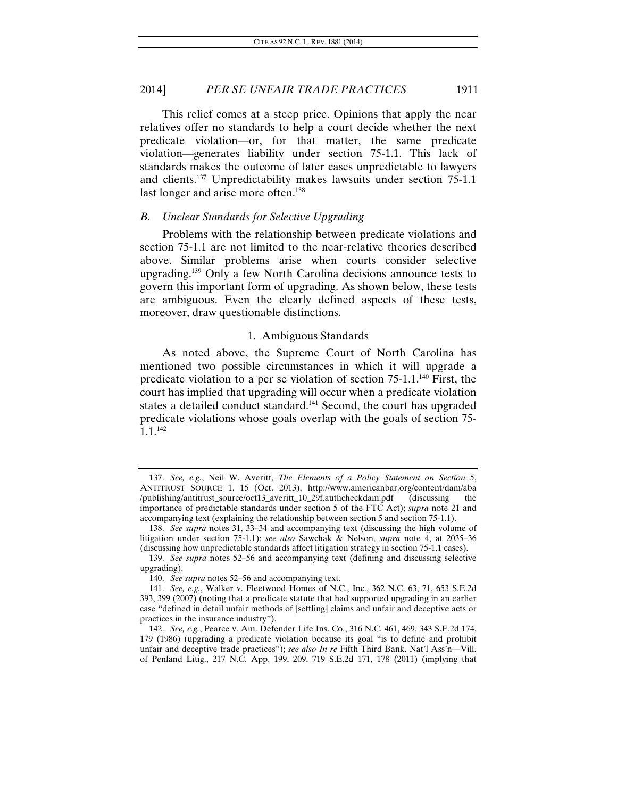This relief comes at a steep price. Opinions that apply the near relatives offer no standards to help a court decide whether the next predicate violation—or, for that matter, the same predicate violation—generates liability under section 75-1.1. This lack of standards makes the outcome of later cases unpredictable to lawyers and clients.137 Unpredictability makes lawsuits under section 75-1.1 last longer and arise more often.<sup>138</sup>

#### *B. Unclear Standards for Selective Upgrading*

Problems with the relationship between predicate violations and section 75-1.1 are not limited to the near-relative theories described above. Similar problems arise when courts consider selective upgrading.139 Only a few North Carolina decisions announce tests to govern this important form of upgrading. As shown below, these tests are ambiguous. Even the clearly defined aspects of these tests, moreover, draw questionable distinctions.

#### 1. Ambiguous Standards

As noted above, the Supreme Court of North Carolina has mentioned two possible circumstances in which it will upgrade a predicate violation to a per se violation of section 75-1.1.140 First, the court has implied that upgrading will occur when a predicate violation states a detailed conduct standard.<sup>141</sup> Second, the court has upgraded predicate violations whose goals overlap with the goals of section 75- 1.1.142

<sup>137.</sup> *See, e.g.*, Neil W. Averitt, *The Elements of a Policy Statement on Section 5*, ANTITRUST SOURCE 1, 15 (Oct. 2013), http://www.americanbar.org/content/dam/aba<br>/publishing/antitrust\_source/oct13\_averitt\_10\_29f.authcheckdam.pdf (discussing the /publishing/antitrust\_source/oct13\_averitt\_10\_29f.authcheckdam.pdf (discussing the importance of predictable standards under section 5 of the FTC Act); *supra* note 21 and accompanying text (explaining the relationship between section 5 and section 75-1.1).

<sup>138.</sup> *See supra* notes 31, 33–34 and accompanying text (discussing the high volume of litigation under section 75-1.1); *see also* Sawchak & Nelson, *supra* note 4, at 2035–36 (discussing how unpredictable standards affect litigation strategy in section 75-1.1 cases).

<sup>139.</sup> *See supra* notes 52–56 and accompanying text (defining and discussing selective upgrading).

<sup>140.</sup> *See supra* notes 52–56 and accompanying text.

<sup>141.</sup> *See, e.g.*, Walker v. Fleetwood Homes of N.C., Inc., 362 N.C. 63, 71, 653 S.E.2d 393, 399 (2007) (noting that a predicate statute that had supported upgrading in an earlier case "defined in detail unfair methods of [settling] claims and unfair and deceptive acts or practices in the insurance industry").

<sup>142.</sup> *See, e.g.*, Pearce v. Am. Defender Life Ins. Co., 316 N.C. 461, 469, 343 S.E.2d 174, 179 (1986) (upgrading a predicate violation because its goal "is to define and prohibit unfair and deceptive trade practices"); *see also In re* Fifth Third Bank, Nat'l Ass'n—Vill. of Penland Litig., 217 N.C. App. 199, 209, 719 S.E.2d 171, 178 (2011) (implying that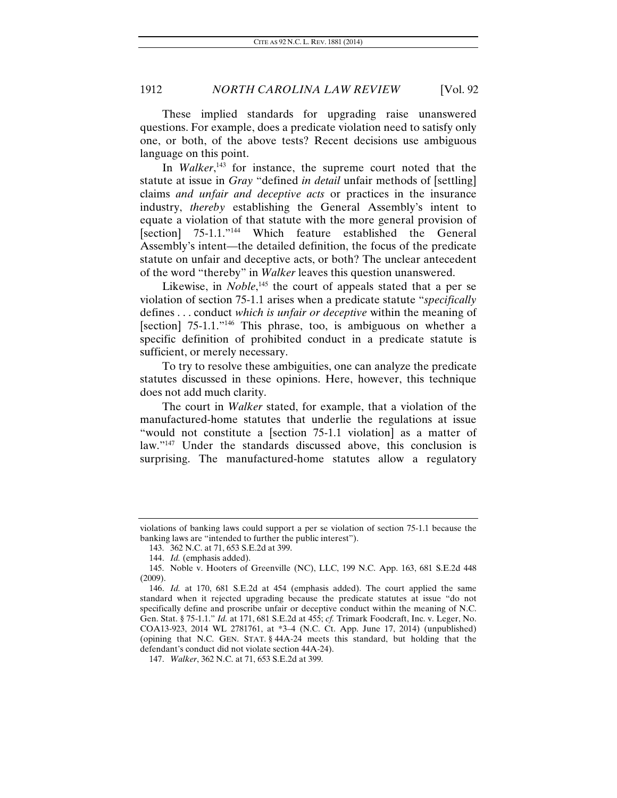These implied standards for upgrading raise unanswered questions. For example, does a predicate violation need to satisfy only one, or both, of the above tests? Recent decisions use ambiguous language on this point.

In *Walker*<sup>143</sup> for instance, the supreme court noted that the statute at issue in *Gray* "defined *in detail* unfair methods of [settling] claims *and unfair and deceptive acts* or practices in the insurance industry, *thereby* establishing the General Assembly's intent to equate a violation of that statute with the more general provision of [section] 75-1.1."<sup>144</sup> Which feature established the General Assembly's intent—the detailed definition, the focus of the predicate statute on unfair and deceptive acts, or both? The unclear antecedent of the word "thereby" in *Walker* leaves this question unanswered.

Likewise, in *Noble*,<sup>145</sup> the court of appeals stated that a per se violation of section 75-1.1 arises when a predicate statute "*specifically* defines . . . conduct *which is unfair or deceptive* within the meaning of [section] 75-1.1."<sup>146</sup> This phrase, too, is ambiguous on whether a specific definition of prohibited conduct in a predicate statute is sufficient, or merely necessary.

To try to resolve these ambiguities, one can analyze the predicate statutes discussed in these opinions. Here, however, this technique does not add much clarity.

The court in *Walker* stated, for example, that a violation of the manufactured-home statutes that underlie the regulations at issue "would not constitute a [section 75-1.1 violation] as a matter of law."<sup>147</sup> Under the standards discussed above, this conclusion is surprising. The manufactured-home statutes allow a regulatory

violations of banking laws could support a per se violation of section 75-1.1 because the banking laws are "intended to further the public interest").

 <sup>143. 362</sup> N.C. at 71, 653 S.E.2d at 399.

<sup>144.</sup> *Id.* (emphasis added).

 <sup>145.</sup> Noble v. Hooters of Greenville (NC), LLC, 199 N.C. App. 163, 681 S.E.2d 448 (2009).

<sup>146.</sup> *Id.* at 170, 681 S.E.2d at 454 (emphasis added). The court applied the same standard when it rejected upgrading because the predicate statutes at issue "do not specifically define and proscribe unfair or deceptive conduct within the meaning of N.C. Gen. Stat. § 75-1.1." *Id.* at 171, 681 S.E.2d at 455; *cf.* Trimark Foodcraft, Inc. v. Leger, No. COA13-923, 2014 WL 2781761, at \*3–4 (N.C. Ct. App. June 17, 2014) (unpublished) (opining that N.C. GEN. STAT. § 44A-24 meets this standard, but holding that the defendant's conduct did not violate section 44A-24).

<sup>147.</sup> *Walker*, 362 N.C. at 71, 653 S.E.2d at 399.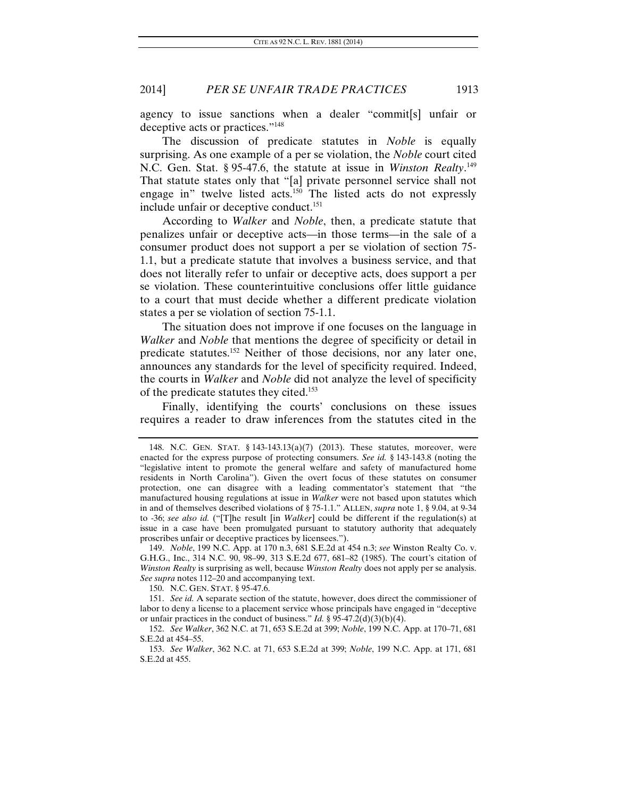agency to issue sanctions when a dealer "commit[s] unfair or deceptive acts or practices."148

The discussion of predicate statutes in *Noble* is equally surprising. As one example of a per se violation, the *Noble* court cited N.C. Gen. Stat. § 95-47.6, the statute at issue in *Winston Realty*.<sup>149</sup> That statute states only that "[a] private personnel service shall not engage in" twelve listed acts.150 The listed acts do not expressly include unfair or deceptive conduct.<sup>151</sup>

According to *Walker* and *Noble*, then, a predicate statute that penalizes unfair or deceptive acts—in those terms—in the sale of a consumer product does not support a per se violation of section 75- 1.1, but a predicate statute that involves a business service, and that does not literally refer to unfair or deceptive acts, does support a per se violation. These counterintuitive conclusions offer little guidance to a court that must decide whether a different predicate violation states a per se violation of section 75-1.1.

The situation does not improve if one focuses on the language in *Walker* and *Noble* that mentions the degree of specificity or detail in predicate statutes.152 Neither of those decisions, nor any later one, announces any standards for the level of specificity required. Indeed, the courts in *Walker* and *Noble* did not analyze the level of specificity of the predicate statutes they cited.153

Finally, identifying the courts' conclusions on these issues requires a reader to draw inferences from the statutes cited in the

150. N.C. GEN. STAT. § 95-47.6.

151. *See id.* A separate section of the statute, however, does direct the commissioner of labor to deny a license to a placement service whose principals have engaged in "deceptive or unfair practices in the conduct of business." *Id.* § 95-47.2(d)(3)(b)(4).

 <sup>148.</sup> N.C. GEN. STAT. § 143-143.13(a)(7) (2013). These statutes, moreover, were enacted for the express purpose of protecting consumers. *See id.* § 143-143.8 (noting the "legislative intent to promote the general welfare and safety of manufactured home residents in North Carolina"). Given the overt focus of these statutes on consumer protection, one can disagree with a leading commentator's statement that "the manufactured housing regulations at issue in *Walker* were not based upon statutes which in and of themselves described violations of § 75-1.1." ALLEN, *supra* note 1, § 9.04, at 9-34 to -36; *see also id.* ("[T]he result [in *Walker*] could be different if the regulation(s) at issue in a case have been promulgated pursuant to statutory authority that adequately proscribes unfair or deceptive practices by licensees.").

<sup>149.</sup> *Noble*, 199 N.C. App. at 170 n.3, 681 S.E.2d at 454 n.3; *see* Winston Realty Co. v. G.H.G., Inc., 314 N.C. 90, 98–99, 313 S.E.2d 677, 681–82 (1985). The court's citation of *Winston Realty* is surprising as well, because *Winston Realty* does not apply per se analysis. *See supra* notes 112–20 and accompanying text.

<sup>152.</sup> *See Walker*, 362 N.C. at 71, 653 S.E.2d at 399; *Noble*, 199 N.C. App. at 170–71, 681 S.E.2d at 454–55.

<sup>153.</sup> *See Walker*, 362 N.C. at 71, 653 S.E.2d at 399; *Noble*, 199 N.C. App. at 171, 681 S.E.2d at 455.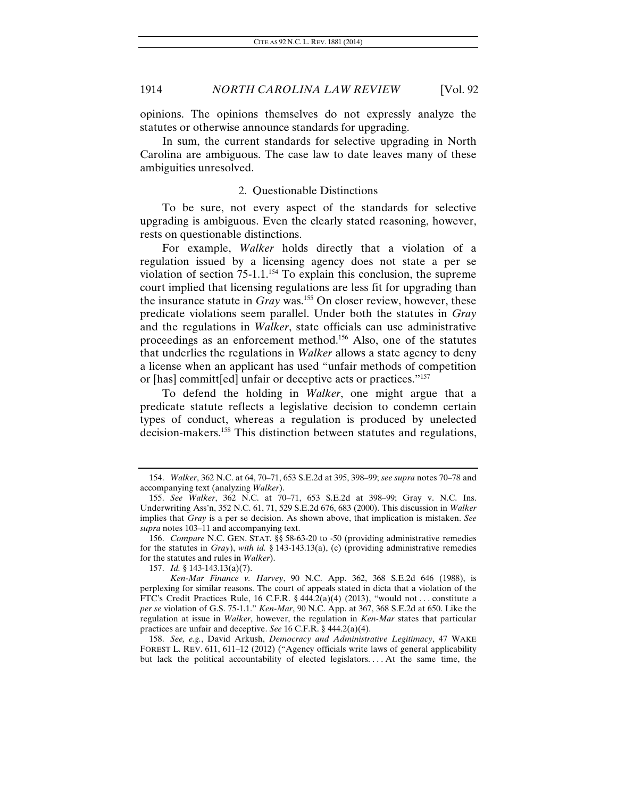opinions. The opinions themselves do not expressly analyze the statutes or otherwise announce standards for upgrading.

In sum, the current standards for selective upgrading in North Carolina are ambiguous. The case law to date leaves many of these ambiguities unresolved.

#### 2. Questionable Distinctions

To be sure, not every aspect of the standards for selective upgrading is ambiguous. Even the clearly stated reasoning, however, rests on questionable distinctions.

For example, *Walker* holds directly that a violation of a regulation issued by a licensing agency does not state a per se violation of section  $75{\text -}1.1$ <sup>154</sup> To explain this conclusion, the supreme court implied that licensing regulations are less fit for upgrading than the insurance statute in *Gray* was.155 On closer review, however, these predicate violations seem parallel. Under both the statutes in *Gray* and the regulations in *Walker*, state officials can use administrative proceedings as an enforcement method.156 Also, one of the statutes that underlies the regulations in *Walker* allows a state agency to deny a license when an applicant has used "unfair methods of competition or [has] committ[ed] unfair or deceptive acts or practices."157

To defend the holding in *Walker*, one might argue that a predicate statute reflects a legislative decision to condemn certain types of conduct, whereas a regulation is produced by unelected decision-makers.<sup>158</sup> This distinction between statutes and regulations,

158. *See, e.g.*, David Arkush, *Democracy and Administrative Legitimacy*, 47 WAKE FOREST L. REV. 611, 611–12 (2012) ("Agency officials write laws of general applicability but lack the political accountability of elected legislators. . . . At the same time, the

<sup>154.</sup> *Walker*, 362 N.C. at 64, 70–71, 653 S.E.2d at 395, 398–99; *see supra* notes 70–78 and accompanying text (analyzing *Walker*).

<sup>155.</sup> *See Walker*, 362 N.C. at 70–71, 653 S.E.2d at 398–99; Gray v. N.C. Ins. Underwriting Ass'n, 352 N.C. 61, 71, 529 S.E.2d 676, 683 (2000). This discussion in *Walker* implies that *Gray* is a per se decision. As shown above, that implication is mistaken. *See supra* notes 103–11 and accompanying text.

<sup>156.</sup> *Compare* N.C. GEN. STAT. §§ 58-63-20 to -50 (providing administrative remedies for the statutes in *Gray*), *with id.* § 143-143.13(a), (c) (providing administrative remedies for the statutes and rules in *Walker*).

<sup>157.</sup> *Id.* § 143-143.13(a)(7).

*Ken-Mar Finance v. Harvey*, 90 N.C. App. 362, 368 S.E.2d 646 (1988), is perplexing for similar reasons. The court of appeals stated in dicta that a violation of the FTC's Credit Practices Rule, 16 C.F.R. § 444.2(a)(4) (2013), "would not . . . constitute a *per se* violation of G.S. 75-1.1." *Ken-Mar*, 90 N.C. App. at 367, 368 S.E.2d at 650. Like the regulation at issue in *Walker*, however, the regulation in *Ken-Mar* states that particular practices are unfair and deceptive. *See* 16 C.F.R. § 444.2(a)(4).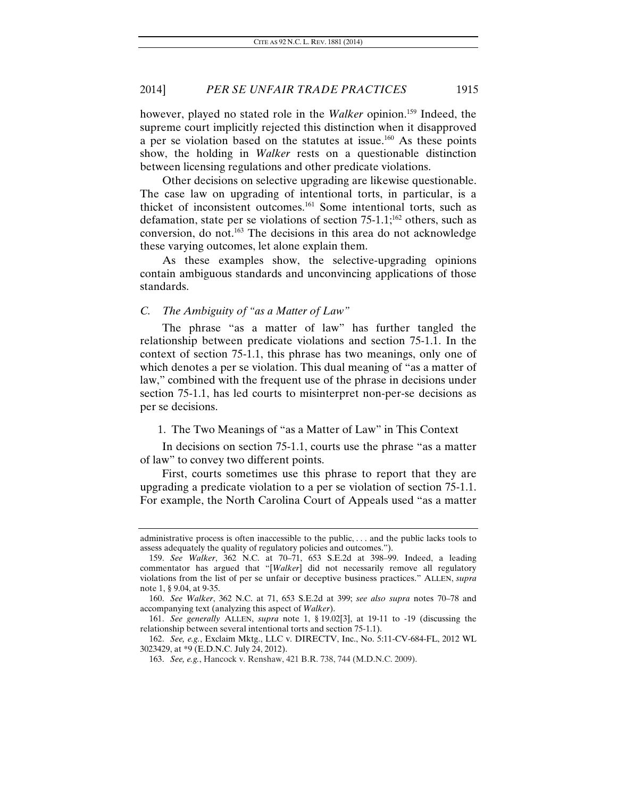however, played no stated role in the *Walker* opinion.<sup>159</sup> Indeed, the supreme court implicitly rejected this distinction when it disapproved a per se violation based on the statutes at issue.<sup>160</sup> As these points show, the holding in *Walker* rests on a questionable distinction between licensing regulations and other predicate violations.

Other decisions on selective upgrading are likewise questionable. The case law on upgrading of intentional torts, in particular, is a thicket of inconsistent outcomes.161 Some intentional torts, such as defamation, state per se violations of section  $75{\text -}1.1$ ;<sup>162</sup> others, such as conversion, do not.163 The decisions in this area do not acknowledge these varying outcomes, let alone explain them.

As these examples show, the selective-upgrading opinions contain ambiguous standards and unconvincing applications of those standards.

#### *C. The Ambiguity of "as a Matter of Law"*

The phrase "as a matter of law" has further tangled the relationship between predicate violations and section 75-1.1. In the context of section 75-1.1, this phrase has two meanings, only one of which denotes a per se violation. This dual meaning of "as a matter of law," combined with the frequent use of the phrase in decisions under section 75-1.1, has led courts to misinterpret non-per-se decisions as per se decisions.

#### 1. The Two Meanings of "as a Matter of Law" in This Context

In decisions on section 75-1.1, courts use the phrase "as a matter of law" to convey two different points.

First, courts sometimes use this phrase to report that they are upgrading a predicate violation to a per se violation of section 75-1.1. For example, the North Carolina Court of Appeals used "as a matter

administrative process is often inaccessible to the public, . . . and the public lacks tools to assess adequately the quality of regulatory policies and outcomes.").

<sup>159.</sup> *See Walker*, 362 N.C. at 70–71, 653 S.E.2d at 398–99. Indeed, a leading commentator has argued that "[*Walker*] did not necessarily remove all regulatory violations from the list of per se unfair or deceptive business practices." ALLEN, *supra* note 1, § 9.04, at 9-35.

<sup>160.</sup> *See Walker*, 362 N.C. at 71, 653 S.E.2d at 399; *see also supra* notes 70–78 and accompanying text (analyzing this aspect of *Walker*).

<sup>161.</sup> *See generally* ALLEN, *supra* note 1, § 19.02[3], at 19-11 to -19 (discussing the relationship between several intentional torts and section 75-1.1).

<sup>162.</sup> *See, e.g.*, Exclaim Mktg., LLC v. DIRECTV, Inc., No. 5:11-CV-684-FL, 2012 WL 3023429, at \*9 (E.D.N.C. July 24, 2012).

<sup>163.</sup> *See, e.g.*, Hancock v. Renshaw, 421 B.R. 738, 744 (M.D.N.C. 2009).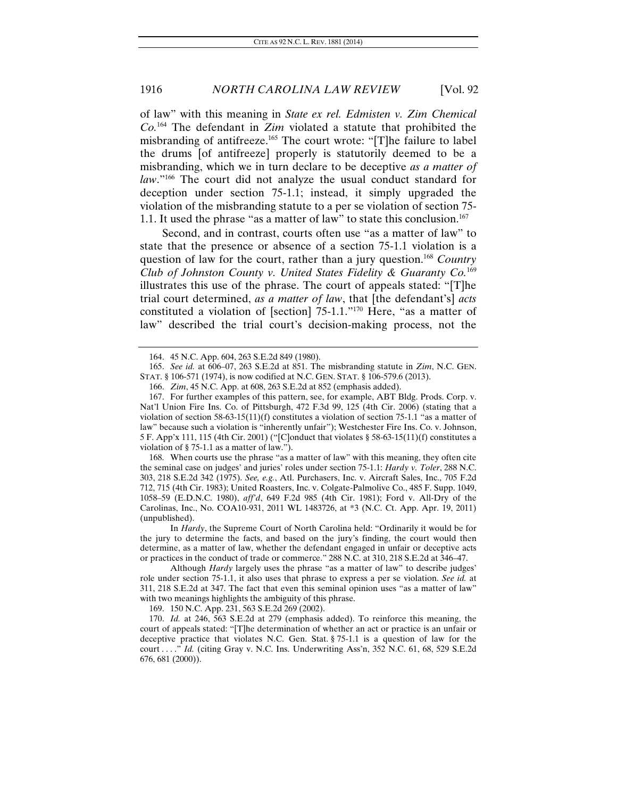of law" with this meaning in *State ex rel. Edmisten v. Zim Chemical Co.*164 The defendant in *Zim* violated a statute that prohibited the misbranding of antifreeze.165 The court wrote: "[T]he failure to label the drums [of antifreeze] properly is statutorily deemed to be a misbranding, which we in turn declare to be deceptive *as a matter of law*."166 The court did not analyze the usual conduct standard for deception under section 75-1.1; instead, it simply upgraded the violation of the misbranding statute to a per se violation of section 75- 1.1. It used the phrase "as a matter of law" to state this conclusion.<sup>167</sup>

Second, and in contrast, courts often use "as a matter of law" to state that the presence or absence of a section 75-1.1 violation is a question of law for the court, rather than a jury question.<sup>168</sup> Country *Club of Johnston County v. United States Fidelity & Guaranty Co.*<sup>169</sup> illustrates this use of the phrase. The court of appeals stated: "[T]he trial court determined, *as a matter of law*, that [the defendant's] *acts* constituted a violation of [section]  $75{\text -}1.1$ ."<sup>170</sup> Here, "as a matter of law" described the trial court's decision-making process, not the

 167. For further examples of this pattern, see, for example, ABT Bldg. Prods. Corp. v. Nat'l Union Fire Ins. Co. of Pittsburgh, 472 F.3d 99, 125 (4th Cir. 2006) (stating that a violation of section  $58-63-15(11)(f)$  constitutes a violation of section  $75-1.1$  "as a matter of law" because such a violation is "inherently unfair"); Westchester Fire Ins. Co. v. Johnson, 5 F. App'x 111, 115 (4th Cir. 2001) ("[C]onduct that violates § 58-63-15(11)(f) constitutes a violation of § 75-1.1 as a matter of law.").

 168. When courts use the phrase "as a matter of law" with this meaning, they often cite the seminal case on judges' and juries' roles under section 75-1.1: *Hardy v. Toler*, 288 N.C. 303, 218 S.E.2d 342 (1975). *See, e.g.*, Atl. Purchasers, Inc. v. Aircraft Sales, Inc., 705 F.2d 712, 715 (4th Cir. 1983); United Roasters, Inc. v. Colgate-Palmolive Co., 485 F. Supp. 1049, 1058–59 (E.D.N.C. 1980), *aff'd*, 649 F.2d 985 (4th Cir. 1981); Ford v. All-Dry of the Carolinas, Inc., No. COA10-931, 2011 WL 1483726, at \*3 (N.C. Ct. App. Apr. 19, 2011) (unpublished).

 In *Hardy*, the Supreme Court of North Carolina held: "Ordinarily it would be for the jury to determine the facts, and based on the jury's finding, the court would then determine, as a matter of law, whether the defendant engaged in unfair or deceptive acts or practices in the conduct of trade or commerce." 288 N.C. at 310, 218 S.E.2d at 346–47.

 Although *Hardy* largely uses the phrase "as a matter of law" to describe judges' role under section 75-1.1, it also uses that phrase to express a per se violation. *See id.* at 311, 218 S.E.2d at 347. The fact that even this seminal opinion uses "as a matter of law" with two meanings highlights the ambiguity of this phrase.

169. 150 N.C. App. 231, 563 S.E.2d 269 (2002).

170. *Id.* at 246, 563 S.E.2d at 279 (emphasis added). To reinforce this meaning, the court of appeals stated: "[T]he determination of whether an act or practice is an unfair or deceptive practice that violates N.C. Gen. Stat. § 75-1.1 is a question of law for the court . . . ." *Id.* (citing Gray v. N.C. Ins. Underwriting Ass'n, 352 N.C. 61, 68, 529 S.E.2d 676, 681 (2000)).

 <sup>164. 45</sup> N.C. App. 604, 263 S.E.2d 849 (1980).

<sup>165.</sup> *See id.* at 606–07, 263 S.E.2d at 851. The misbranding statute in *Zim*, N.C. GEN. STAT. § 106-571 (1974), is now codified at N.C. GEN. STAT. § 106-579.6 (2013).

<sup>166.</sup> *Zim*, 45 N.C. App. at 608, 263 S.E.2d at 852 (emphasis added).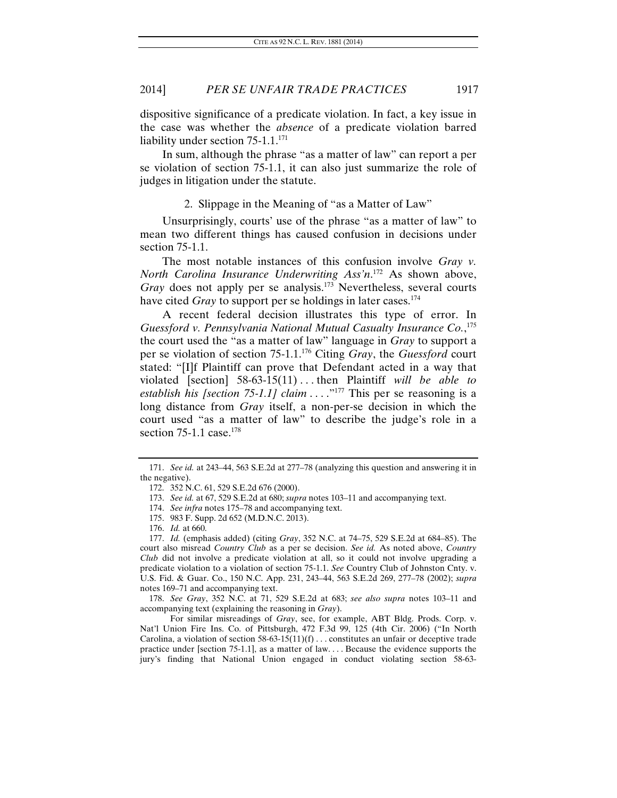dispositive significance of a predicate violation. In fact, a key issue in the case was whether the *absence* of a predicate violation barred liability under section  $75-1.1$ <sup>171</sup>

In sum, although the phrase "as a matter of law" can report a per se violation of section 75-1.1, it can also just summarize the role of judges in litigation under the statute.

2. Slippage in the Meaning of "as a Matter of Law"

Unsurprisingly, courts' use of the phrase "as a matter of law" to mean two different things has caused confusion in decisions under section 75-1.1.

The most notable instances of this confusion involve *Gray v. North Carolina Insurance Underwriting Ass'n*. 172 As shown above, *Gray* does not apply per se analysis.<sup>173</sup> Nevertheless, several courts have cited *Gray* to support per se holdings in later cases.<sup>174</sup>

A recent federal decision illustrates this type of error. In *Guessford v. Pennsylvania National Mutual Casualty Insurance Co.*, 175 the court used the "as a matter of law" language in *Gray* to support a per se violation of section 75-1.1.176 Citing *Gray*, the *Guessford* court stated: "[I]f Plaintiff can prove that Defendant acted in a way that violated [section] 58-63-15(11) . . . then Plaintiff *will be able to establish his [section 75-1.1] claim* . . . ."177 This per se reasoning is a long distance from *Gray* itself, a non-per-se decision in which the court used "as a matter of law" to describe the judge's role in a section  $75-1.1$  case.<sup>178</sup>

178. *See Gray*, 352 N.C. at 71, 529 S.E.2d at 683; *see also supra* notes 103–11 and accompanying text (explaining the reasoning in *Gray*).

 For similar misreadings of *Gray*, see, for example, ABT Bldg. Prods. Corp. v. Nat'l Union Fire Ins. Co. of Pittsburgh, 472 F.3d 99, 125 (4th Cir. 2006) ("In North Carolina, a violation of section  $58-63-15(11)(f)$ ... constitutes an unfair or deceptive trade practice under [section 75-1.1], as a matter of law. . . . Because the evidence supports the jury's finding that National Union engaged in conduct violating section 58-63-

<sup>171.</sup> *See id.* at 243–44, 563 S.E.2d at 277–78 (analyzing this question and answering it in the negative).

 <sup>172. 352</sup> N.C. 61, 529 S.E.2d 676 (2000).

<sup>173.</sup> *See id.* at 67, 529 S.E.2d at 680; *supra* notes 103–11 and accompanying text.

<sup>174.</sup> *See infra* notes 175–78 and accompanying text.

 <sup>175. 983</sup> F. Supp. 2d 652 (M.D.N.C. 2013).

<sup>176.</sup> *Id.* at 660.

<sup>177.</sup> *Id.* (emphasis added) (citing *Gray*, 352 N.C. at 74–75, 529 S.E.2d at 684–85). The court also misread *Country Club* as a per se decision. *See id.* As noted above, *Country Club* did not involve a predicate violation at all, so it could not involve upgrading a predicate violation to a violation of section 75-1.1. *See* Country Club of Johnston Cnty. v. U.S. Fid. & Guar. Co., 150 N.C. App. 231, 243–44, 563 S.E.2d 269, 277–78 (2002); *supra* notes 169–71 and accompanying text.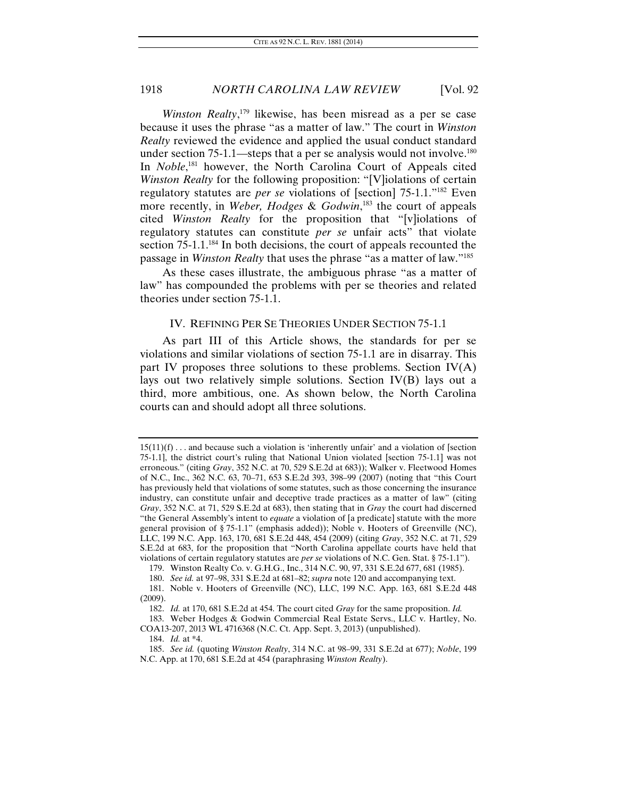*Winston Realty*, 179 likewise, has been misread as a per se case because it uses the phrase "as a matter of law." The court in *Winston Realty* reviewed the evidence and applied the usual conduct standard under section  $75{\text -}1.1$ —steps that a per se analysis would not involve.<sup>180</sup> In *Noble*,<sup>181</sup> however, the North Carolina Court of Appeals cited *Winston Realty* for the following proposition: "[V]iolations of certain regulatory statutes are *per se* violations of [section] 75-1.1."182 Even more recently, in *Weber, Hodges* & *Godwin*, 183 the court of appeals cited *Winston Realty* for the proposition that "[v]iolations of regulatory statutes can constitute *per se* unfair acts" that violate section  $75{\text -}1.1$ <sup>184</sup>. In both decisions, the court of appeals recounted the passage in *Winston Realty* that uses the phrase "as a matter of law."185

As these cases illustrate, the ambiguous phrase "as a matter of law" has compounded the problems with per se theories and related theories under section 75-1.1.

#### IV. REFINING PER SE THEORIES UNDER SECTION 75-1.1

As part III of this Article shows, the standards for per se violations and similar violations of section 75-1.1 are in disarray. This part IV proposes three solutions to these problems. Section  $IV(A)$ lays out two relatively simple solutions. Section IV(B) lays out a third, more ambitious, one. As shown below, the North Carolina courts can and should adopt all three solutions.

 $15(11)(f) \ldots$  and because such a violation is 'inherently unfair' and a violation of [section 75-1.1], the district court's ruling that National Union violated [section 75-1.1] was not erroneous." (citing *Gray*, 352 N.C. at 70, 529 S.E.2d at 683)); Walker v. Fleetwood Homes of N.C., Inc., 362 N.C. 63, 70–71, 653 S.E.2d 393, 398–99 (2007) (noting that "this Court has previously held that violations of some statutes, such as those concerning the insurance industry, can constitute unfair and deceptive trade practices as a matter of law" (citing *Gray*, 352 N.C. at 71, 529 S.E.2d at 683), then stating that in *Gray* the court had discerned "the General Assembly's intent to *equate* a violation of [a predicate] statute with the more general provision of § 75-1.1" (emphasis added)); Noble v. Hooters of Greenville (NC), LLC, 199 N.C. App. 163, 170, 681 S.E.2d 448, 454 (2009) (citing *Gray*, 352 N.C. at 71, 529 S.E.2d at 683, for the proposition that "North Carolina appellate courts have held that violations of certain regulatory statutes are *per se* violations of N.C. Gen. Stat. § 75-1.1").

 <sup>179.</sup> Winston Realty Co. v. G.H.G., Inc., 314 N.C. 90, 97, 331 S.E.2d 677, 681 (1985).

<sup>180.</sup> *See id.* at 97–98, 331 S.E.2d at 681–82; *supra* note 120 and accompanying text.

 <sup>181.</sup> Noble v. Hooters of Greenville (NC), LLC, 199 N.C. App. 163, 681 S.E.2d 448 (2009).

<sup>182.</sup> *Id.* at 170, 681 S.E.2d at 454. The court cited *Gray* for the same proposition. *Id.*

 <sup>183.</sup> Weber Hodges & Godwin Commercial Real Estate Servs., LLC v. Hartley, No. COA13-207, 2013 WL 4716368 (N.C. Ct. App. Sept. 3, 2013) (unpublished).

<sup>184.</sup> *Id.* at \*4.

<sup>185.</sup> *See id.* (quoting *Winston Realty*, 314 N.C. at 98–99, 331 S.E.2d at 677); *Noble*, 199 N.C. App. at 170, 681 S.E.2d at 454 (paraphrasing *Winston Realty*).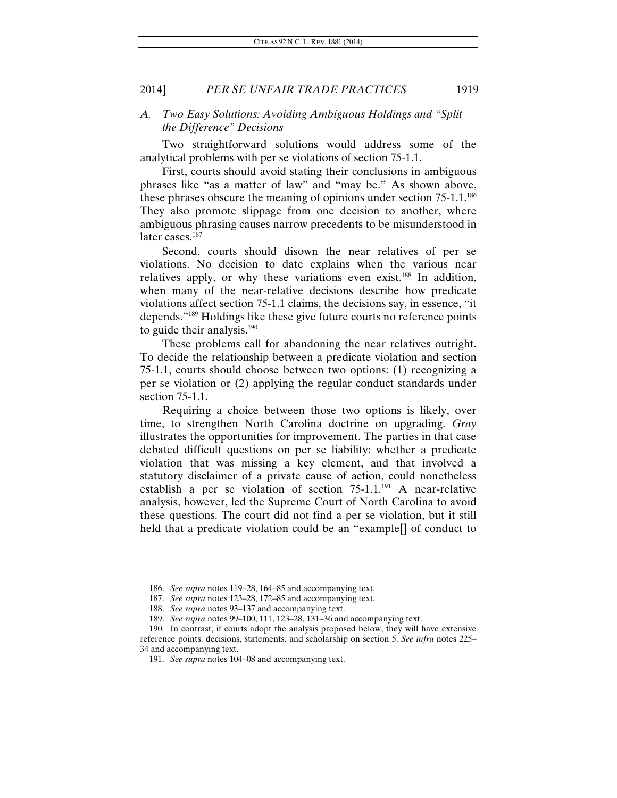#### *A. Two Easy Solutions: Avoiding Ambiguous Holdings and "Split the Difference" Decisions*

Two straightforward solutions would address some of the analytical problems with per se violations of section 75-1.1.

First, courts should avoid stating their conclusions in ambiguous phrases like "as a matter of law" and "may be." As shown above, these phrases obscure the meaning of opinions under section  $75{\text -}1.1$ <sup>186</sup> They also promote slippage from one decision to another, where ambiguous phrasing causes narrow precedents to be misunderstood in later cases.<sup>187</sup>

Second, courts should disown the near relatives of per se violations. No decision to date explains when the various near relatives apply, or why these variations even exist.<sup>188</sup> In addition, when many of the near-relative decisions describe how predicate violations affect section 75-1.1 claims, the decisions say, in essence, "it depends."189 Holdings like these give future courts no reference points to guide their analysis. $190$ 

These problems call for abandoning the near relatives outright. To decide the relationship between a predicate violation and section 75-1.1, courts should choose between two options: (1) recognizing a per se violation or (2) applying the regular conduct standards under section 75-1.1.

Requiring a choice between those two options is likely, over time, to strengthen North Carolina doctrine on upgrading. *Gray* illustrates the opportunities for improvement. The parties in that case debated difficult questions on per se liability: whether a predicate violation that was missing a key element, and that involved a statutory disclaimer of a private cause of action, could nonetheless establish a per se violation of section  $75{\text -}1.1^{191}$  A near-relative analysis, however, led the Supreme Court of North Carolina to avoid these questions. The court did not find a per se violation, but it still held that a predicate violation could be an "example[] of conduct to

<sup>186.</sup> *See supra* notes 119–28, 164–85 and accompanying text.

<sup>187.</sup> *See supra* notes 123–28, 172–85 and accompanying text.

<sup>188.</sup> *See supra* notes 93–137 and accompanying text.

<sup>189.</sup> *See supra* notes 99–100, 111, 123–28, 131–36 and accompanying text.

 <sup>190.</sup> In contrast, if courts adopt the analysis proposed below, they will have extensive reference points: decisions, statements, and scholarship on section 5. *See infra* notes 225– 34 and accompanying text.

<sup>191.</sup> *See supra* notes 104–08 and accompanying text.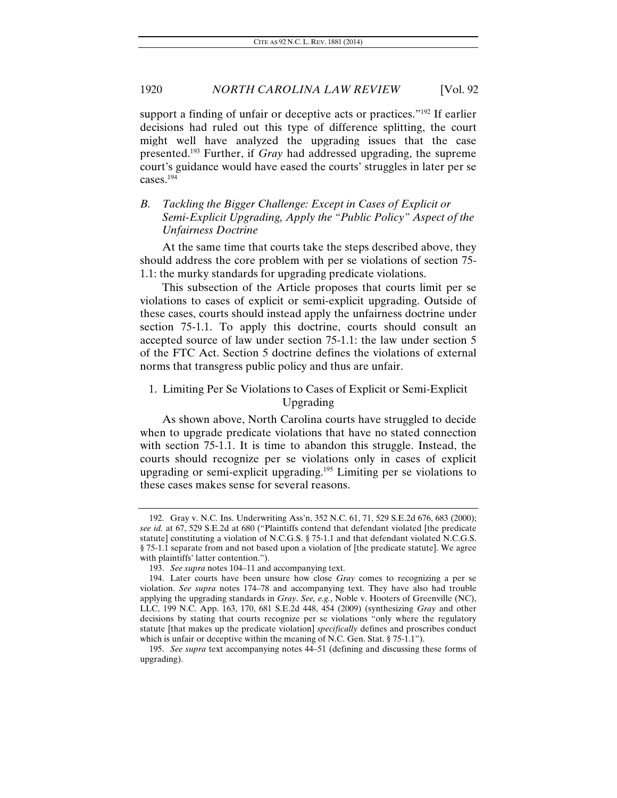support a finding of unfair or deceptive acts or practices."<sup>192</sup> If earlier decisions had ruled out this type of difference splitting, the court might well have analyzed the upgrading issues that the case presented.193 Further, if *Gray* had addressed upgrading, the supreme court's guidance would have eased the courts' struggles in later per se cases.194

# *B. Tackling the Bigger Challenge: Except in Cases of Explicit or Semi-Explicit Upgrading, Apply the "Public Policy" Aspect of the Unfairness Doctrine*

At the same time that courts take the steps described above, they should address the core problem with per se violations of section 75- 1.1: the murky standards for upgrading predicate violations.

This subsection of the Article proposes that courts limit per se violations to cases of explicit or semi-explicit upgrading. Outside of these cases, courts should instead apply the unfairness doctrine under section 75-1.1. To apply this doctrine, courts should consult an accepted source of law under section 75-1.1: the law under section 5 of the FTC Act. Section 5 doctrine defines the violations of external norms that transgress public policy and thus are unfair.

# 1. Limiting Per Se Violations to Cases of Explicit or Semi-Explicit Upgrading

As shown above, North Carolina courts have struggled to decide when to upgrade predicate violations that have no stated connection with section 75-1.1. It is time to abandon this struggle. Instead, the courts should recognize per se violations only in cases of explicit upgrading or semi-explicit upgrading.195 Limiting per se violations to these cases makes sense for several reasons.

 <sup>192.</sup> Gray v. N.C. Ins. Underwriting Ass'n, 352 N.C. 61, 71, 529 S.E.2d 676, 683 (2000); *see id.* at 67, 529 S.E.2d at 680 ("Plaintiffs contend that defendant violated [the predicate statute] constituting a violation of N.C.G.S. § 75-1.1 and that defendant violated N.C.G.S. § 75-1.1 separate from and not based upon a violation of [the predicate statute]. We agree with plaintiffs' latter contention.").

<sup>193.</sup> *See supra* notes 104–11 and accompanying text.

 <sup>194.</sup> Later courts have been unsure how close *Gray* comes to recognizing a per se violation. *See supra* notes 174–78 and accompanying text. They have also had trouble applying the upgrading standards in *Gray*. *See, e.g.*, Noble v. Hooters of Greenville (NC), LLC, 199 N.C. App. 163, 170, 681 S.E.2d 448, 454 (2009) (synthesizing *Gray* and other decisions by stating that courts recognize per se violations "only where the regulatory statute [that makes up the predicate violation] *specifically* defines and proscribes conduct which is unfair or deceptive within the meaning of N.C. Gen. Stat. § 75-1.1").

<sup>195.</sup> *See supra* text accompanying notes 44–51 (defining and discussing these forms of upgrading).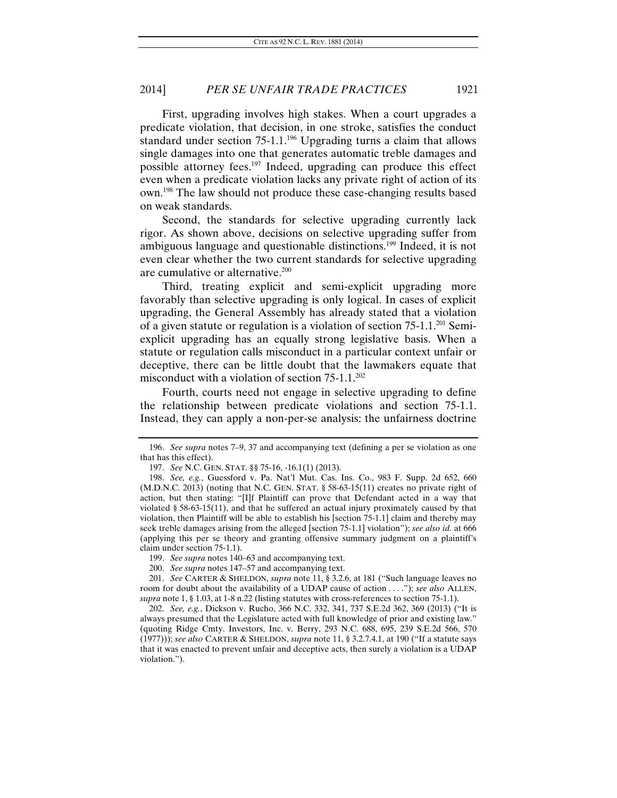First, upgrading involves high stakes. When a court upgrades a predicate violation, that decision, in one stroke, satisfies the conduct standard under section  $75{\text -}1.1$ <sup>196</sup> Upgrading turns a claim that allows single damages into one that generates automatic treble damages and possible attorney fees.197 Indeed, upgrading can produce this effect even when a predicate violation lacks any private right of action of its own.198 The law should not produce these case-changing results based on weak standards.

Second, the standards for selective upgrading currently lack rigor. As shown above, decisions on selective upgrading suffer from ambiguous language and questionable distinctions.199 Indeed, it is not even clear whether the two current standards for selective upgrading are cumulative or alternative.200

Third, treating explicit and semi-explicit upgrading more favorably than selective upgrading is only logical. In cases of explicit upgrading, the General Assembly has already stated that a violation of a given statute or regulation is a violation of section 75-1.1.201 Semiexplicit upgrading has an equally strong legislative basis. When a statute or regulation calls misconduct in a particular context unfair or deceptive, there can be little doubt that the lawmakers equate that misconduct with a violation of section  $75{\text -}1.1.^{202}$ 

Fourth, courts need not engage in selective upgrading to define the relationship between predicate violations and section 75-1.1. Instead, they can apply a non-per-se analysis: the unfairness doctrine

<sup>196.</sup> *See supra* notes 7–9, 37 and accompanying text (defining a per se violation as one that has this effect).

<sup>197.</sup> *See* N.C. GEN. STAT. §§ 75-16, -16.1(1) (2013).

<sup>198.</sup> *See, e.g.*, Guessford v. Pa. Nat'l Mut. Cas. Ins. Co., 983 F. Supp. 2d 652, 660 (M.D.N.C. 2013) (noting that N.C. GEN. STAT. § 58-63-15(11) creates no private right of action, but then stating: "[I]f Plaintiff can prove that Defendant acted in a way that violated § 58-63-15(11), and that he suffered an actual injury proximately caused by that violation, then Plaintiff will be able to establish his [section 75-1.1] claim and thereby may seek treble damages arising from the alleged [section 75-1.1] violation"); *see also id.* at 666 (applying this per se theory and granting offensive summary judgment on a plaintiff's claim under section 75-1.1).

<sup>199.</sup> *See supra* notes 140–63 and accompanying text.

<sup>200.</sup> *See supra* notes 147–57 and accompanying text.

<sup>201.</sup> *See* CARTER & SHELDON, *supra* note 11, § 3.2.6, at 181 ("Such language leaves no room for doubt about the availability of a UDAP cause of action . . . ."); *see also* ALLEN, *supra* note 1, § 1.03, at 1-8 n.22 (listing statutes with cross-references to section 75-1.1).

<sup>202.</sup> *See, e.g.*, Dickson v. Rucho, 366 N.C. 332, 341, 737 S.E.2d 362, 369 (2013) ("It is always presumed that the Legislature acted with full knowledge of prior and existing law." (quoting Ridge Cmty. Investors, Inc. v. Berry, 293 N.C. 688, 695, 239 S.E.2d 566, 570 (1977))); *see also* CARTER & SHELDON, *supra* note 11, § 3.2.7.4.1, at 190 ("If a statute says that it was enacted to prevent unfair and deceptive acts, then surely a violation is a UDAP violation.").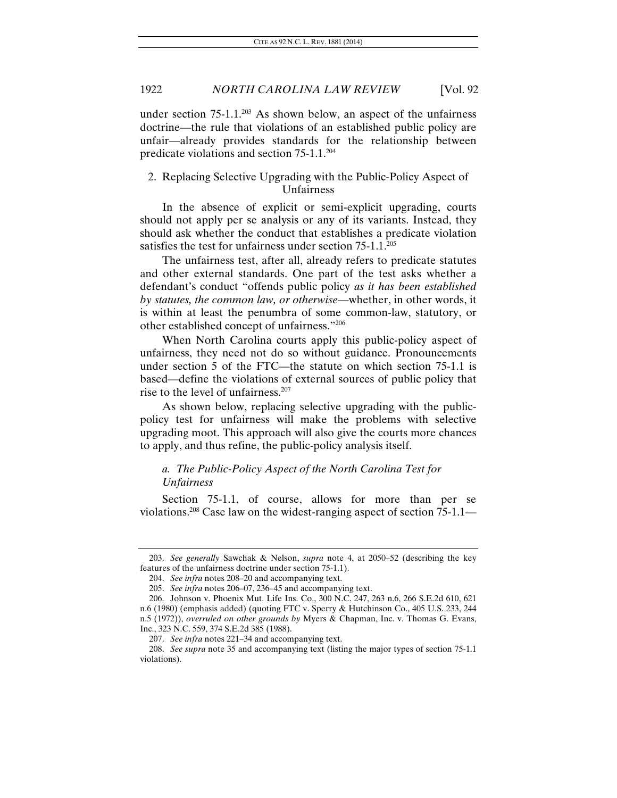under section  $75{\text -}1.1$ <sup>203</sup> As shown below, an aspect of the unfairness doctrine—the rule that violations of an established public policy are unfair—already provides standards for the relationship between predicate violations and section 75-1.1.204

# 2. Replacing Selective Upgrading with the Public-Policy Aspect of Unfairness

In the absence of explicit or semi-explicit upgrading, courts should not apply per se analysis or any of its variants. Instead, they should ask whether the conduct that establishes a predicate violation satisfies the test for unfairness under section 75-1.1.<sup>205</sup>

The unfairness test, after all, already refers to predicate statutes and other external standards. One part of the test asks whether a defendant's conduct "offends public policy *as it has been established by statutes, the common law, or otherwise*—whether, in other words, it is within at least the penumbra of some common-law, statutory, or other established concept of unfairness."206

When North Carolina courts apply this public-policy aspect of unfairness, they need not do so without guidance. Pronouncements under section 5 of the FTC—the statute on which section 75-1.1 is based—define the violations of external sources of public policy that rise to the level of unfairness.207

As shown below, replacing selective upgrading with the publicpolicy test for unfairness will make the problems with selective upgrading moot. This approach will also give the courts more chances to apply, and thus refine, the public-policy analysis itself.

## *a. The Public-Policy Aspect of the North Carolina Test for Unfairness*

Section 75-1.1, of course, allows for more than per se violations.208 Case law on the widest-ranging aspect of section 75-1.1—

<sup>203.</sup> *See generally* Sawchak & Nelson, *supra* note 4, at 2050–52 (describing the key features of the unfairness doctrine under section 75-1.1).

<sup>204.</sup> *See infra* notes 208–20 and accompanying text.

<sup>205.</sup> *See infra* notes 206–07, 236–45 and accompanying text.

 <sup>206.</sup> Johnson v. Phoenix Mut. Life Ins. Co., 300 N.C. 247, 263 n.6, 266 S.E.2d 610, 621 n.6 (1980) (emphasis added) (quoting FTC v. Sperry & Hutchinson Co., 405 U.S. 233, 244 n.5 (1972)), *overruled on other grounds by* Myers & Chapman, Inc. v. Thomas G. Evans, Inc., 323 N.C. 559, 374 S.E.2d 385 (1988).

<sup>207.</sup> *See infra* notes 221–34 and accompanying text.

<sup>208.</sup> *See supra* note 35 and accompanying text (listing the major types of section 75-1.1 violations).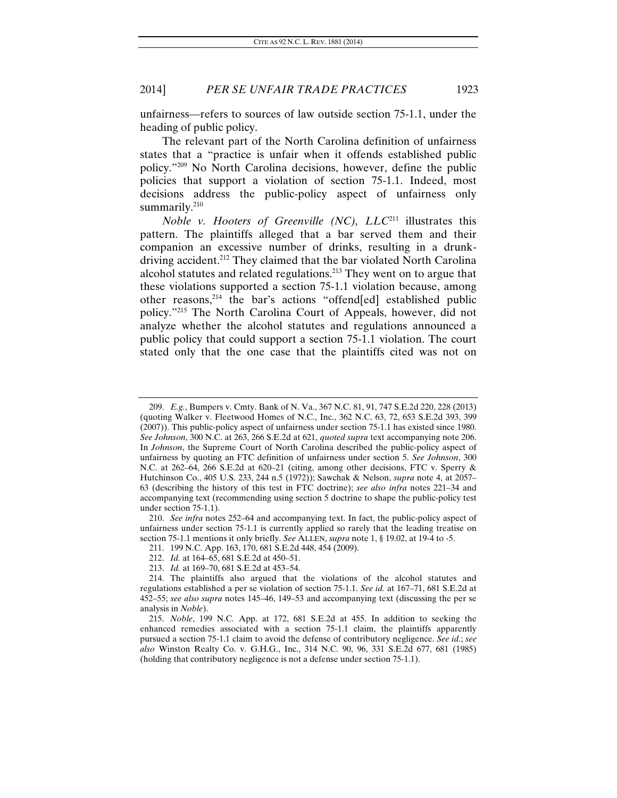unfairness—refers to sources of law outside section 75-1.1, under the heading of public policy.

The relevant part of the North Carolina definition of unfairness states that a "practice is unfair when it offends established public policy."209 No North Carolina decisions, however, define the public policies that support a violation of section 75-1.1. Indeed, most decisions address the public-policy aspect of unfairness only summarily.<sup>210</sup>

*Noble v. Hooters of Greenville (NC), LLC*211 illustrates this pattern. The plaintiffs alleged that a bar served them and their companion an excessive number of drinks, resulting in a drunkdriving accident.212 They claimed that the bar violated North Carolina alcohol statutes and related regulations.213 They went on to argue that these violations supported a section 75-1.1 violation because, among other reasons,214 the bar's actions "offend[ed] established public policy."215 The North Carolina Court of Appeals, however, did not analyze whether the alcohol statutes and regulations announced a public policy that could support a section 75-1.1 violation. The court stated only that the one case that the plaintiffs cited was not on

<sup>209.</sup> *E.g.*, Bumpers v. Cmty. Bank of N. Va., 367 N.C. 81, 91, 747 S.E.2d 220, 228 (2013) (quoting Walker v. Fleetwood Homes of N.C., Inc., 362 N.C. 63, 72, 653 S.E.2d 393, 399 (2007)). This public-policy aspect of unfairness under section 75-1.1 has existed since 1980. *See Johnson*, 300 N.C. at 263, 266 S.E.2d at 621, *quoted supra* text accompanying note 206. In *Johnson*, the Supreme Court of North Carolina described the public-policy aspect of unfairness by quoting an FTC definition of unfairness under section 5. *See Johnson*, 300 N.C. at 262–64, 266 S.E.2d at 620–21 (citing, among other decisions, FTC v. Sperry & Hutchinson Co., 405 U.S. 233, 244 n.5 (1972)); Sawchak & Nelson, *supra* note 4, at 2057– 63 (describing the history of this test in FTC doctrine); *see also infra* notes 221–34 and accompanying text (recommending using section 5 doctrine to shape the public-policy test under section 75-1.1).

<sup>210.</sup> *See infra* notes 252–64 and accompanying text. In fact, the public-policy aspect of unfairness under section 75-1.1 is currently applied so rarely that the leading treatise on section 75-1.1 mentions it only briefly. *See* ALLEN, *supra* note 1, § 19.02, at 19-4 to -5.

 <sup>211. 199</sup> N.C. App. 163, 170, 681 S.E.2d 448, 454 (2009).

<sup>212.</sup> *Id.* at 164–65, 681 S.E.2d at 450–51.

<sup>213.</sup> *Id.* at 169–70, 681 S.E.2d at 453–54.

 <sup>214.</sup> The plaintiffs also argued that the violations of the alcohol statutes and regulations established a per se violation of section 75-1.1. *See id.* at 167–71, 681 S.E.2d at 452–55; *see also supra* notes 145–46, 149–53 and accompanying text (discussing the per se analysis in *Noble*).

<sup>215.</sup> *Noble*, 199 N.C. App. at 172, 681 S.E.2d at 455. In addition to seeking the enhanced remedies associated with a section 75-1.1 claim, the plaintiffs apparently pursued a section 75-1.1 claim to avoid the defense of contributory negligence. *See id.*; *see also* Winston Realty Co. v. G.H.G., Inc., 314 N.C. 90, 96, 331 S.E.2d 677, 681 (1985) (holding that contributory negligence is not a defense under section 75-1.1).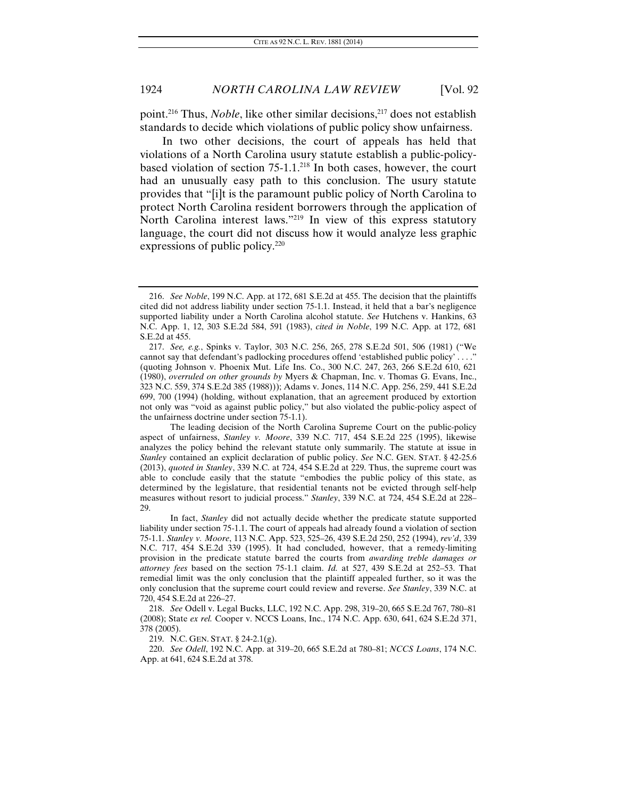point.<sup>216</sup> Thus, *Noble*, like other similar decisions,<sup>217</sup> does not establish standards to decide which violations of public policy show unfairness.

In two other decisions, the court of appeals has held that violations of a North Carolina usury statute establish a public-policybased violation of section  $75{\text -}1.1^{218}$  In both cases, however, the court had an unusually easy path to this conclusion. The usury statute provides that "[i]t is the paramount public policy of North Carolina to protect North Carolina resident borrowers through the application of North Carolina interest laws."219 In view of this express statutory language, the court did not discuss how it would analyze less graphic expressions of public policy.220

 The leading decision of the North Carolina Supreme Court on the public-policy aspect of unfairness, *Stanley v. Moore*, 339 N.C. 717, 454 S.E.2d 225 (1995), likewise analyzes the policy behind the relevant statute only summarily. The statute at issue in *Stanley* contained an explicit declaration of public policy. *See* N.C. GEN. STAT. § 42-25.6 (2013), *quoted in Stanley*, 339 N.C. at 724, 454 S.E.2d at 229. Thus, the supreme court was able to conclude easily that the statute "embodies the public policy of this state, as determined by the legislature, that residential tenants not be evicted through self-help measures without resort to judicial process." *Stanley*, 339 N.C. at 724, 454 S.E.2d at 228– 29.

 In fact, *Stanley* did not actually decide whether the predicate statute supported liability under section 75-1.1. The court of appeals had already found a violation of section 75-1.1. *Stanley v. Moore*, 113 N.C. App. 523, 525–26, 439 S.E.2d 250, 252 (1994), *rev'd*, 339 N.C. 717, 454 S.E.2d 339 (1995). It had concluded, however, that a remedy-limiting provision in the predicate statute barred the courts from *awarding treble damages or attorney fees* based on the section 75-1.1 claim. *Id.* at 527, 439 S.E.2d at 252–53. That remedial limit was the only conclusion that the plaintiff appealed further, so it was the only conclusion that the supreme court could review and reverse. *See Stanley*, 339 N.C. at 720, 454 S.E.2d at 226–27.

218. *See* Odell v. Legal Bucks, LLC, 192 N.C. App. 298, 319–20, 665 S.E.2d 767, 780–81 (2008); State *ex rel.* Cooper v. NCCS Loans, Inc., 174 N.C. App. 630, 641, 624 S.E.2d 371, 378 (2005).

219. N.C. GEN. STAT. § 24-2.1(g).

220. *See Odell*, 192 N.C. App. at 319–20, 665 S.E.2d at 780–81; *NCCS Loans*, 174 N.C. App. at 641, 624 S.E.2d at 378.

<sup>216.</sup> *See Noble*, 199 N.C. App. at 172, 681 S.E.2d at 455. The decision that the plaintiffs cited did not address liability under section 75-1.1. Instead, it held that a bar's negligence supported liability under a North Carolina alcohol statute. *See* Hutchens v. Hankins, 63 N.C. App. 1, 12, 303 S.E.2d 584, 591 (1983), *cited in Noble*, 199 N.C. App. at 172, 681 S.E.2d at 455.

<sup>217.</sup> *See, e.g.*, Spinks v. Taylor, 303 N.C. 256, 265, 278 S.E.2d 501, 506 (1981) ("We cannot say that defendant's padlocking procedures offend 'established public policy' . . . ." (quoting Johnson v. Phoenix Mut. Life Ins. Co., 300 N.C. 247, 263, 266 S.E.2d 610, 621 (1980), *overruled on other grounds by* Myers & Chapman, Inc. v. Thomas G. Evans, Inc., 323 N.C. 559, 374 S.E.2d 385 (1988))); Adams v. Jones, 114 N.C. App. 256, 259, 441 S.E.2d 699, 700 (1994) (holding, without explanation, that an agreement produced by extortion not only was "void as against public policy," but also violated the public-policy aspect of the unfairness doctrine under section 75-1.1).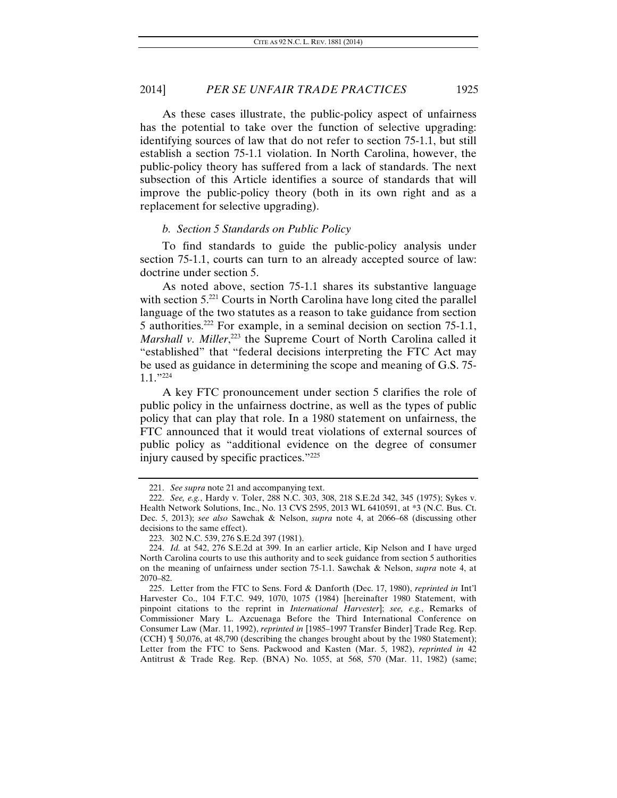As these cases illustrate, the public-policy aspect of unfairness has the potential to take over the function of selective upgrading: identifying sources of law that do not refer to section 75-1.1, but still establish a section 75-1.1 violation. In North Carolina, however, the public-policy theory has suffered from a lack of standards. The next subsection of this Article identifies a source of standards that will improve the public-policy theory (both in its own right and as a replacement for selective upgrading).

#### *b. Section 5 Standards on Public Policy*

To find standards to guide the public-policy analysis under section 75-1.1, courts can turn to an already accepted source of law: doctrine under section 5.

As noted above, section 75-1.1 shares its substantive language with section 5.<sup>221</sup> Courts in North Carolina have long cited the parallel language of the two statutes as a reason to take guidance from section 5 authorities.222 For example, in a seminal decision on section 75-1.1, Marshall v. Miller,<sup>223</sup> the Supreme Court of North Carolina called it "established" that "federal decisions interpreting the FTC Act may be used as guidance in determining the scope and meaning of G.S. 75- 1.1."224

A key FTC pronouncement under section 5 clarifies the role of public policy in the unfairness doctrine, as well as the types of public policy that can play that role. In a 1980 statement on unfairness, the FTC announced that it would treat violations of external sources of public policy as "additional evidence on the degree of consumer injury caused by specific practices."225

<sup>221.</sup> *See supra* note 21 and accompanying text.

<sup>222.</sup> *See, e.g.*, Hardy v. Toler, 288 N.C. 303, 308, 218 S.E.2d 342, 345 (1975); Sykes v. Health Network Solutions, Inc., No. 13 CVS 2595, 2013 WL 6410591, at \*3 (N.C. Bus. Ct. Dec. 5, 2013); *see also* Sawchak & Nelson, *supra* note 4, at 2066–68 (discussing other decisions to the same effect).

 <sup>223. 302</sup> N.C. 539, 276 S.E.2d 397 (1981).

<sup>224.</sup> *Id.* at 542, 276 S.E.2d at 399. In an earlier article, Kip Nelson and I have urged North Carolina courts to use this authority and to seek guidance from section 5 authorities on the meaning of unfairness under section 75-1.1. Sawchak & Nelson, *supra* note 4, at 2070–82.

 <sup>225.</sup> Letter from the FTC to Sens. Ford & Danforth (Dec. 17, 1980), *reprinted in* Int'l Harvester Co., 104 F.T.C. 949, 1070, 1075 (1984) [hereinafter 1980 Statement, with pinpoint citations to the reprint in *International Harvester*]; *see, e.g.*, Remarks of Commissioner Mary L. Azcuenaga Before the Third International Conference on Consumer Law (Mar. 11, 1992), *reprinted in* [1985–1997 Transfer Binder] Trade Reg. Rep. (CCH) ¶ 50,076, at 48,790 (describing the changes brought about by the 1980 Statement); Letter from the FTC to Sens. Packwood and Kasten (Mar. 5, 1982), *reprinted in* 42 Antitrust & Trade Reg. Rep. (BNA) No. 1055, at 568, 570 (Mar. 11, 1982) (same;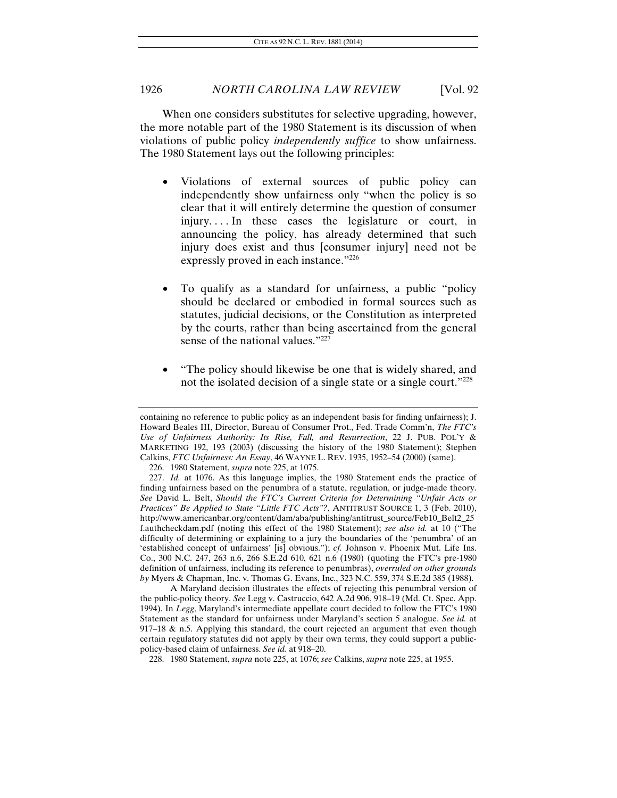When one considers substitutes for selective upgrading, however, the more notable part of the 1980 Statement is its discussion of when violations of public policy *independently suffice* to show unfairness. The 1980 Statement lays out the following principles:

- Violations of external sources of public policy can independently show unfairness only "when the policy is so clear that it will entirely determine the question of consumer injury. . . . In these cases the legislature or court, in announcing the policy, has already determined that such injury does exist and thus [consumer injury] need not be expressly proved in each instance."226
- To qualify as a standard for unfairness, a public "policy should be declared or embodied in formal sources such as statutes, judicial decisions, or the Constitution as interpreted by the courts, rather than being ascertained from the general sense of the national values."<sup>227</sup>
- "The policy should likewise be one that is widely shared, and not the isolated decision of a single state or a single court."228

 A Maryland decision illustrates the effects of rejecting this penumbral version of the public-policy theory. *See* Legg v. Castruccio, 642 A.2d 906, 918–19 (Md. Ct. Spec. App. 1994). In *Legg*, Maryland's intermediate appellate court decided to follow the FTC's 1980 Statement as the standard for unfairness under Maryland's section 5 analogue. *See id.* at 917–18 & n.5. Applying this standard, the court rejected an argument that even though certain regulatory statutes did not apply by their own terms, they could support a publicpolicy-based claim of unfairness. *See id.* at 918–20.

containing no reference to public policy as an independent basis for finding unfairness); J. Howard Beales III, Director, Bureau of Consumer Prot., Fed. Trade Comm'n, *The FTC's Use of Unfairness Authority: Its Rise, Fall, and Resurrection*, 22 J. PUB. POL'Y & MARKETING 192, 193 (2003) (discussing the history of the 1980 Statement); Stephen Calkins, *FTC Unfairness: An Essay*, 46 WAYNE L. REV. 1935, 1952–54 (2000) (same).

 <sup>226. 1980</sup> Statement, *supra* note 225, at 1075.

<sup>227.</sup> *Id.* at 1076. As this language implies, the 1980 Statement ends the practice of finding unfairness based on the penumbra of a statute, regulation, or judge-made theory. *See* David L. Belt, *Should the FTC's Current Criteria for Determining "Unfair Acts or Practices" Be Applied to State "Little FTC Acts"?*, ANTITRUST SOURCE 1, 3 (Feb. 2010), http://www.americanbar.org/content/dam/aba/publishing/antitrust\_source/Feb10\_Belt2\_25 f.authcheckdam.pdf (noting this effect of the 1980 Statement); *see also id.* at 10 ("The difficulty of determining or explaining to a jury the boundaries of the 'penumbra' of an 'established concept of unfairness' [is] obvious."); *cf.* Johnson v. Phoenix Mut. Life Ins. Co., 300 N.C. 247, 263 n.6, 266 S.E.2d 610, 621 n.6 (1980) (quoting the FTC's pre-1980 definition of unfairness, including its reference to penumbras), *overruled on other grounds by* Myers & Chapman, Inc. v. Thomas G. Evans, Inc., 323 N.C. 559, 374 S.E.2d 385 (1988).

 <sup>228. 1980</sup> Statement, *supra* note 225, at 1076; *see* Calkins, *supra* note 225, at 1955.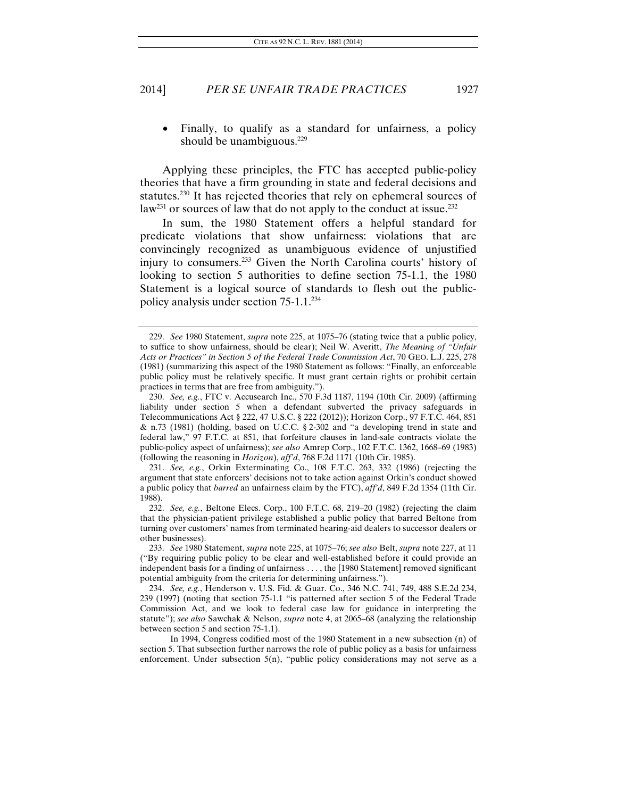Finally, to qualify as a standard for unfairness, a policy should be unambiguous. $229$ 

Applying these principles, the FTC has accepted public-policy theories that have a firm grounding in state and federal decisions and statutes.230 It has rejected theories that rely on ephemeral sources of  $law<sup>231</sup>$  or sources of law that do not apply to the conduct at issue.<sup>232</sup>

In sum, the 1980 Statement offers a helpful standard for predicate violations that show unfairness: violations that are convincingly recognized as unambiguous evidence of unjustified injury to consumers.233 Given the North Carolina courts' history of looking to section 5 authorities to define section 75-1.1, the 1980 Statement is a logical source of standards to flesh out the publicpolicy analysis under section 75-1.1.234

<sup>229.</sup> *See* 1980 Statement, *supra* note 225, at 1075–76 (stating twice that a public policy, to suffice to show unfairness, should be clear); Neil W. Averitt, *The Meaning of "Unfair Acts or Practices" in Section 5 of the Federal Trade Commission Act*, 70 GEO. L.J. 225, 278 (1981) (summarizing this aspect of the 1980 Statement as follows: "Finally, an enforceable public policy must be relatively specific. It must grant certain rights or prohibit certain practices in terms that are free from ambiguity.").

<sup>230.</sup> *See, e.g.*, FTC v. Accusearch Inc., 570 F.3d 1187, 1194 (10th Cir. 2009) (affirming liability under section 5 when a defendant subverted the privacy safeguards in Telecommunications Act § 222, 47 U.S.C. § 222 (2012)); Horizon Corp., 97 F.T.C. 464, 851 & n.73 (1981) (holding, based on U.C.C. § 2-302 and "a developing trend in state and federal law," 97 F.T.C. at 851, that forfeiture clauses in land-sale contracts violate the public-policy aspect of unfairness); *see also* Amrep Corp., 102 F.T.C. 1362, 1668–69 (1983) (following the reasoning in *Horizon*), *aff'd*, 768 F.2d 1171 (10th Cir. 1985).

<sup>231.</sup> *See, e.g.*, Orkin Exterminating Co., 108 F.T.C. 263, 332 (1986) (rejecting the argument that state enforcers' decisions not to take action against Orkin's conduct showed a public policy that *barred* an unfairness claim by the FTC), *aff'd*, 849 F.2d 1354 (11th Cir. 1988).

<sup>232.</sup> *See, e.g.*, Beltone Elecs. Corp., 100 F.T.C. 68, 219–20 (1982) (rejecting the claim that the physician-patient privilege established a public policy that barred Beltone from turning over customers' names from terminated hearing-aid dealers to successor dealers or other businesses).

<sup>233.</sup> *See* 1980 Statement, *supra* note 225, at 1075–76; *see also* Belt, *supra* note 227, at 11 ("By requiring public policy to be clear and well-established before it could provide an independent basis for a finding of unfairness . . . , the [1980 Statement] removed significant potential ambiguity from the criteria for determining unfairness.").

<sup>234.</sup> *See, e.g.*, Henderson v. U.S. Fid. & Guar. Co., 346 N.C. 741, 749, 488 S.E.2d 234, 239 (1997) (noting that section 75-1.1 "is patterned after section 5 of the Federal Trade Commission Act, and we look to federal case law for guidance in interpreting the statute"); *see also* Sawchak & Nelson, *supra* note 4, at 2065–68 (analyzing the relationship between section 5 and section 75-1.1).

In 1994, Congress codified most of the 1980 Statement in a new subsection (n) of section 5. That subsection further narrows the role of public policy as a basis for unfairness enforcement. Under subsection  $5(n)$ , "public policy considerations may not serve as a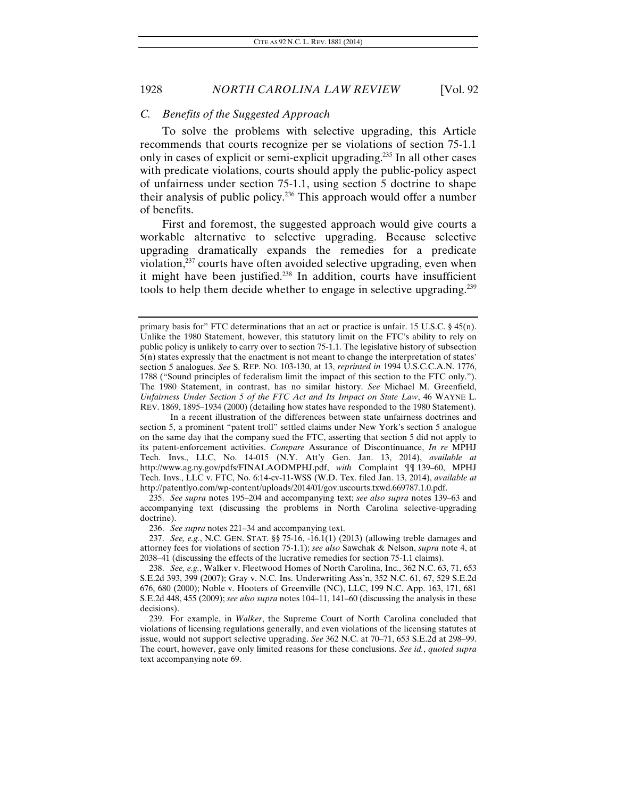#### *C. Benefits of the Suggested Approach*

To solve the problems with selective upgrading, this Article recommends that courts recognize per se violations of section 75-1.1 only in cases of explicit or semi-explicit upgrading.235 In all other cases with predicate violations, courts should apply the public-policy aspect of unfairness under section 75-1.1, using section 5 doctrine to shape their analysis of public policy.236 This approach would offer a number of benefits.

First and foremost, the suggested approach would give courts a workable alternative to selective upgrading. Because selective upgrading dramatically expands the remedies for a predicate violation, $237$  courts have often avoided selective upgrading, even when it might have been justified.238 In addition, courts have insufficient tools to help them decide whether to engage in selective upgrading.239

 In a recent illustration of the differences between state unfairness doctrines and section 5, a prominent "patent troll" settled claims under New York's section 5 analogue on the same day that the company sued the FTC, asserting that section 5 did not apply to its patent-enforcement activities. *Compare* Assurance of Discontinuance, *In re* MPHJ Tech. Invs., LLC, No. 14-015 (N.Y. Att'y Gen. Jan. 13, 2014), *available at* http://www.ag.ny.gov/pdfs/FINALAODMPHJ.pdf, *with* Complaint ¶¶ 139–60, MPHJ Tech. Invs., LLC v. FTC, No. 6:14-cv-11-WSS (W.D. Tex. filed Jan. 13, 2014), *available at* http://patentlyo.com/wp-content/uploads/2014/01/gov.uscourts.txwd.669787.1.0.pdf.

235. *See supra* notes 195–204 and accompanying text; *see also supra* notes 139–63 and accompanying text (discussing the problems in North Carolina selective-upgrading doctrine).

236. *See supra* notes 221–34 and accompanying text.

237. *See, e.g.*, N.C. GEN. STAT. §§ 75-16, -16.1(1) (2013) (allowing treble damages and attorney fees for violations of section 75-1.1); *see also* Sawchak & Nelson, *supra* note 4, at 2038–41 (discussing the effects of the lucrative remedies for section 75-1.1 claims).

primary basis for" FTC determinations that an act or practice is unfair. 15 U.S.C. § 45(n). Unlike the 1980 Statement, however, this statutory limit on the FTC's ability to rely on public policy is unlikely to carry over to section 75-1.1. The legislative history of subsection 5(n) states expressly that the enactment is not meant to change the interpretation of states' section 5 analogues. *See* S. REP. NO. 103-130, at 13, *reprinted in* 1994 U.S.C.C.A.N. 1776, 1788 ("Sound principles of federalism limit the impact of this section to the FTC only."). The 1980 Statement, in contrast, has no similar history. *See* Michael M. Greenfield, *Unfairness Under Section 5 of the FTC Act and Its Impact on State Law*, 46 WAYNE L. REV. 1869, 1895–1934 (2000) (detailing how states have responded to the 1980 Statement).

<sup>238.</sup> *See, e.g.*, Walker v. Fleetwood Homes of North Carolina, Inc., 362 N.C. 63, 71, 653 S.E.2d 393, 399 (2007); Gray v. N.C. Ins. Underwriting Ass'n, 352 N.C. 61, 67, 529 S.E.2d 676, 680 (2000); Noble v. Hooters of Greenville (NC), LLC, 199 N.C. App. 163, 171, 681 S.E.2d 448, 455 (2009); *see also supra* notes 104–11, 141–60 (discussing the analysis in these decisions).

 <sup>239.</sup> For example, in *Walker*, the Supreme Court of North Carolina concluded that violations of licensing regulations generally, and even violations of the licensing statutes at issue, would not support selective upgrading. *See* 362 N.C. at 70–71, 653 S.E.2d at 298–99. The court, however, gave only limited reasons for these conclusions. *See id.*, *quoted supra*  text accompanying note 69.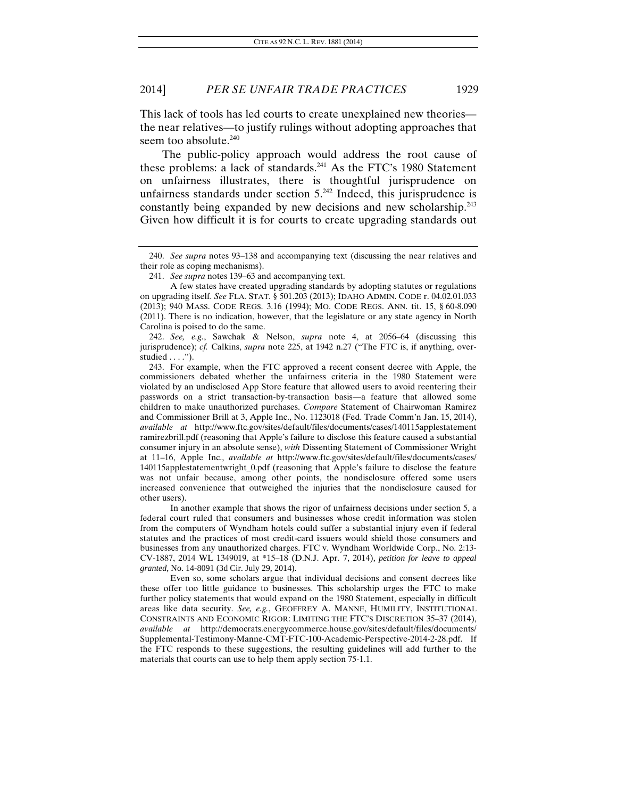This lack of tools has led courts to create unexplained new theories the near relatives—to justify rulings without adopting approaches that seem too absolute.<sup>240</sup>

The public-policy approach would address the root cause of these problems: a lack of standards. $241$  As the FTC's 1980 Statement on unfairness illustrates, there is thoughtful jurisprudence on unfairness standards under section  $5.^{242}$  Indeed, this jurisprudence is constantly being expanded by new decisions and new scholarship.<sup>243</sup> Given how difficult it is for courts to create upgrading standards out

242. *See, e.g.*, Sawchak & Nelson, *supra* note 4, at 2056–64 (discussing this jurisprudence); *cf.* Calkins, *supra* note 225, at 1942 n.27 ("The FTC is, if anything, overstudied . . . .").

 243. For example, when the FTC approved a recent consent decree with Apple, the commissioners debated whether the unfairness criteria in the 1980 Statement were violated by an undisclosed App Store feature that allowed users to avoid reentering their passwords on a strict transaction-by-transaction basis—a feature that allowed some children to make unauthorized purchases. *Compare* Statement of Chairwoman Ramirez and Commissioner Brill at 3, Apple Inc., No. 1123018 (Fed. Trade Comm'n Jan. 15, 2014), *available at* http://www.ftc.gov/sites/default/files/documents/cases/140115applestatement ramirezbrill.pdf (reasoning that Apple's failure to disclose this feature caused a substantial consumer injury in an absolute sense), *with* Dissenting Statement of Commissioner Wright at 11–16, Apple Inc., *available at* http://www.ftc.gov/sites/default/files/documents/cases/ 140115applestatementwright\_0.pdf (reasoning that Apple's failure to disclose the feature was not unfair because, among other points, the nondisclosure offered some users increased convenience that outweighed the injuries that the nondisclosure caused for other users).

 In another example that shows the rigor of unfairness decisions under section 5, a federal court ruled that consumers and businesses whose credit information was stolen from the computers of Wyndham hotels could suffer a substantial injury even if federal statutes and the practices of most credit-card issuers would shield those consumers and businesses from any unauthorized charges. FTC v. Wyndham Worldwide Corp., No. 2:13- CV-1887, 2014 WL 1349019, at \*15–18 (D.N.J. Apr. 7, 2014), *petition for leave to appeal granted*, No. 14-8091 (3d Cir. July 29, 2014).

 Even so, some scholars argue that individual decisions and consent decrees like these offer too little guidance to businesses. This scholarship urges the FTC to make further policy statements that would expand on the 1980 Statement, especially in difficult areas like data security. *See, e.g.*, GEOFFREY A. MANNE, HUMILITY, INSTITUTIONAL CONSTRAINTS AND ECONOMIC RIGOR: LIMITING THE FTC'S DISCRETION 35–37 (2014), *available at* http://democrats.energycommerce.house.gov/sites/default/files/documents/ Supplemental-Testimony-Manne-CMT-FTC-100-Academic-Perspective-2014-2-28.pdf. If the FTC responds to these suggestions, the resulting guidelines will add further to the materials that courts can use to help them apply section 75-1.1.

<sup>240.</sup> *See supra* notes 93–138 and accompanying text (discussing the near relatives and their role as coping mechanisms).

<sup>241.</sup> *See supra* notes 139–63 and accompanying text.

A few states have created upgrading standards by adopting statutes or regulations on upgrading itself. *See* FLA. STAT. § 501.203 (2013); IDAHO ADMIN. CODE r. 04.02.01.033 (2013); 940 MASS. CODE REGS. 3.16 (1994); MO. CODE REGS. ANN. tit. 15, § 60-8.090 (2011). There is no indication, however, that the legislature or any state agency in North Carolina is poised to do the same.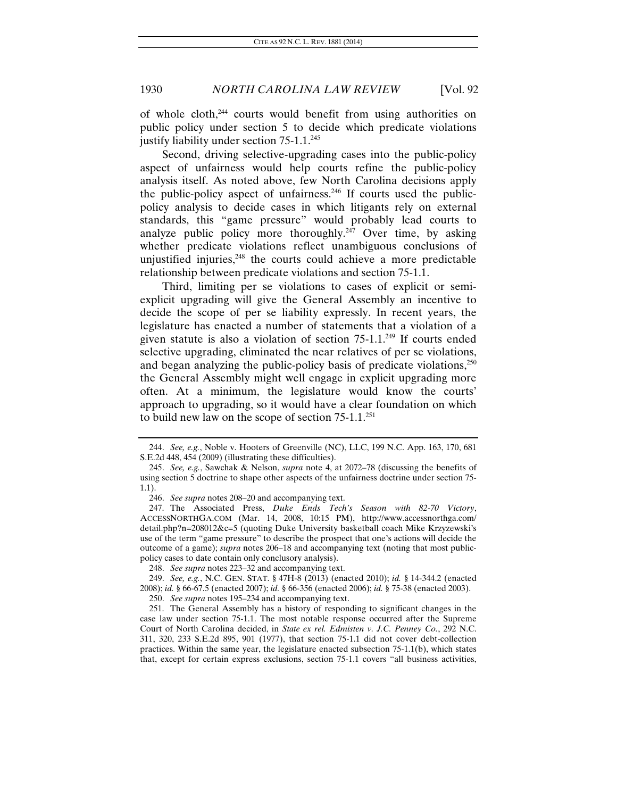of whole cloth,244 courts would benefit from using authorities on public policy under section 5 to decide which predicate violations justify liability under section  $75-1.1$ <sup>245</sup>

Second, driving selective-upgrading cases into the public-policy aspect of unfairness would help courts refine the public-policy analysis itself. As noted above, few North Carolina decisions apply the public-policy aspect of unfairness. $246$  If courts used the publicpolicy analysis to decide cases in which litigants rely on external standards, this "game pressure" would probably lead courts to analyze public policy more thoroughly.<sup> $247$ </sup> Over time, by asking whether predicate violations reflect unambiguous conclusions of unjustified injuries, $248$  the courts could achieve a more predictable relationship between predicate violations and section 75-1.1.

Third, limiting per se violations to cases of explicit or semiexplicit upgrading will give the General Assembly an incentive to decide the scope of per se liability expressly. In recent years, the legislature has enacted a number of statements that a violation of a given statute is also a violation of section  $75{\text -}1.1^{249}$  If courts ended selective upgrading, eliminated the near relatives of per se violations, and began analyzing the public-policy basis of predicate violations,<sup>250</sup> the General Assembly might well engage in explicit upgrading more often. At a minimum, the legislature would know the courts' approach to upgrading, so it would have a clear foundation on which to build new law on the scope of section  $75{\text -}1.1$ <sup>251</sup>

246. *See supra* notes 208–20 and accompanying text.

<sup>244.</sup> *See, e.g.*, Noble v. Hooters of Greenville (NC), LLC, 199 N.C. App. 163, 170, 681 S.E.2d 448, 454 (2009) (illustrating these difficulties).

<sup>245.</sup> *See, e.g.*, Sawchak & Nelson, *supra* note 4, at 2072–78 (discussing the benefits of using section 5 doctrine to shape other aspects of the unfairness doctrine under section 75- 1.1).

 <sup>247.</sup> The Associated Press, *Duke Ends Tech's Season with 82-70 Victory*, ACCESSNORTHGA.COM (Mar. 14, 2008, 10:15 PM), http://www.accessnorthga.com/ detail.php?n=208012&c=5 (quoting Duke University basketball coach Mike Krzyzewski's use of the term "game pressure" to describe the prospect that one's actions will decide the outcome of a game); *supra* notes 206–18 and accompanying text (noting that most publicpolicy cases to date contain only conclusory analysis).

<sup>248.</sup> *See supra* notes 223–32 and accompanying text.

<sup>249.</sup> *See, e.g.*, N.C. GEN. STAT. § 47H-8 (2013) (enacted 2010); *id.* § 14-344.2 (enacted 2008); *id.* § 66-67.5 (enacted 2007); *id.* § 66-356 (enacted 2006); *id.* § 75-38 (enacted 2003).

<sup>250.</sup> *See supra* notes 195–234 and accompanying text.

 <sup>251.</sup> The General Assembly has a history of responding to significant changes in the case law under section 75-1.1. The most notable response occurred after the Supreme Court of North Carolina decided, in *State ex rel. Edmisten v. J.C. Penney Co.*, 292 N.C. 311, 320, 233 S.E.2d 895, 901 (1977), that section 75-1.1 did not cover debt-collection practices. Within the same year, the legislature enacted subsection 75-1.1(b), which states that, except for certain express exclusions, section 75-1.1 covers "all business activities,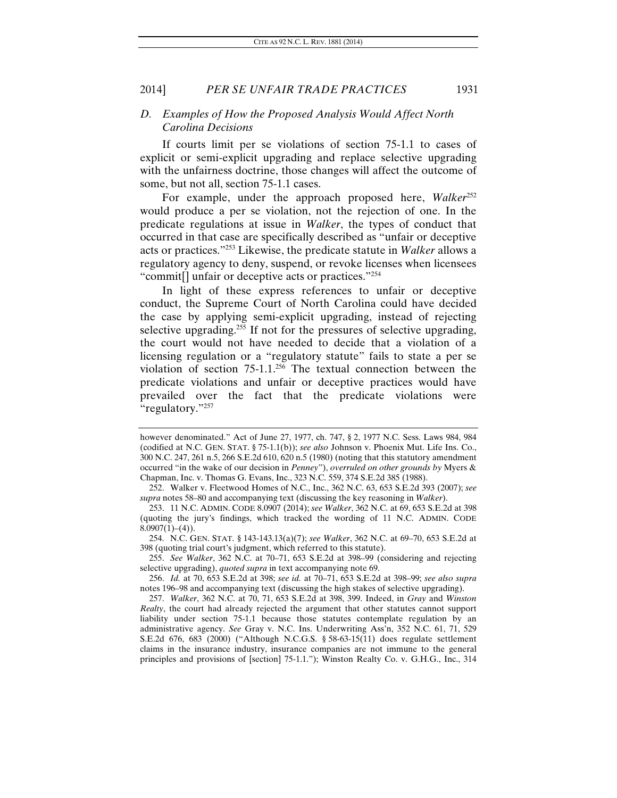#### *D. Examples of How the Proposed Analysis Would Affect North Carolina Decisions*

If courts limit per se violations of section 75-1.1 to cases of explicit or semi-explicit upgrading and replace selective upgrading with the unfairness doctrine, those changes will affect the outcome of some, but not all, section 75-1.1 cases.

For example, under the approach proposed here, *Walker*<sup>252</sup> would produce a per se violation, not the rejection of one. In the predicate regulations at issue in *Walker*, the types of conduct that occurred in that case are specifically described as "unfair or deceptive acts or practices."253 Likewise, the predicate statute in *Walker* allows a regulatory agency to deny, suspend, or revoke licenses when licensees "commit<sup>[]</sup> unfair or deceptive acts or practices."<sup>254</sup>

In light of these express references to unfair or deceptive conduct, the Supreme Court of North Carolina could have decided the case by applying semi-explicit upgrading, instead of rejecting selective upgrading.<sup>255</sup> If not for the pressures of selective upgrading, the court would not have needed to decide that a violation of a licensing regulation or a "regulatory statute" fails to state a per se violation of section  $75{\text -}1.1$ <sup>256</sup> The textual connection between the predicate violations and unfair or deceptive practices would have prevailed over the fact that the predicate violations were "regulatory."257

255. *See Walker*, 362 N.C. at 70–71, 653 S.E.2d at 398–99 (considering and rejecting selective upgrading), *quoted supra* in text accompanying note 69.

however denominated." Act of June 27, 1977, ch. 747, § 2, 1977 N.C. Sess. Laws 984, 984 (codified at N.C. GEN. STAT. § 75-1.1(b)); *see also* Johnson v. Phoenix Mut. Life Ins. Co., 300 N.C. 247, 261 n.5, 266 S.E.2d 610, 620 n.5 (1980) (noting that this statutory amendment occurred "in the wake of our decision in *Penney*"), *overruled on other grounds by* Myers & Chapman, Inc. v. Thomas G. Evans, Inc., 323 N.C. 559, 374 S.E.2d 385 (1988).

 <sup>252.</sup> Walker v. Fleetwood Homes of N.C., Inc., 362 N.C. 63, 653 S.E.2d 393 (2007); *see supra* notes 58–80 and accompanying text (discussing the key reasoning in *Walker*).

 <sup>253. 11</sup> N.C. ADMIN. CODE 8.0907 (2014); *see Walker*, 362 N.C. at 69, 653 S.E.2d at 398 (quoting the jury's findings, which tracked the wording of 11 N.C. ADMIN. CODE  $8.0907(1)–(4)$ ).

 <sup>254.</sup> N.C. GEN. STAT. § 143-143.13(a)(7); *see Walker*, 362 N.C. at 69–70, 653 S.E.2d at 398 (quoting trial court's judgment, which referred to this statute).

<sup>256.</sup> *Id.* at 70, 653 S.E.2d at 398; *see id.* at 70–71, 653 S.E.2d at 398–99; *see also supra* notes 196–98 and accompanying text (discussing the high stakes of selective upgrading).

<sup>257.</sup> *Walker*, 362 N.C. at 70, 71, 653 S.E.2d at 398, 399. Indeed, in *Gray* and *Winston Realty*, the court had already rejected the argument that other statutes cannot support liability under section 75-1.1 because those statutes contemplate regulation by an administrative agency. *See* Gray v. N.C. Ins. Underwriting Ass'n, 352 N.C. 61, 71, 529 S.E.2d 676, 683 (2000) ("Although N.C.G.S. § 58-63-15(11) does regulate settlement claims in the insurance industry, insurance companies are not immune to the general principles and provisions of [section] 75-1.1."); Winston Realty Co. v. G.H.G., Inc., 314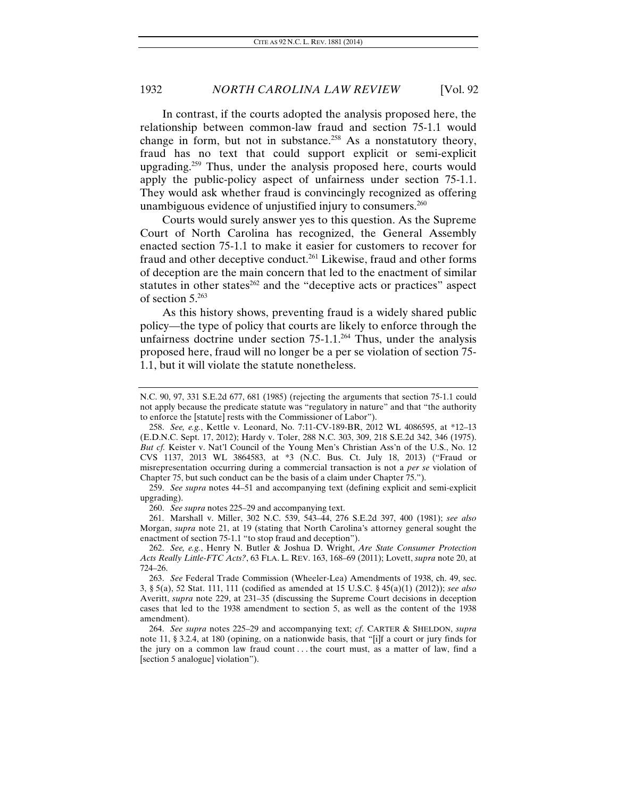In contrast, if the courts adopted the analysis proposed here, the relationship between common-law fraud and section 75-1.1 would change in form, but not in substance.<sup>258</sup> As a nonstatutory theory, fraud has no text that could support explicit or semi-explicit upgrading.<sup>259</sup> Thus, under the analysis proposed here, courts would apply the public-policy aspect of unfairness under section 75-1.1. They would ask whether fraud is convincingly recognized as offering unambiguous evidence of unjustified injury to consumers. $260$ 

Courts would surely answer yes to this question. As the Supreme Court of North Carolina has recognized, the General Assembly enacted section 75-1.1 to make it easier for customers to recover for fraud and other deceptive conduct.<sup>261</sup> Likewise, fraud and other forms of deception are the main concern that led to the enactment of similar statutes in other states $262$  and the "deceptive acts or practices" aspect of section 5.263

As this history shows, preventing fraud is a widely shared public policy—the type of policy that courts are likely to enforce through the unfairness doctrine under section  $75{\text -}1.1$ <sup>264</sup> Thus, under the analysis proposed here, fraud will no longer be a per se violation of section 75- 1.1, but it will violate the statute nonetheless.

259. *See supra* notes 44–51 and accompanying text (defining explicit and semi-explicit upgrading).

260. *See supra* notes 225–29 and accompanying text.

 261. Marshall v. Miller, 302 N.C. 539, 543–44, 276 S.E.2d 397, 400 (1981); *see also* Morgan, *supra* note 21, at 19 (stating that North Carolina's attorney general sought the enactment of section 75-1.1 "to stop fraud and deception").

262. *See, e.g.*, Henry N. Butler & Joshua D. Wright, *Are State Consumer Protection Acts Really Little-FTC Acts?*, 63 FLA. L. REV. 163, 168–69 (2011); Lovett, *supra* note 20, at 724–26.

263. *See* Federal Trade Commission (Wheeler-Lea) Amendments of 1938, ch. 49, sec. 3, § 5(a), 52 Stat. 111, 111 (codified as amended at 15 U.S.C. § 45(a)(1) (2012)); *see also* Averitt, *supra* note 229, at 231–35 (discussing the Supreme Court decisions in deception cases that led to the 1938 amendment to section 5, as well as the content of the 1938 amendment).

264. *See supra* notes 225–29 and accompanying text; *cf*. CARTER & SHELDON, *supra* note 11, § 3.2.4, at 180 (opining, on a nationwide basis, that "[i]f a court or jury finds for the jury on a common law fraud count . . . the court must, as a matter of law, find a [section 5 analogue] violation").

N.C. 90, 97, 331 S.E.2d 677, 681 (1985) (rejecting the arguments that section 75-1.1 could not apply because the predicate statute was "regulatory in nature" and that "the authority to enforce the [statute] rests with the Commissioner of Labor").

<sup>258.</sup> *See, e.g.*, Kettle v. Leonard, No. 7:11-CV-189-BR, 2012 WL 4086595, at \*12–13 (E.D.N.C. Sept. 17, 2012); Hardy v. Toler, 288 N.C. 303, 309, 218 S.E.2d 342, 346 (1975). *But cf.* Keister v. Nat'l Council of the Young Men's Christian Ass'n of the U.S., No. 12 CVS 1137, 2013 WL 3864583, at \*3 (N.C. Bus. Ct. July 18, 2013) ("Fraud or misrepresentation occurring during a commercial transaction is not a *per se* violation of Chapter 75, but such conduct can be the basis of a claim under Chapter 75.").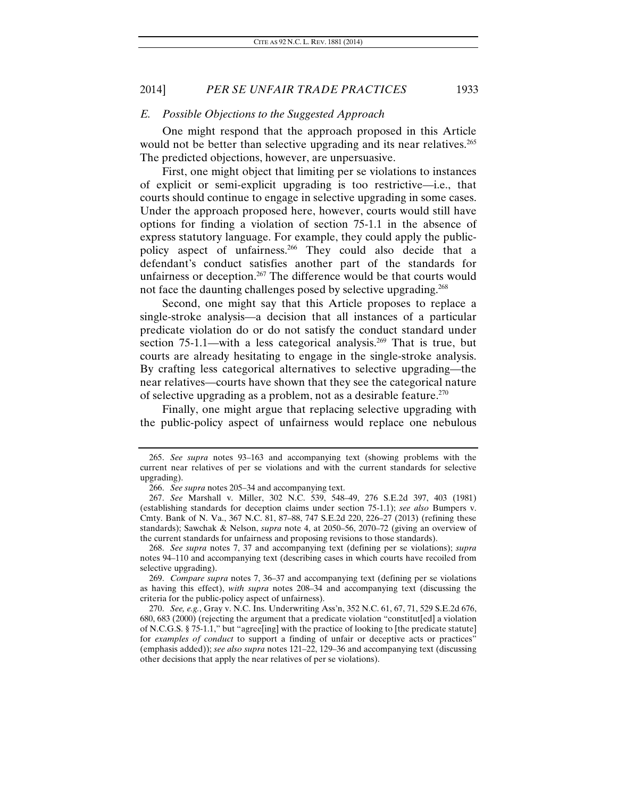#### *E. Possible Objections to the Suggested Approach*

One might respond that the approach proposed in this Article would not be better than selective upgrading and its near relatives.<sup>265</sup> The predicted objections, however, are unpersuasive.

First, one might object that limiting per se violations to instances of explicit or semi-explicit upgrading is too restrictive—i.e., that courts should continue to engage in selective upgrading in some cases. Under the approach proposed here, however, courts would still have options for finding a violation of section 75-1.1 in the absence of express statutory language. For example, they could apply the publicpolicy aspect of unfairness.<sup>266</sup> They could also decide that a defendant's conduct satisfies another part of the standards for unfairness or deception.<sup>267</sup> The difference would be that courts would not face the daunting challenges posed by selective upgrading.<sup>268</sup>

Second, one might say that this Article proposes to replace a single-stroke analysis—a decision that all instances of a particular predicate violation do or do not satisfy the conduct standard under section  $75{\text -}1.1$ —with a less categorical analysis.<sup>269</sup> That is true, but courts are already hesitating to engage in the single-stroke analysis. By crafting less categorical alternatives to selective upgrading—the near relatives—courts have shown that they see the categorical nature of selective upgrading as a problem, not as a desirable feature.270

Finally, one might argue that replacing selective upgrading with the public-policy aspect of unfairness would replace one nebulous

<sup>265.</sup> *See supra* notes 93–163 and accompanying text (showing problems with the current near relatives of per se violations and with the current standards for selective upgrading).

<sup>266.</sup> *See supra* notes 205–34 and accompanying text.

<sup>267.</sup> *See* Marshall v. Miller, 302 N.C. 539, 548–49, 276 S.E.2d 397, 403 (1981) (establishing standards for deception claims under section 75-1.1); *see also* Bumpers v. Cmty. Bank of N. Va., 367 N.C. 81, 87–88, 747 S.E.2d 220, 226–27 (2013) (refining these standards); Sawchak & Nelson, *supra* note 4, at 2050–56, 2070–72 (giving an overview of the current standards for unfairness and proposing revisions to those standards).

<sup>268.</sup> *See supra* notes 7, 37 and accompanying text (defining per se violations); *supra* notes 94–110 and accompanying text (describing cases in which courts have recoiled from selective upgrading).

<sup>269.</sup> *Compare supra* notes 7, 36–37 and accompanying text (defining per se violations as having this effect), *with supra* notes 208–34 and accompanying text (discussing the criteria for the public-policy aspect of unfairness).

<sup>270.</sup> *See, e.g.*, Gray v. N.C. Ins. Underwriting Ass'n, 352 N.C. 61, 67, 71, 529 S.E.2d 676, 680, 683 (2000) (rejecting the argument that a predicate violation "constitut[ed] a violation of N.C.G.S. § 75-1.1," but "agree[ing] with the practice of looking to [the predicate statute] for *examples of conduct* to support a finding of unfair or deceptive acts or practices" (emphasis added)); *see also supra* notes 121–22, 129–36 and accompanying text (discussing other decisions that apply the near relatives of per se violations).